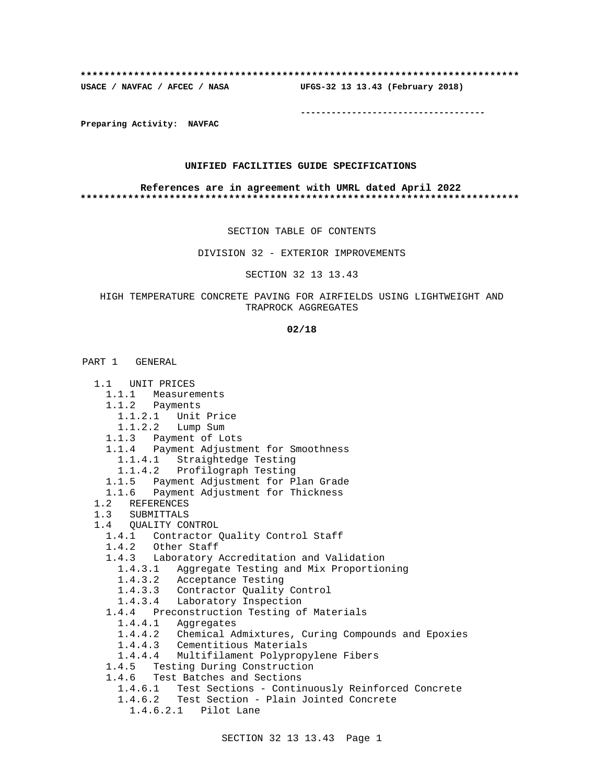### **\*\*\*\*\*\*\*\*\*\*\*\*\*\*\*\*\*\*\*\*\*\*\*\*\*\*\*\*\*\*\*\*\*\*\*\*\*\*\*\*\*\*\*\*\*\*\*\*\*\*\*\*\*\*\*\*\*\*\*\*\*\*\*\*\*\*\*\*\*\*\*\*\*\***

**USACE / NAVFAC / AFCEC / NASA UFGS-32 13 13.43 (February 2018)**

**------------------------------------**

**Preparing Activity: NAVFAC**

PART 1 GENERAL

## **UNIFIED FACILITIES GUIDE SPECIFICATIONS**

### **References are in agreement with UMRL dated April 2022 \*\*\*\*\*\*\*\*\*\*\*\*\*\*\*\*\*\*\*\*\*\*\*\*\*\*\*\*\*\*\*\*\*\*\*\*\*\*\*\*\*\*\*\*\*\*\*\*\*\*\*\*\*\*\*\*\*\*\*\*\*\*\*\*\*\*\*\*\*\*\*\*\*\***

SECTION TABLE OF CONTENTS

## DIVISION 32 - EXTERIOR IMPROVEMENTS

## SECTION 32 13 13.43

## HIGH TEMPERATURE CONCRETE PAVING FOR AIRFIELDS USING LIGHTWEIGHT AND TRAPROCK AGGREGATES

**02/18**

| 1.1 UNIT PRICES                                           |
|-----------------------------------------------------------|
| 1.1.1 Measurements                                        |
| 1.1.2 Payments                                            |
| 1.1.2.1 Unit Price                                        |
| 1.1.2.2 Lump Sum                                          |
| 1.1.3 Payment of Lots                                     |
| 1.1.4 Payment Adjustment for Smoothness                   |
| 1.1.4.1 Straightedge Testing                              |
| 1.1.4.2 Profilograph Testing                              |
| 1.1.5 Payment Adjustment for Plan Grade                   |
| 1.1.6 Payment Adjustment for Thickness                    |
| 1.2 REFERENCES                                            |
| 1.3 SUBMITTALS                                            |
| 1.4 QUALITY CONTROL                                       |
| 1.4.1 Contractor Quality Control Staff                    |
| 1.4.2 Other Staff                                         |
| 1.4.3 Laboratory Accreditation and Validation             |
| 1.4.3.1 Aggregate Testing and Mix Proportioning           |
| 1.4.3.2 Acceptance Testing                                |
| 1.4.3.3 Contractor Quality Control                        |
| 1.4.3.4 Laboratory Inspection                             |
| 1.4.4 Preconstruction Testing of Materials                |
| 1.4.4.1 Aggregates                                        |
| 1.4.4.2 Chemical Admixtures, Curing Compounds and Epoxies |
| 1.4.4.3 Cementitious Materials                            |
| 1.4.4.4 Multifilament Polypropylene Fibers                |
| 1.4.5 Testing During Construction                         |
| 1.4.6 Test Batches and Sections                           |
| 1.4.6.1 Test Sections - Continuously Reinforced Concrete  |
| 1.4.6.2 Test Section - Plain Jointed Concrete             |
| $1.4.6.2.1$ Pilot Lane                                    |
|                                                           |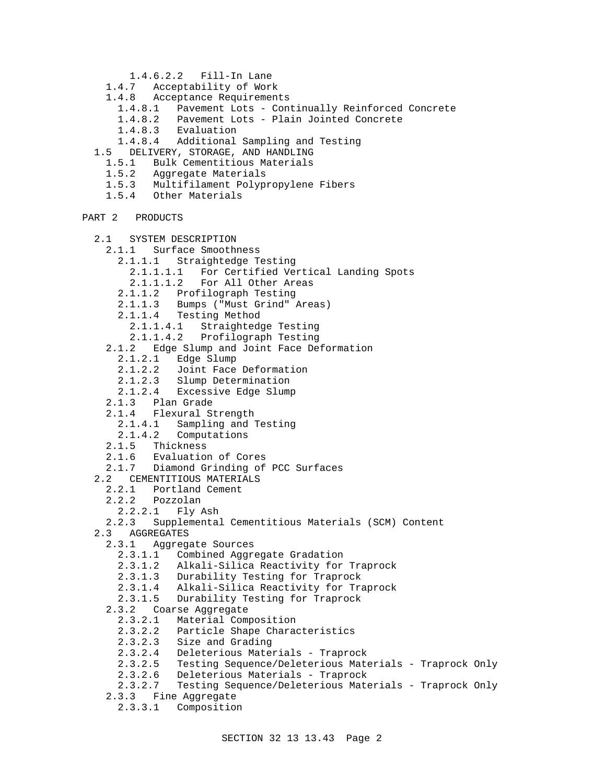- 1.4.6.2.2 Fill-In Lane
- 1.4.7 Acceptability of Work
- 1.4.8 Acceptance Requirements
	- 1.4.8.1 Pavement Lots Continually Reinforced Concrete
	- 1.4.8.2 Pavement Lots Plain Jointed Concrete
	- 1.4.8.3 Evaluation
- 1.4.8.4 Additional Sampling and Testing

1.5 DELIVERY, STORAGE, AND HANDLING

- 1.5.1 Bulk Cementitious Materials
- 1.5.2 Aggregate Materials
- 1.5.3 Multifilament Polypropylene Fibers
- 1.5.4 Other Materials

# PART 2 PRODUCTS

- 2.1 SYSTEM DESCRIPTION 2.1.1 Surface Smoothness
	- 2.1.1.1 Straightedge Testing
		- 2.1.1.1.1 For Certified Vertical Landing Spots
		- 2.1.1.1.2 For All Other Areas
	- 2.1.1.2 Profilograph Testing
	- 2.1.1.3 Bumps ("Must Grind" Areas)
	- 2.1.1.4 Testing Method
		- 2.1.1.4.1 Straightedge Testing
		- 2.1.1.4.2 Profilograph Testing
	- 2.1.2 Edge Slump and Joint Face Deformation<br>2.1.2.1 Edge Slump
		- Edge Slump
		- 2.1.2.2 Joint Face Deformation
		- 2.1.2.3 Slump Determination
		- 2.1.2.4 Excessive Edge Slump
	- 2.1.3 Plan Grade
	- 2.1.4 Flexural Strength
		- 2.1.4.1 Sampling and Testing
		- 2.1.4.2 Computations
	- 2.1.5 Thickness
	- 2.1.6 Evaluation of Cores
	- 2.1.7 Diamond Grinding of PCC Surfaces
- 2.2 CEMENTITIOUS MATERIALS
	- 2.2.1 Portland Cement
	- 2.2.2 Pozzolan
		- 2.2.2.1 Fly Ash
- 2.2.3 Supplemental Cementitious Materials (SCM) Content
- 2.3 AGGREGATES
	- 2.3.1 Aggregate Sources
		- 2.3.1.1 Combined Aggregate Gradation
		- 2.3.1.2 Alkali-Silica Reactivity for Traprock
		- 2.3.1.3 Durability Testing for Traprock
		- 2.3.1.4 Alkali-Silica Reactivity for Traprock
		- 2.3.1.5 Durability Testing for Traprock
	- 2.3.2 Coarse Aggregate
		- 2.3.2.1 Material Composition
		- 2.3.2.2 Particle Shape Characteristics
		- 2.3.2.3 Size and Grading
		- 2.3.2.4 Deleterious Materials Traprock
		- 2.3.2.5 Testing Sequence/Deleterious Materials Traprock Only
		-
		- 2.3.2.6 Deleterious Materials Traprock Testing Sequence/Deleterious Materials - Traprock Only
	- 2.3.3 Fine Aggregate
		- 2.3.3.1 Composition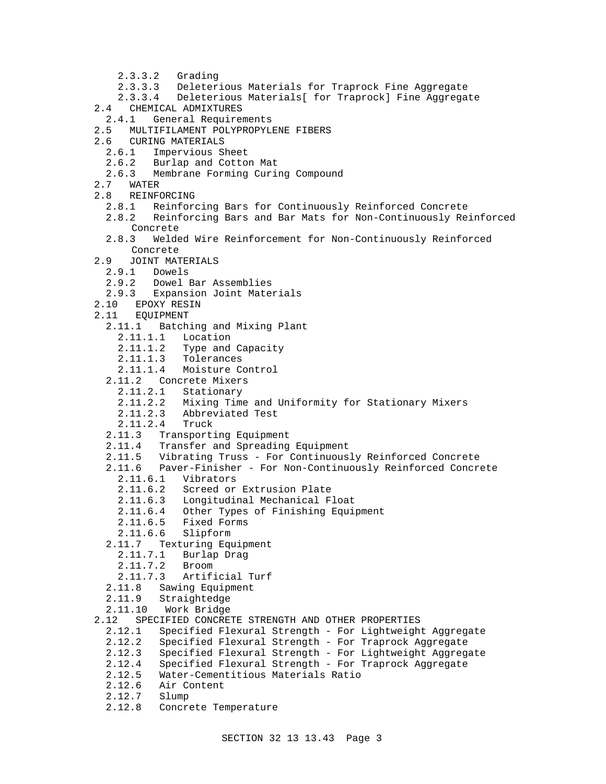- 2.3.3.2 Grading
- 2.3.3.3 Deleterious Materials for Traprock Fine Aggregate
- 2.3.3.4 Deleterious Materials[ for Traprock] Fine Aggregate
- 2.4 CHEMICAL ADMIXTURES
- 2.4.1 General Requirements
- 2.5 MULTIFILAMENT POLYPROPYLENE FIBERS
- 2.6 CURING MATERIALS
	- 2.6.1 Impervious Sheet
	- 2.6.2 Burlap and Cotton Mat
	- 2.6.3 Membrane Forming Curing Compound
- 2.7 WATER
- 2.8 REINFORCING
	- 2.8.1 Reinforcing Bars for Continuously Reinforced Concrete
	- 2.8.2 Reinforcing Bars and Bar Mats for Non-Continuously Reinforced Concrete
	- 2.8.3 Welded Wire Reinforcement for Non-Continuously Reinforced Concrete
- 2.9 JOINT MATERIALS
	- 2.9.1 Dowels
	- 2.9.2 Dowel Bar Assemblies
- 2.9.3 Expansion Joint Materials
- 2.10 EPOXY RESIN
- 2.11 EQUIPMENT
	- 2.11.1 Batching and Mixing Plant
		- 2.11.1.1 Location
		- 2.11.1.2 Type and Capacity
		- 2.11.1.3 Tolerances
		- 2.11.1.4 Moisture Control
	- 2.11.2 Concrete Mixers
		- 2.11.2.1 Stationary
		- 2.11.2.2 Mixing Time and Uniformity for Stationary Mixers
		- 2.11.2.3 Abbreviated Test
		- 2.11.2.4 Truck
	- 2.11.3 Transporting Equipment
	- 2.11.4 Transfer and Spreading Equipment
	- 2.11.5 Vibrating Truss For Continuously Reinforced Concrete
	- 2.11.6 Paver-Finisher For Non-Continuously Reinforced Concrete 2.11.6.1 Vibrators
		-
		- 2.11.6.2 Screed or Extrusion Plate
		- 2.11.6.3 Longitudinal Mechanical Float
		- 2.11.6.4 Other Types of Finishing Equipment
		- 2.11.6.5 Fixed Forms
		- 2.11.6.6 Slipform
	- 2.11.7 Texturing Equipment
		- 2.11.7.1 Burlap Drag
		- 2.11.7.2 Broom
		- 2.11.7.3 Artificial Turf
	- 2.11.8 Sawing Equipment
	- 2.11.9 Straightedge
	- 2.11.10 Work Bridge

## 2.12 SPECIFIED CONCRETE STRENGTH AND OTHER PROPERTIES

- 2.12.1 Specified Flexural Strength For Lightweight Aggregate
- 2.12.2 Specified Flexural Strength For Traprock Aggregate
- 2.12.3 Specified Flexural Strength For Lightweight Aggregate
- 2.12.4 Specified Flexural Strength For Traprock Aggregate
- 2.12.5 Water-Cementitious Materials Ratio
- 2.12.6 Air Content
- 2.12.7 Slump
- 2.12.8 Concrete Temperature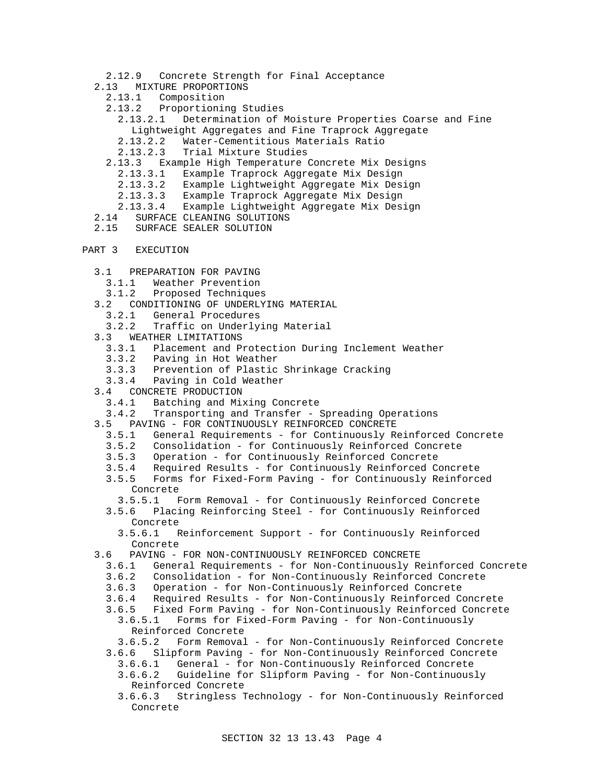- 2.12.9 Concrete Strength for Final Acceptance
- 2.13 MIXTURE PROPORTIONS<br>2.13.1 Composition
	- Composition
	- 2.13.2 Proportioning Studies
		- 2.13.2.1 Determination of Moisture Properties Coarse and Fine Lightweight Aggregates and Fine Traprock Aggregate
		- 2.13.2.2 Water-Cementitious Materials Ratio
		- 2.13.2.3 Trial Mixture Studies
	- 2.13.3 Example High Temperature Concrete Mix Designs
		- 2.13.3.1 Example Traprock Aggregate Mix Design
		- 2.13.3.2 Example Lightweight Aggregate Mix Design
		- 2.13.3.3 Example Traprock Aggregate Mix Design
		- 2.13.3.4 Example Lightweight Aggregate Mix Design
- 2.14 SURFACE CLEANING SOLUTIONS
- 2.15 SURFACE SEALER SOLUTION
- PART 3 EXECUTION
	- 3.1 PREPARATION FOR PAVING
		- 3.1.1 Weather Prevention
	- 3.1.2 Proposed Techniques
	- 3.2 CONDITIONING OF UNDERLYING MATERIAL
		- 3.2.1 General Procedures
	- 3.2.2 Traffic on Underlying Material
	- 3.3 WEATHER LIMITATIONS
		- 3.3.1 Placement and Protection During Inclement Weather
		- 3.3.2 Paving in Hot Weather
		- 3.3.3 Prevention of Plastic Shrinkage Cracking
		- 3.3.4 Paving in Cold Weather
	- 3.4 CONCRETE PRODUCTION
		- 3.4.1 Batching and Mixing Concrete
		- 3.4.2 Transporting and Transfer Spreading Operations
	- 3.5 PAVING FOR CONTINUOUSLY REINFORCED CONCRETE
		- 3.5.1 General Requirements for Continuously Reinforced Concrete
		- 3.5.2 Consolidation for Continuously Reinforced Concrete
		- 3.5.3 Operation for Continuously Reinforced Concrete
		- 3.5.4 Required Results for Continuously Reinforced Concrete
		- 3.5.5 Forms for Fixed-Form Paving for Continuously Reinforced Concrete
			- 3.5.5.1 Form Removal for Continuously Reinforced Concrete
		- 3.5.6 Placing Reinforcing Steel for Continuously Reinforced Concrete
			- 3.5.6.1 Reinforcement Support for Continuously Reinforced Concrete
	- 3.6 PAVING FOR NON-CONTINUOUSLY REINFORCED CONCRETE
		- 3.6.1 General Requirements for Non-Continuously Reinforced Concrete
		- 3.6.2 Consolidation for Non-Continuously Reinforced Concrete
		- 3.6.3 Operation for Non-Continuously Reinforced Concrete
		- 3.6.4 Required Results for Non-Continuously Reinforced Concrete
		- 3.6.5 Fixed Form Paving for Non-Continuously Reinforced Concrete
		- 3.6.5.1 Forms for Fixed-Form Paving for Non-Continuously Reinforced Concrete
		- 3.6.5.2 Form Removal for Non-Continuously Reinforced Concrete
		- 3.6.6 Slipform Paving for Non-Continuously Reinforced Concrete
			- 3.6.6.1 General for Non-Continuously Reinforced Concrete
			- 3.6.6.2 Guideline for Slipform Paving for Non-Continuously Reinforced Concrete
			- 3.6.6.3 Stringless Technology for Non-Continuously Reinforced Concrete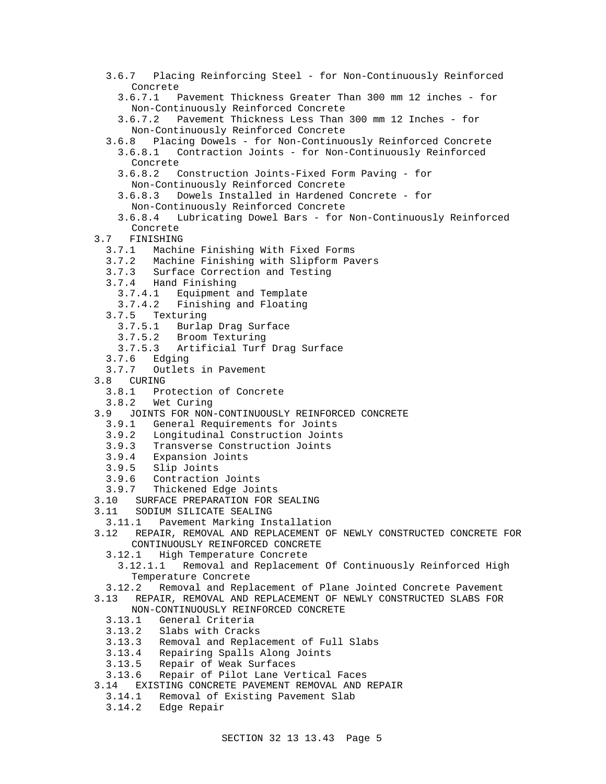3.6.7 Placing Reinforcing Steel - for Non-Continuously Reinforced Concrete 3.6.7.1 Pavement Thickness Greater Than 300 mm 12 inches - for Non-Continuously Reinforced Concrete 3.6.7.2 Pavement Thickness Less Than 300 mm 12 Inches - for Non-Continuously Reinforced Concrete 3.6.8 Placing Dowels - for Non-Continuously Reinforced Concrete 3.6.8.1 Contraction Joints - for Non-Continuously Reinforced Concrete 3.6.8.2 Construction Joints-Fixed Form Paving - for Non-Continuously Reinforced Concrete 3.6.8.3 Dowels Installed in Hardened Concrete - for Non-Continuously Reinforced Concrete 3.6.8.4 Lubricating Dowel Bars - for Non-Continuously Reinforced Concrete 3.7 FINISHING 3.7.1 Machine Finishing With Fixed Forms Machine Finishing with Slipform Pavers 3.7.3 Surface Correction and Testing 3.7.4 Hand Finishing 3.7.4.1 Equipment and Template 3.7.4.2 Finishing and Floating 3.7.5 Texturing 3.7.5.1 Burlap Drag Surface 3.7.5.2 Broom Texturing 3.7.5.3 Artificial Turf Drag Surface 3.7.6 Edging<br>3.7.7 Outlets Outlets in Pavement 3.8 CURING 3.8.1 Protection of Concrete 3.8.2 Wet Curing 3.9 JOINTS FOR NON-CONTINUOUSLY REINFORCED CONCRETE 3.9.1 General Requirements for Joints 3.9.2 Longitudinal Construction Joints 3.9.3 Transverse Construction Joints 3.9.4 Expansion Joints 3.9.5 Slip Joints 3.9.6 Contraction Joints 3.9.7 Thickened Edge Joints 3.10 SURFACE PREPARATION FOR SEALING 3.11 SODIUM SILICATE SEALING 3.11.1 Pavement Marking Installation 3.12 REPAIR, REMOVAL AND REPLACEMENT OF NEWLY CONSTRUCTED CONCRETE FOR CONTINUOUSLY REINFORCED CONCRETE 3.12.1 High Temperature Concrete 3.12.1.1 Removal and Replacement Of Continuously Reinforced High Temperature Concrete 3.12.2 Removal and Replacement of Plane Jointed Concrete Pavement 3.13 REPAIR, REMOVAL AND REPLACEMENT OF NEWLY CONSTRUCTED SLABS FOR NON-CONTINUOUSLY REINFORCED CONCRETE 3.13.1 General Criteria 3.13.2 Slabs with Cracks 3.13.3 Removal and Replacement of Full Slabs 3.13.4 Repairing Spalls Along Joints 3.13.5 Repair of Weak Surfaces 3.13.6 Repair of Pilot Lane Vertical Faces 3.14 EXISTING CONCRETE PAVEMENT REMOVAL AND REPAIR 3.14.1 Removal of Existing Pavement Slab 3.14.2 Edge Repair SECTION 32 13 13.43 Page 5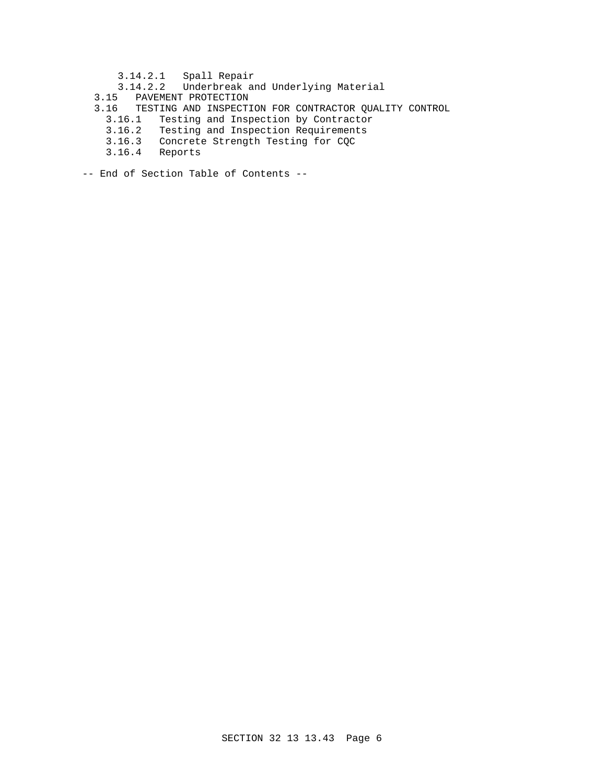3.14.2.1 Spall Repair 3.14.2.2 Underbreak and Underlying Material 3.15 PAVEMENT PROTECTION 3.16 TESTING AND INSPECTION FOR CONTRACTOR QUALITY CONTROL<br>3.16.1 Testing and Inspection by Contractor 3.16.1 Testing and Inspection by Contractor<br>3.16.2 Testing and Inspection Requirements Testing and Inspection Requirements 3.16.3 Concrete Strength Testing for CQC 3.16.4 Reports

-- End of Section Table of Contents --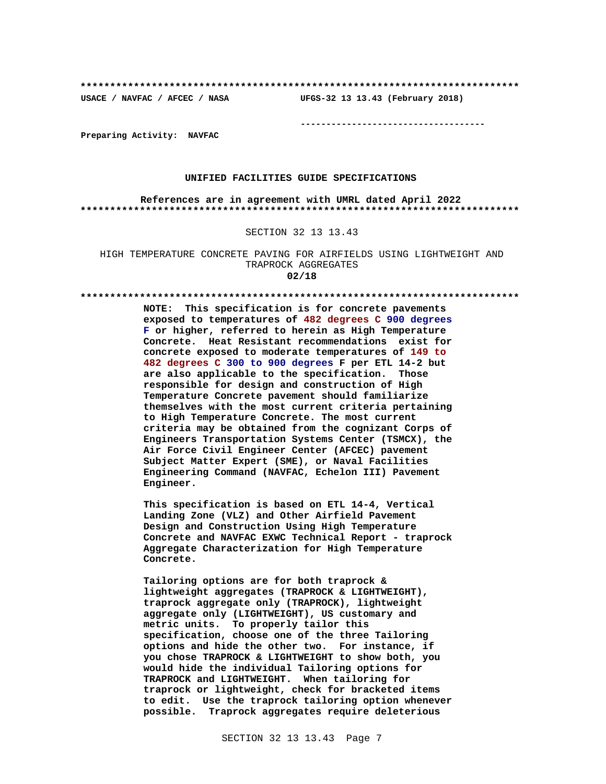USACE / NAVFAC / AFCEC / NASA UFGS-32 13 13.43 (February 2018)

Preparing Activity: NAVFAC

## UNIFIED FACILITIES GUIDE SPECIFICATIONS

References are in agreement with UMRL dated April 2022 

### SECTION 32 13 13.43

HIGH TEMPERATURE CONCRETE PAVING FOR AIRFIELDS USING LIGHTWEIGHT AND TRAPROCK AGGREGATES  $02/18$ 

NOTE: This specification is for concrete pavements exposed to temperatures of 482 degrees C 900 degrees F or higher, referred to herein as High Temperature Concrete. Heat Resistant recommendations exist for concrete exposed to moderate temperatures of 149 to 482 degrees C 300 to 900 degrees F per ETL 14-2 but are also applicable to the specification. Those responsible for design and construction of High Temperature Concrete pavement should familiarize themselves with the most current criteria pertaining to High Temperature Concrete. The most current criteria may be obtained from the cognizant Corps of Engineers Transportation Systems Center (TSMCX), the Air Force Civil Engineer Center (AFCEC) pavement Subject Matter Expert (SME), or Naval Facilities Engineering Command (NAVFAC, Echelon III) Pavement Engineer.

This specification is based on ETL 14-4, Vertical Landing Zone (VLZ) and Other Airfield Pavement Design and Construction Using High Temperature Concrete and NAVFAC EXWC Technical Report - traprock Aggregate Characterization for High Temperature Concrete.

Tailoring options are for both traprock & lightweight aggregates (TRAPROCK & LIGHTWEIGHT), traprock aggregate only (TRAPROCK), lightweight aggregate only (LIGHTWEIGHT), US customary and metric units. To properly tailor this specification, choose one of the three Tailoring options and hide the other two. For instance, if you chose TRAPROCK & LIGHTWEIGHT to show both, you would hide the individual Tailoring options for TRAPROCK and LIGHTWEIGHT. When tailoring for traprock or lightweight, check for bracketed items to edit. Use the traprock tailoring option whenever possible. Traprock aggregates require deleterious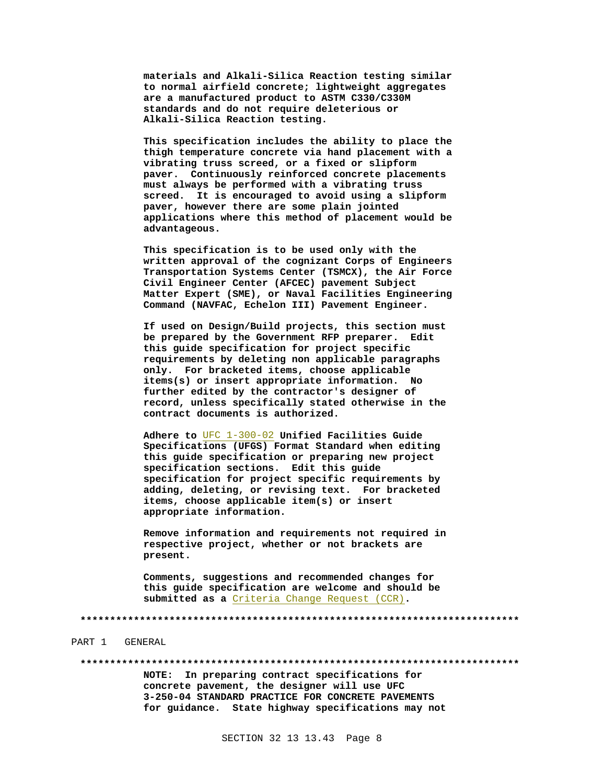materials and Alkali-Silica Reaction testing similar to normal airfield concrete; lightweight aggregates are a manufactured product to ASTM C330/C330M standards and do not require deleterious or Alkali-Silica Reaction testing.

This specification includes the ability to place the thigh temperature concrete via hand placement with a vibrating truss screed, or a fixed or slipform paver. Continuously reinforced concrete placements must always be performed with a vibrating truss screed. It is encouraged to avoid using a slipform paver, however there are some plain jointed applications where this method of placement would be advantageous.

This specification is to be used only with the written approval of the cognizant Corps of Engineers Transportation Systems Center (TSMCX), the Air Force Civil Engineer Center (AFCEC) pavement Subject Matter Expert (SME), or Naval Facilities Engineering Command (NAVFAC, Echelon III) Pavement Engineer.

If used on Design/Build projects, this section must be prepared by the Government RFP preparer. Edit this guide specification for project specific requirements by deleting non applicable paragraphs only. For bracketed items, choose applicable items(s) or insert appropriate information. No further edited by the contractor's designer of record, unless specifically stated otherwise in the contract documents is authorized.

Adhere to UFC 1-300-02 Unified Facilities Guide Specifications (UFGS) Format Standard when editing this guide specification or preparing new project specification sections. Edit this guide specification for project specific requirements by adding, deleting, or revising text. For bracketed items, choose applicable item(s) or insert appropriate information.

Remove information and requirements not required in respective project, whether or not brackets are present.

Comments, suggestions and recommended changes for this guide specification are welcome and should be submitted as a Criteria Change Request (CCR).

# PART 1 GENERAL

NOTE: In preparing contract specifications for concrete pavement, the designer will use UFC 3-250-04 STANDARD PRACTICE FOR CONCRETE PAVEMENTS for guidance. State highway specifications may not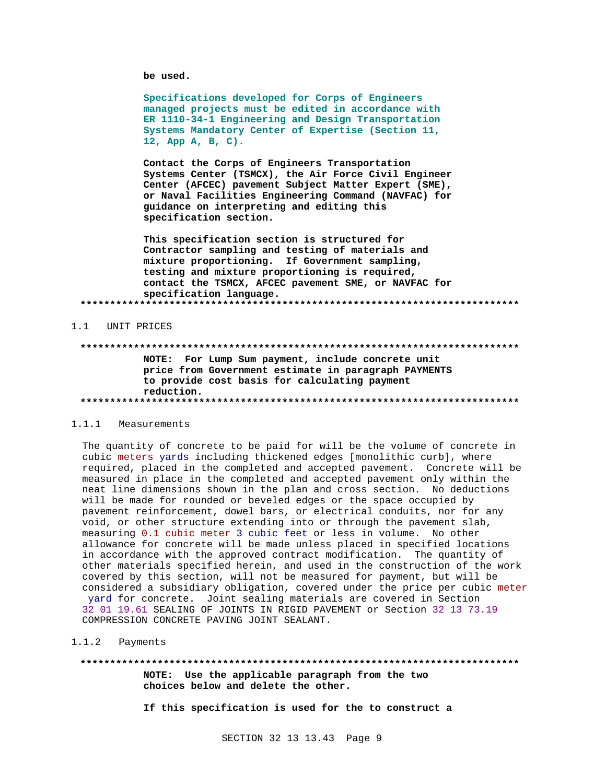be used.

Specifications developed for Corps of Engineers managed projects must be edited in accordance with ER 1110-34-1 Engineering and Design Transportation Systems Mandatory Center of Expertise (Section 11, 12, App A, B, C).

Contact the Corps of Engineers Transportation Systems Center (TSMCX), the Air Force Civil Engineer Center (AFCEC) pavement Subject Matter Expert (SME), or Naval Facilities Engineering Command (NAVFAC) for guidance on interpreting and editing this specification section.

This specification section is structured for Contractor sampling and testing of materials and mixture proportioning. If Government sampling, testing and mixture proportioning is required, contact the TSMCX, AFCEC pavement SME, or NAVFAC for specification language. 

#### UNIT PRICES  $1.1$

NOTE: For Lump Sum payment, include concrete unit price from Government estimate in paragraph PAYMENTS to provide cost basis for calculating payment reduction. 

## 1.1.1 Measurements

The quantity of concrete to be paid for will be the volume of concrete in cubic meters yards including thickened edges [monolithic curb], where required, placed in the completed and accepted pavement. Concrete will be measured in place in the completed and accepted pavement only within the neat line dimensions shown in the plan and cross section. No deductions will be made for rounded or beveled edges or the space occupied by pavement reinforcement, dowel bars, or electrical conduits, nor for any void, or other structure extending into or through the pavement slab, measuring 0.1 cubic meter 3 cubic feet or less in volume. No other allowance for concrete will be made unless placed in specified locations in accordance with the approved contract modification. The quantity of other materials specified herein, and used in the construction of the work covered by this section, will not be measured for payment, but will be considered a subsidiary obligation, covered under the price per cubic meter yard for concrete. Joint sealing materials are covered in Section 32 01 19.61 SEALING OF JOINTS IN RIGID PAVEMENT or Section 32 13 73.19 COMPRESSION CONCRETE PAVING JOINT SEALANT.

#### $1.1.2$ Payments

NOTE: Use the applicable paragraph from the two choices below and delete the other.

If this specification is used for the to construct a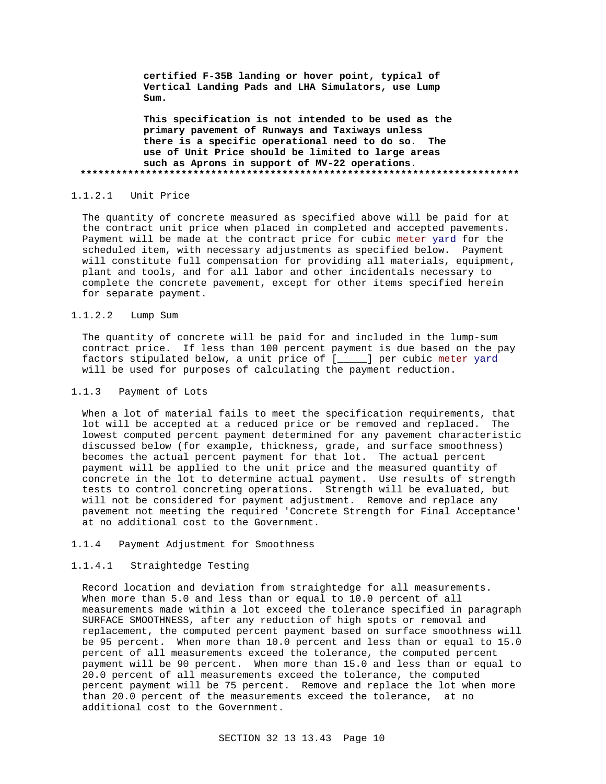**certified F-35B landing or hover point, typical of Vertical Landing Pads and LHA Simulators, use Lump Sum.**

**This specification is not intended to be used as the primary pavement of Runways and Taxiways unless there is a specific operational need to do so. The use of Unit Price should be limited to large areas such as Aprons in support of MV-22 operations. \*\*\*\*\*\*\*\*\*\*\*\*\*\*\*\*\*\*\*\*\*\*\*\*\*\*\*\*\*\*\*\*\*\*\*\*\*\*\*\*\*\*\*\*\*\*\*\*\*\*\*\*\*\*\*\*\*\*\*\*\*\*\*\*\*\*\*\*\*\*\*\*\*\***

## 1.1.2.1 Unit Price

The quantity of concrete measured as specified above will be paid for at the contract unit price when placed in completed and accepted pavements. Payment will be made at the contract price for cubic meter yard for the scheduled item, with necessary adjustments as specified below. Payment will constitute full compensation for providing all materials, equipment, plant and tools, and for all labor and other incidentals necessary to complete the concrete pavement, except for other items specified herein for separate payment.

### 1.1.2.2 Lump Sum

The quantity of concrete will be paid for and included in the lump-sum contract price. If less than 100 percent payment is due based on the pay factors stipulated below, a unit price of [\_\_\_\_\_] per cubic meter yard will be used for purposes of calculating the payment reduction.

## 1.1.3 Payment of Lots

When a lot of material fails to meet the specification requirements, that lot will be accepted at a reduced price or be removed and replaced. The lowest computed percent payment determined for any pavement characteristic discussed below (for example, thickness, grade, and surface smoothness) becomes the actual percent payment for that lot. The actual percent payment will be applied to the unit price and the measured quantity of concrete in the lot to determine actual payment. Use results of strength tests to control concreting operations. Strength will be evaluated, but will not be considered for payment adjustment. Remove and replace any pavement not meeting the required 'Concrete Strength for Final Acceptance' at no additional cost to the Government.

## 1.1.4 Payment Adjustment for Smoothness

## 1.1.4.1 Straightedge Testing

Record location and deviation from straightedge for all measurements. When more than 5.0 and less than or equal to 10.0 percent of all measurements made within a lot exceed the tolerance specified in paragraph SURFACE SMOOTHNESS, after any reduction of high spots or removal and replacement, the computed percent payment based on surface smoothness will be 95 percent. When more than 10.0 percent and less than or equal to 15.0 percent of all measurements exceed the tolerance, the computed percent payment will be 90 percent. When more than 15.0 and less than or equal to 20.0 percent of all measurements exceed the tolerance, the computed percent payment will be 75 percent. Remove and replace the lot when more than 20.0 percent of the measurements exceed the tolerance, at no additional cost to the Government.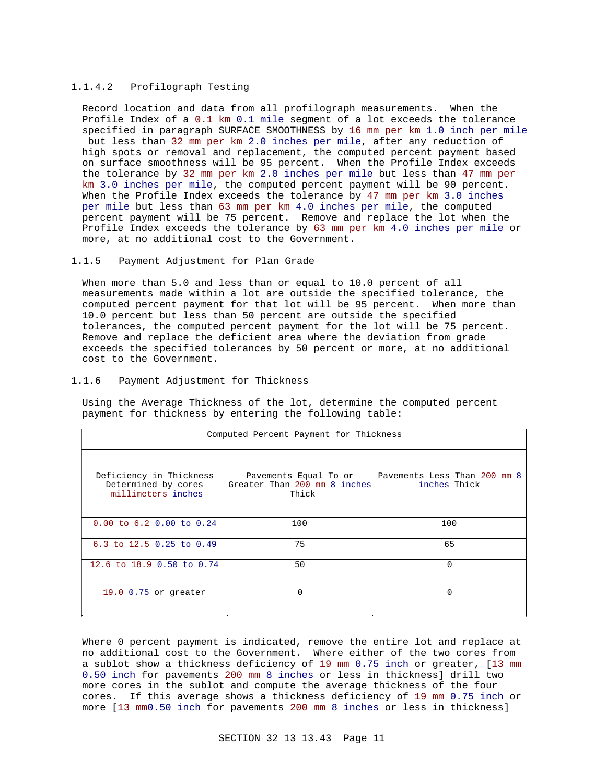## 1.1.4.2 Profilograph Testing

Record location and data from all profilograph measurements. When the Profile Index of a 0.1 km 0.1 mile segment of a lot exceeds the tolerance specified in paragraph SURFACE SMOOTHNESS by 16 mm per km 1.0 inch per mile but less than 32 mm per km 2.0 inches per mile, after any reduction of high spots or removal and replacement, the computed percent payment based on surface smoothness will be 95 percent. When the Profile Index exceeds the tolerance by 32 mm per km 2.0 inches per mile but less than 47 mm per km 3.0 inches per mile, the computed percent payment will be 90 percent. When the Profile Index exceeds the tolerance by 47 mm per km 3.0 inches per mile but less than 63 mm per km 4.0 inches per mile, the computed percent payment will be 75 percent. Remove and replace the lot when the Profile Index exceeds the tolerance by 63 mm per km 4.0 inches per mile or more, at no additional cost to the Government.

## 1.1.5 Payment Adjustment for Plan Grade

When more than 5.0 and less than or equal to 10.0 percent of all measurements made within a lot are outside the specified tolerance, the computed percent payment for that lot will be 95 percent. When more than 10.0 percent but less than 50 percent are outside the specified tolerances, the computed percent payment for the lot will be 75 percent. Remove and replace the deficient area where the deviation from grade exceeds the specified tolerances by 50 percent or more, at no additional cost to the Government.

## 1.1.6 Payment Adjustment for Thickness

Using the Average Thickness of the lot, determine the computed percent payment for thickness by entering the following table:

| Computed Percent Payment for Thickness                               |                                                                |                                              |  |  |  |  |
|----------------------------------------------------------------------|----------------------------------------------------------------|----------------------------------------------|--|--|--|--|
|                                                                      |                                                                |                                              |  |  |  |  |
| Deficiency in Thickness<br>Determined by cores<br>millimeters inches | Pavements Equal To or<br>Greater Than 200 mm 8 inches<br>Thick | Pavements Less Than 200 mm 8<br>inches Thick |  |  |  |  |
| 0.00 to 6.2 0.00 to 0.24                                             | 100                                                            | 100                                          |  |  |  |  |
| 6.3 to 12.5 0.25 to 0.49                                             | 75                                                             | 65                                           |  |  |  |  |
| 12.6 to 18.9 0.50 to 0.74                                            | 50                                                             | $\Omega$                                     |  |  |  |  |
| 19.0 0.75 or greater                                                 | $\Omega$                                                       | $\Omega$                                     |  |  |  |  |

Where 0 percent payment is indicated, remove the entire lot and replace at no additional cost to the Government. Where either of the two cores from a sublot show a thickness deficiency of 19 mm 0.75 inch or greater, [13 mm 0.50 inch for pavements 200 mm 8 inches or less in thickness] drill two more cores in the sublot and compute the average thickness of the four cores. If this average shows a thickness deficiency of 19 mm 0.75 inch or more [13 mm0.50 inch for pavements 200 mm 8 inches or less in thickness]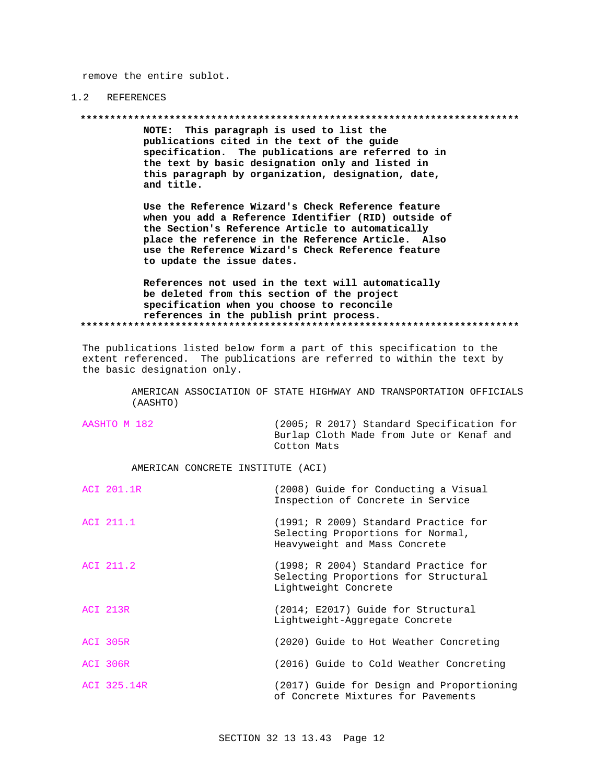remove the entire sublot.

## 1.2 REFERENCES

NOTE: This paragraph is used to list the publications cited in the text of the guide specification. The publications are referred to in the text by basic designation only and listed in this paragraph by organization, designation, date, and title.

Use the Reference Wizard's Check Reference feature when you add a Reference Identifier (RID) outside of the Section's Reference Article to automatically place the reference in the Reference Article. Also use the Reference Wizard's Check Reference feature to update the issue dates.

References not used in the text will automatically be deleted from this section of the project specification when you choose to reconcile references in the publish print process. 

The publications listed below form a part of this specification to the extent referenced. The publications are referred to within the text by the basic designation only.

> AMERICAN ASSOCIATION OF STATE HIGHWAY AND TRANSPORTATION OFFICIALS (AASHTO)

| AASHTO M 182 |             |  | (2005; R 2017) Standard Specification for |  |  |
|--------------|-------------|--|-------------------------------------------|--|--|
|              |             |  | Burlap Cloth Made from Jute or Kenaf and  |  |  |
|              | Cotton Mats |  |                                           |  |  |

### AMERICAN CONCRETE INSTITUTE (ACI)

| ACI 201.1R  | (2008) Guide for Conducting a Visual<br>Inspection of Concrete in Service                                    |
|-------------|--------------------------------------------------------------------------------------------------------------|
| ACI 211.1   | $(1991; R 2009)$ Standard Practice for<br>Selecting Proportions for Normal,<br>Heavyweight and Mass Concrete |
| ACI 211.2   | (1998; R 2004) Standard Practice for<br>Selecting Proportions for Structural<br>Lightweight Concrete         |
| ACI 213R    | (2014; E2017) Guide for Structural<br>Lightweight-Aggregate Concrete                                         |
| ACI 305R    | (2020) Guide to Hot Weather Concreting                                                                       |
| ACI 306R    | (2016) Guide to Cold Weather Concreting                                                                      |
| ACI 325.14R | (2017) Guide for Design and Proportioning<br>of Concrete Mixtures for Pavements                              |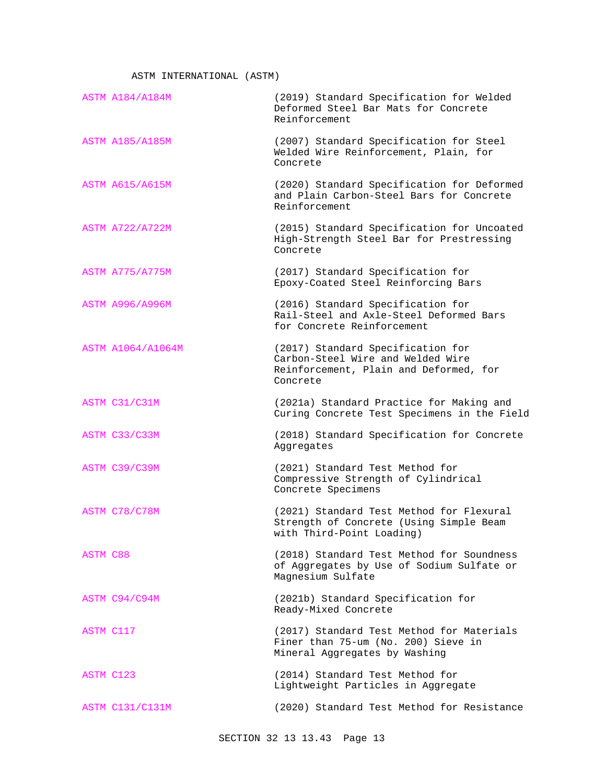ASTM INTERNATIONAL (ASTM)

| <b>ASTM A184/A184M</b> | (2019) Standard Specification for Welded<br>Deformed Steel Bar Mats for Concrete<br>Reinforcement                            |
|------------------------|------------------------------------------------------------------------------------------------------------------------------|
| <b>ASTM A185/A185M</b> | (2007) Standard Specification for Steel<br>Welded Wire Reinforcement, Plain, for<br>Concrete                                 |
| <b>ASTM A615/A615M</b> | (2020) Standard Specification for Deformed<br>and Plain Carbon-Steel Bars for Concrete<br>Reinforcement                      |
| <b>ASTM A722/A722M</b> | (2015) Standard Specification for Uncoated<br>High-Strength Steel Bar for Prestressing<br>Concrete                           |
| <b>ASTM A775/A775M</b> | (2017) Standard Specification for<br>Epoxy-Coated Steel Reinforcing Bars                                                     |
| <b>ASTM A996/A996M</b> | (2016) Standard Specification for<br>Rail-Steel and Axle-Steel Deformed Bars<br>for Concrete Reinforcement                   |
| ASTM A1064/A1064M      | (2017) Standard Specification for<br>Carbon-Steel Wire and Welded Wire<br>Reinforcement, Plain and Deformed, for<br>Concrete |
| ASTM C31/C31M          | (2021a) Standard Practice for Making and<br>Curing Concrete Test Specimens in the Field                                      |
| ASTM C33/C33M          | (2018) Standard Specification for Concrete<br>Aggregates                                                                     |
| ASTM C39/C39M          | (2021) Standard Test Method for<br>Compressive Strength of Cylindrical<br>Concrete Specimens                                 |
| ASTM C78/C78M          | (2021) Standard Test Method for Flexural<br>Strength of Concrete (Using Simple Beam<br>with Third-Point Loading)             |
| ASTM C88               | (2018) Standard Test Method for Soundness<br>of Aggregates by Use of Sodium Sulfate or<br>Magnesium Sulfate                  |
| ASTM C94/C94M          | (2021b) Standard Specification for<br>Ready-Mixed Concrete                                                                   |
| ASTM C117              | (2017) Standard Test Method for Materials<br>Finer than 75-um (No. 200) Sieve in<br>Mineral Aggregates by Washing            |
| ASTM C123              | (2014) Standard Test Method for<br>Lightweight Particles in Aggregate                                                        |
| <b>ASTM C131/C131M</b> | (2020) Standard Test Method for Resistance                                                                                   |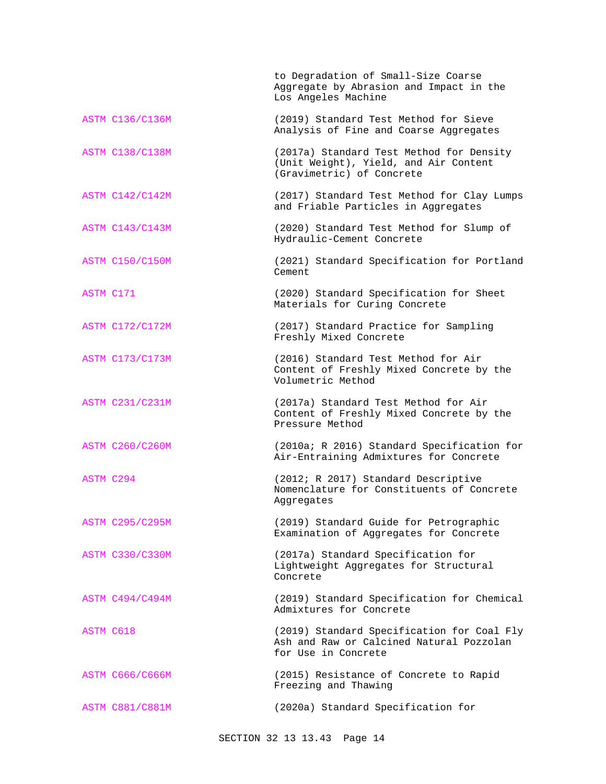|           |                        | to Degradation of Small-Size Coarse<br>Aggregate by Abrasion and Impact in the<br>Los Angeles Machine          |
|-----------|------------------------|----------------------------------------------------------------------------------------------------------------|
|           | <b>ASTM C136/C136M</b> | (2019) Standard Test Method for Sieve<br>Analysis of Fine and Coarse Aggregates                                |
|           | <b>ASTM C138/C138M</b> | (2017a) Standard Test Method for Density<br>(Unit Weight), Yield, and Air Content<br>(Gravimetric) of Concrete |
|           | ASTM C142/C142M        | (2017) Standard Test Method for Clay Lumps<br>and Friable Particles in Aggregates                              |
|           | <b>ASTM C143/C143M</b> | (2020) Standard Test Method for Slump of<br>Hydraulic-Cement Concrete                                          |
|           | <b>ASTM C150/C150M</b> | (2021) Standard Specification for Portland<br>Cement                                                           |
| ASTM C171 |                        | (2020) Standard Specification for Sheet<br>Materials for Curing Concrete                                       |
|           | ASTM C172/C172M        | (2017) Standard Practice for Sampling<br>Freshly Mixed Concrete                                                |
|           | <b>ASTM C173/C173M</b> | (2016) Standard Test Method for Air<br>Content of Freshly Mixed Concrete by the<br>Volumetric Method           |
|           | <b>ASTM C231/C231M</b> | (2017a) Standard Test Method for Air<br>Content of Freshly Mixed Concrete by the<br>Pressure Method            |
|           | <b>ASTM C260/C260M</b> | (2010a; R 2016) Standard Specification for<br>Air-Entraining Admixtures for Concrete                           |
| ASTM C294 |                        | (2012; R 2017) Standard Descriptive<br>Nomenclature for Constituents of Concrete<br>Aggregates                 |
|           | <b>ASTM C295/C295M</b> | (2019) Standard Guide for Petrographic<br>Examination of Aggregates for Concrete                               |
|           | ASTM C330/C330M        | (2017a) Standard Specification for<br>Lightweight Aggregates for Structural<br>Concrete                        |
|           | <b>ASTM C494/C494M</b> | (2019) Standard Specification for Chemical<br>Admixtures for Concrete                                          |
| ASTM C618 |                        | (2019) Standard Specification for Coal Fly<br>Ash and Raw or Calcined Natural Pozzolan<br>for Use in Concrete  |
|           | <b>ASTM C666/C666M</b> | (2015) Resistance of Concrete to Rapid<br>Freezing and Thawing                                                 |
|           | <b>ASTM C881/C881M</b> | (2020a) Standard Specification for                                                                             |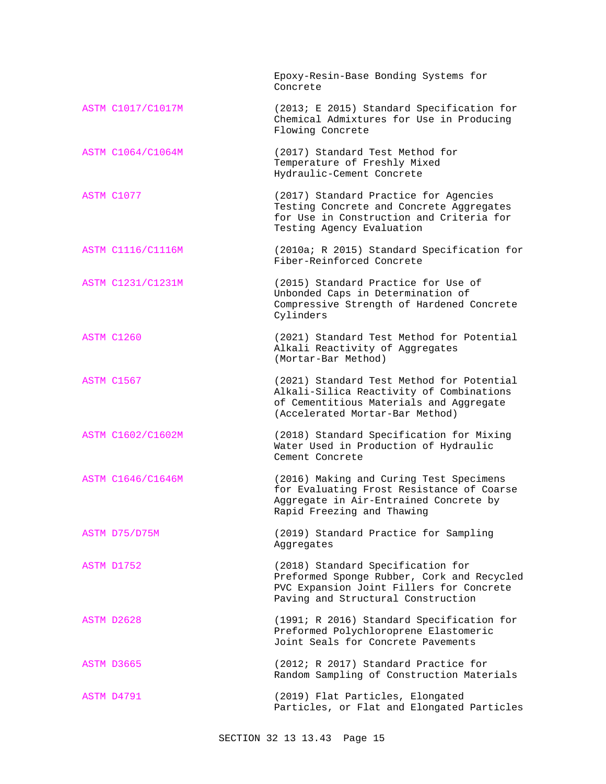|                          | Epoxy-Resin-Base Bonding Systems for<br>Concrete                                                                                                                    |
|--------------------------|---------------------------------------------------------------------------------------------------------------------------------------------------------------------|
| ASTM C1017/C1017M        | (2013; E 2015) Standard Specification for<br>Chemical Admixtures for Use in Producing<br>Flowing Concrete                                                           |
| ASTM C1064/C1064M        | (2017) Standard Test Method for<br>Temperature of Freshly Mixed<br>Hydraulic-Cement Concrete                                                                        |
| ASTM C1077               | (2017) Standard Practice for Agencies<br>Testing Concrete and Concrete Aggregates<br>for Use in Construction and Criteria for<br>Testing Agency Evaluation          |
| <b>ASTM C1116/C1116M</b> | (2010a; R 2015) Standard Specification for<br>Fiber-Reinforced Concrete                                                                                             |
| ASTM C1231/C1231M        | (2015) Standard Practice for Use of<br>Unbonded Caps in Determination of<br>Compressive Strength of Hardened Concrete<br>Cylinders                                  |
| ASTM C1260               | (2021) Standard Test Method for Potential<br>Alkali Reactivity of Aggregates<br>(Mortar-Bar Method)                                                                 |
| ASTM C1567               | (2021) Standard Test Method for Potential<br>Alkali-Silica Reactivity of Combinations<br>of Cementitious Materials and Aggregate<br>(Accelerated Mortar-Bar Method) |
| ASTM C1602/C1602M        | (2018) Standard Specification for Mixing<br>Water Used in Production of Hydraulic<br>Cement Concrete                                                                |
| ASTM C1646/C1646M        | (2016) Making and Curing Test Specimens<br>for Evaluating Frost Resistance of Coarse<br>Aggregate in Air-Entrained Concrete by<br>Rapid Freezing and Thawing        |
| ASTM D75/D75M            | (2019) Standard Practice for Sampling<br>Aggregates                                                                                                                 |
| ASTM D1752               | (2018) Standard Specification for<br>Preformed Sponge Rubber, Cork and Recycled<br>PVC Expansion Joint Fillers for Concrete<br>Paving and Structural Construction   |
| ASTM D2628               | (1991; R 2016) Standard Specification for<br>Preformed Polychloroprene Elastomeric<br>Joint Seals for Concrete Pavements                                            |
| ASTM D3665               | (2012; R 2017) Standard Practice for<br>Random Sampling of Construction Materials                                                                                   |
| ASTM D4791               | (2019) Flat Particles, Elongated<br>Particles, or Flat and Elongated Particles                                                                                      |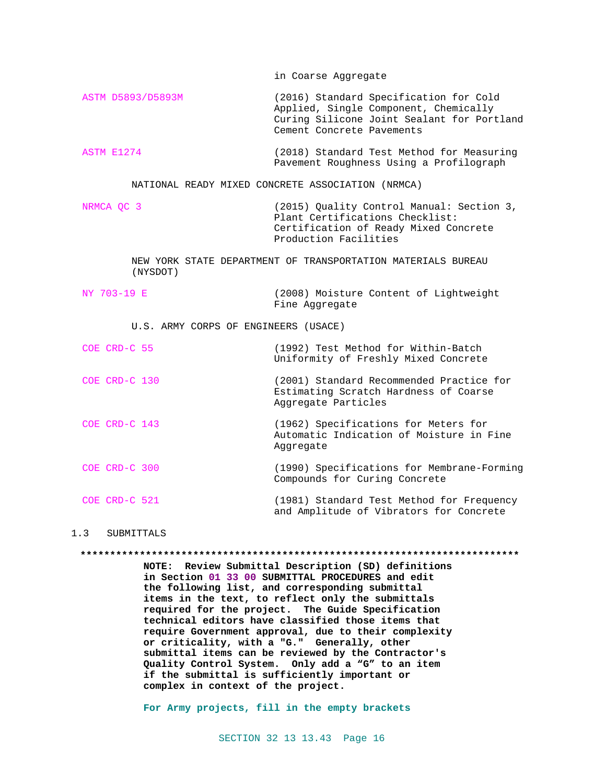in Coarse Aggregate ASTM D5893/D5893M (2016) Standard Specification for Cold Applied, Single Component, Chemically Curing Silicone Joint Sealant for Portland Cement Concrete Pavements ASTM E1274 (2018) Standard Test Method for Measuring Pavement Roughness Using a Profilograph NATIONAL READY MIXED CONCRETE ASSOCIATION (NRMCA) NRMCA QC 3 (2015) Quality Control Manual: Section 3, Plant Certifications Checklist: Certification of Ready Mixed Concrete Production Facilities NEW YORK STATE DEPARTMENT OF TRANSPORTATION MATERIALS BUREAU (NYSDOT) NY 703-19 E (2008) Moisture Content of Lightweight Fine Aggregate U.S. ARMY CORPS OF ENGINEERS (USACE) COE CRD-C 55 (1992) Test Method for Within-Batch Uniformity of Freshly Mixed Concrete COE CRD-C 130 (2001) Standard Recommended Practice for Estimating Scratch Hardness of Coarse Aggregate Particles COE CRD-C 143 (1962) Specifications for Meters for Automatic Indication of Moisture in Fine Aggregate COE CRD-C 300 (1990) Specifications for Membrane-Forming Compounds for Curing Concrete COE CRD-C 521 (1981) Standard Test Method for Frequency and Amplitude of Vibrators for Concrete

1.3 SUBMITTALS

### **\*\*\*\*\*\*\*\*\*\*\*\*\*\*\*\*\*\*\*\*\*\*\*\*\*\*\*\*\*\*\*\*\*\*\*\*\*\*\*\*\*\*\*\*\*\*\*\*\*\*\*\*\*\*\*\*\*\*\*\*\*\*\*\*\*\*\*\*\*\*\*\*\*\***

**NOTE: Review Submittal Description (SD) definitions in Section 01 33 00 SUBMITTAL PROCEDURES and edit the following list, and corresponding submittal items in the text, to reflect only the submittals required for the project. The Guide Specification technical editors have classified those items that require Government approval, due to their complexity or criticality, with a "G." Generally, other submittal items can be reviewed by the Contractor's Quality Control System. Only add a "G" to an item if the submittal is sufficiently important or complex in context of the project.**

**For Army projects, fill in the empty brackets**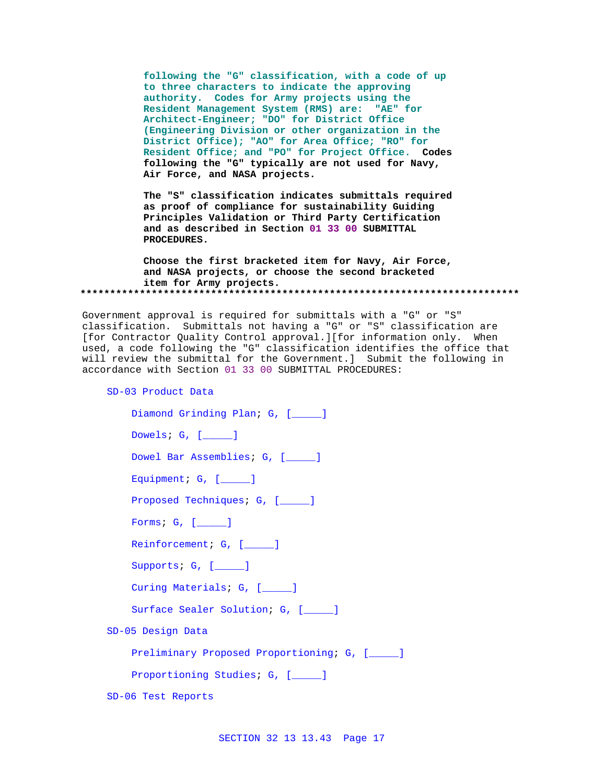**following the "G" classification, with a code of up to three characters to indicate the approving authority. Codes for Army projects using the Resident Management System (RMS) are: "AE" for Architect-Engineer; "DO" for District Office (Engineering Division or other organization in the District Office); "AO" for Area Office; "RO" for Resident Office; and "PO" for Project Office. Codes following the "G" typically are not used for Navy, Air Force, and NASA projects.**

**The "S" classification indicates submittals required as proof of compliance for sustainability Guiding Principles Validation or Third Party Certification and as described in Section 01 33 00 SUBMITTAL PROCEDURES.**

**Choose the first bracketed item for Navy, Air Force, and NASA projects, or choose the second bracketed item for Army projects. \*\*\*\*\*\*\*\*\*\*\*\*\*\*\*\*\*\*\*\*\*\*\*\*\*\*\*\*\*\*\*\*\*\*\*\*\*\*\*\*\*\*\*\*\*\*\*\*\*\*\*\*\*\*\*\*\*\*\*\*\*\*\*\*\*\*\*\*\*\*\*\*\*\***

Government approval is required for submittals with a "G" or "S" classification. Submittals not having a "G" or "S" classification are [for Contractor Quality Control approval.][for information only. When used, a code following the "G" classification identifies the office that will review the submittal for the Government.] Submit the following in accordance with Section 01 33 00 SUBMITTAL PROCEDURES:

SD-03 Product Data

| Diamond Grinding Plan; G, [____]              |
|-----------------------------------------------|
| Dowels; $G,$ [ $\_\_\_\_\_\_\$ ]              |
| Dowel Bar Assemblies; G, [ ]                  |
| Equipment; $G,$ [ $\_\_\_\_$ ]                |
| Proposed Techniques; G, [ <i>____</i> ]       |
| Forms; $G,$ [ $\_\_\_\_\$ ]                   |
| Reinforcement; G, [____]                      |
| Supports; G, [____]                           |
| Curing Materials; G, [ <i>____</i> ]          |
| Surface Sealer Solution; G, [____]            |
| SD-05 Design Data                             |
| Preliminary Proposed Proportioning; G, [____] |
| Proportioning Studies; G, [____]              |
| SD-06 Test Reports                            |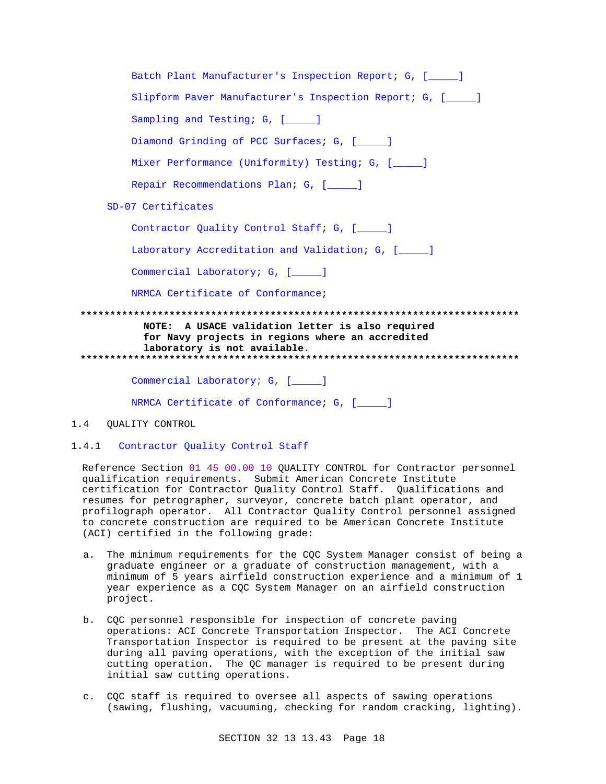Batch Plant Manufacturer's Inspection Report; G, [1666] Slipform Paver Manufacturer's Inspection Report; G, [\_\_\_\_] Sampling and Testing; G, [\_\_\_\_] Diamond Grinding of PCC Surfaces; G, [ ] Mixer Performance (Uniformity) Testing; G, [\_\_\_\_] Repair Recommendations Plan; G, [\_\_\_\_] SD-07 Certificates Contractor Quality Control Staff; G, [\_\_\_\_] Laboratory Accreditation and Validation; G, [\_\_\_\_] Commercial Laboratory; G, [ ] NRMCA Certificate of Conformance; NOTE: A USACE validation letter is also required for Navy projects in regions where an accredited laboratory is not available. Commercial Laboratory; G, [\_\_\_\_] NRMCA Certificate of Conformance; G, [ ]

# 1.4 QUALITY CONTROL

### Contractor Quality Control Staff  $1.4.1$

Reference Section 01 45 00.00 10 OUALITY CONTROL for Contractor personnel qualification requirements. Submit American Concrete Institute certification for Contractor Quality Control Staff. Qualifications and resumes for petrographer, surveyor, concrete batch plant operator, and profilograph operator. All Contractor Quality Control personnel assigned to concrete construction are required to be American Concrete Institute (ACI) certified in the following grade:

- a. The minimum requirements for the CQC System Manager consist of being a graduate engineer or a graduate of construction management, with a minimum of 5 years airfield construction experience and a minimum of 1 year experience as a CQC System Manager on an airfield construction project.
- b. CQC personnel responsible for inspection of concrete paving operations: ACI Concrete Transportation Inspector. The ACI Concrete Transportation Inspector is required to be present at the paving site during all paving operations, with the exception of the initial saw cutting operation. The QC manager is required to be present during initial saw cutting operations.
- c. CQC staff is required to oversee all aspects of sawing operations (sawing, flushing, vacuuming, checking for random cracking, lighting).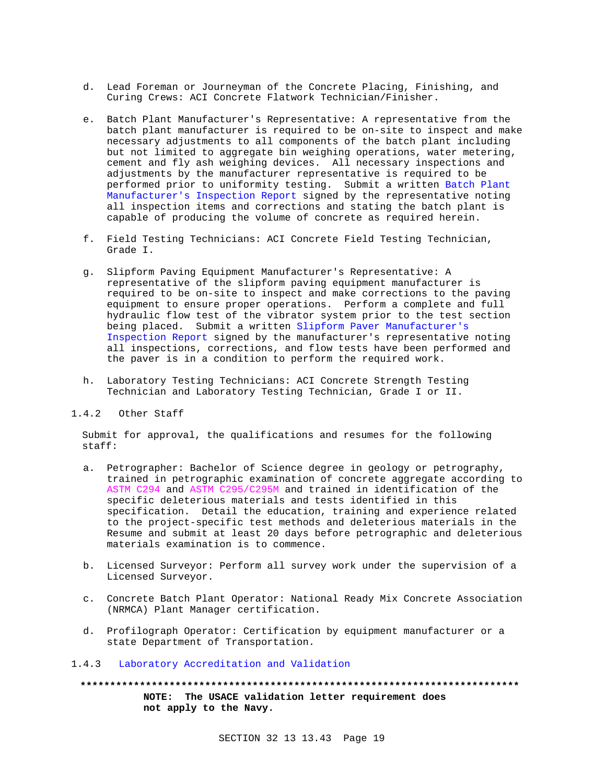- d. Lead Foreman or Journeyman of the Concrete Placing, Finishing, and Curing Crews: ACI Concrete Flatwork Technician/Finisher.
- e. Batch Plant Manufacturer's Representative: A representative from the batch plant manufacturer is required to be on-site to inspect and make necessary adjustments to all components of the batch plant including but not limited to aggregate bin weighing operations, water metering, cement and fly ash weighing devices. All necessary inspections and adjustments by the manufacturer representative is required to be performed prior to uniformity testing. Submit a written Batch Plant Manufacturer's Inspection Report signed by the representative noting all inspection items and corrections and stating the batch plant is capable of producing the volume of concrete as required herein.
- f. Field Testing Technicians: ACI Concrete Field Testing Technician, Grade I.
- g. Slipform Paving Equipment Manufacturer's Representative: A representative of the slipform paving equipment manufacturer is required to be on-site to inspect and make corrections to the paving equipment to ensure proper operations. Perform a complete and full hydraulic flow test of the vibrator system prior to the test section being placed. Submit a written Slipform Paver Manufacturer's Inspection Report signed by the manufacturer's representative noting all inspections, corrections, and flow tests have been performed and the paver is in a condition to perform the required work.
- h. Laboratory Testing Technicians: ACI Concrete Strength Testing Technician and Laboratory Testing Technician, Grade I or II.

## 1.4.2 Other Staff

Submit for approval, the qualifications and resumes for the following staff:

- a. Petrographer: Bachelor of Science degree in geology or petrography, trained in petrographic examination of concrete aggregate according to ASTM C294 and ASTM C295/C295M and trained in identification of the specific deleterious materials and tests identified in this specification. Detail the education, training and experience related to the project-specific test methods and deleterious materials in the Resume and submit at least 20 days before petrographic and deleterious materials examination is to commence.
- b. Licensed Surveyor: Perform all survey work under the supervision of a Licensed Surveyor.
- c. Concrete Batch Plant Operator: National Ready Mix Concrete Association (NRMCA) Plant Manager certification.
- d. Profilograph Operator: Certification by equipment manufacturer or a state Department of Transportation.

## 1.4.3 Laboratory Accreditation and Validation

**\*\*\*\*\*\*\*\*\*\*\*\*\*\*\*\*\*\*\*\*\*\*\*\*\*\*\*\*\*\*\*\*\*\*\*\*\*\*\*\*\*\*\*\*\*\*\*\*\*\*\*\*\*\*\*\*\*\*\*\*\*\*\*\*\*\*\*\*\*\*\*\*\*\* NOTE: The USACE validation letter requirement does not apply to the Navy.**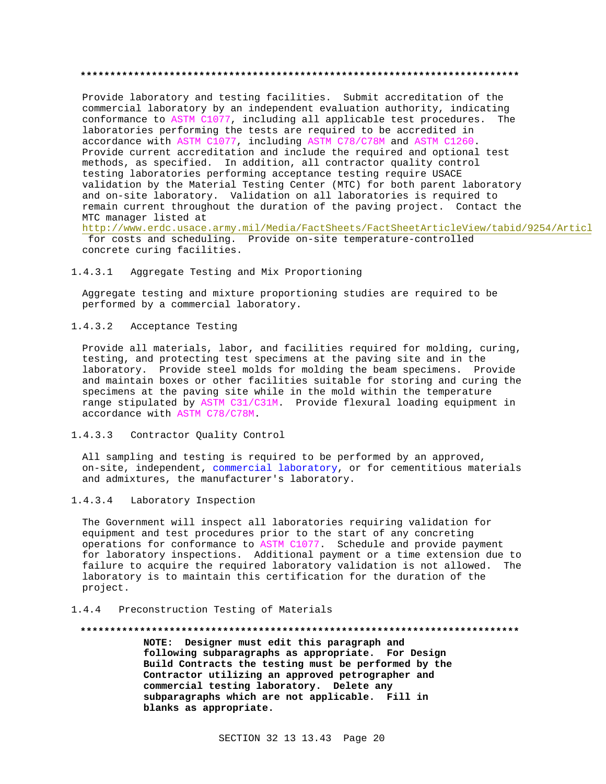# **\*\*\*\*\*\*\*\*\*\*\*\*\*\*\*\*\*\*\*\*\*\*\*\*\*\*\*\*\*\*\*\*\*\*\*\*\*\*\*\*\*\*\*\*\*\*\*\*\*\*\*\*\*\*\*\*\*\*\*\*\*\*\*\*\*\*\*\*\*\*\*\*\*\***

Provide laboratory and testing facilities. Submit accreditation of the commercial laboratory by an independent evaluation authority, indicating conformance to ASTM C1077, including all applicable test procedures. The laboratories performing the tests are required to be accredited in accordance with ASTM C1077, including ASTM C78/C78M and ASTM C1260. Provide current accreditation and include the required and optional test methods, as specified. In addition, all contractor quality control testing laboratories performing acceptance testing require USACE validation by the Material Testing Center (MTC) for both parent laboratory and on-site laboratory. Validation on all laboratories is required to remain current throughout the duration of the paving project. Contact the MTC manager listed at http://www.erdc.usace.army.mil/Media/FactSheets/FactSheetArticleView/tabid/9254/Articl

 for costs and scheduling. Provide on-site temperature-controlled concrete curing facilities.

## 1.4.3.1 Aggregate Testing and Mix Proportioning

Aggregate testing and mixture proportioning studies are required to be performed by a commercial laboratory.

1.4.3.2 Acceptance Testing

Provide all materials, labor, and facilities required for molding, curing, testing, and protecting test specimens at the paving site and in the laboratory. Provide steel molds for molding the beam specimens. Provide and maintain boxes or other facilities suitable for storing and curing the specimens at the paving site while in the mold within the temperature range stipulated by ASTM C31/C31M. Provide flexural loading equipment in accordance with ASTM C78/C78M.

## 1.4.3.3 Contractor Quality Control

All sampling and testing is required to be performed by an approved, on-site, independent, commercial laboratory, or for cementitious materials and admixtures, the manufacturer's laboratory.

## 1.4.3.4 Laboratory Inspection

The Government will inspect all laboratories requiring validation for equipment and test procedures prior to the start of any concreting operations for conformance to ASTM C1077. Schedule and provide payment for laboratory inspections. Additional payment or a time extension due to failure to acquire the required laboratory validation is not allowed. The laboratory is to maintain this certification for the duration of the project.

## 1.4.4 Preconstruction Testing of Materials

### **\*\*\*\*\*\*\*\*\*\*\*\*\*\*\*\*\*\*\*\*\*\*\*\*\*\*\*\*\*\*\*\*\*\*\*\*\*\*\*\*\*\*\*\*\*\*\*\*\*\*\*\*\*\*\*\*\*\*\*\*\*\*\*\*\*\*\*\*\*\*\*\*\*\***

**NOTE: Designer must edit this paragraph and following subparagraphs as appropriate. For Design Build Contracts the testing must be performed by the Contractor utilizing an approved petrographer and commercial testing laboratory. Delete any subparagraphs which are not applicable. Fill in blanks as appropriate.**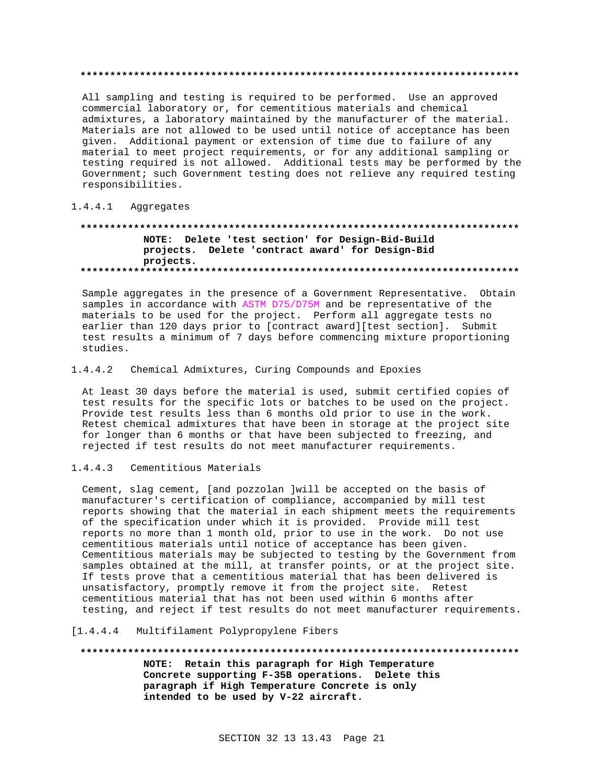All sampling and testing is required to be performed. Use an approved commercial laboratory or, for cementitious materials and chemical admixtures, a laboratory maintained by the manufacturer of the material. Materials are not allowed to be used until notice of acceptance has been given. Additional payment or extension of time due to failure of any material to meet project requirements, or for any additional sampling or testing required is not allowed. Additional tests may be performed by the Government; such Government testing does not relieve any required testing responsibilities.

## 1.4.4.1 Aggregates

### \*\*\*\*\*\*\*\*\*\*\*\*\*\*\*\* NOTE: Delete 'test section' for Design-Bid-Build projects. Delete 'contract award' for Design-Bid projects.

Sample aggregates in the presence of a Government Representative. Obtain samples in accordance with ASTM D75/D75M and be representative of the materials to be used for the project. Perform all aggregate tests no earlier than 120 days prior to [contract award][test section]. Submit test results a minimum of 7 days before commencing mixture proportioning studies.

1.4.4.2 Chemical Admixtures, Curing Compounds and Epoxies

At least 30 days before the material is used, submit certified copies of test results for the specific lots or batches to be used on the project. Provide test results less than 6 months old prior to use in the work. Retest chemical admixtures that have been in storage at the project site for longer than 6 months or that have been subjected to freezing, and rejected if test results do not meet manufacturer requirements.

#### $1.4.4.3$ Cementitious Materials

Cement, slag cement, [and pozzolan ]will be accepted on the basis of manufacturer's certification of compliance, accompanied by mill test reports showing that the material in each shipment meets the requirements of the specification under which it is provided. Provide mill test reports no more than 1 month old, prior to use in the work. Do not use cementitious materials until notice of acceptance has been given. Cementitious materials may be subjected to testing by the Government from samples obtained at the mill, at transfer points, or at the project site. If tests prove that a cementitious material that has been delivered is unsatisfactory, promptly remove it from the project site. Retest cementitious material that has not been used within 6 months after testing, and reject if test results do not meet manufacturer requirements.

[1.4.4.4 Multifilament Polypropylene Fibers

### 

NOTE: Retain this paragraph for High Temperature Concrete supporting F-35B operations. Delete this paragraph if High Temperature Concrete is only intended to be used by V-22 aircraft.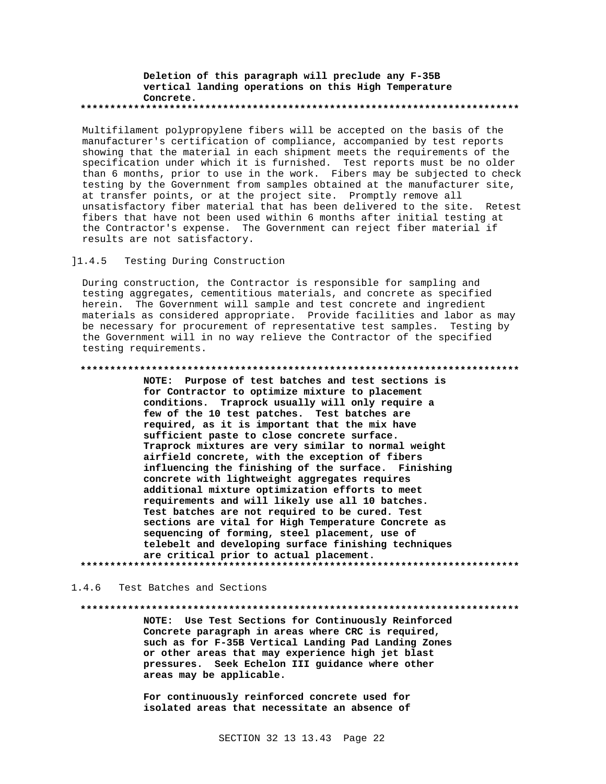## Deletion of this paragraph will preclude any F-35B vertical landing operations on this High Temperature Concrete.

Multifilament polypropylene fibers will be accepted on the basis of the manufacturer's certification of compliance, accompanied by test reports showing that the material in each shipment meets the requirements of the specification under which it is furnished. Test reports must be no older than 6 months, prior to use in the work. Fibers may be subjected to check testing by the Government from samples obtained at the manufacturer site, at transfer points, or at the project site. Promptly remove all unsatisfactory fiber material that has been delivered to the site. Retest fibers that have not been used within 6 months after initial testing at the Contractor's expense. The Government can reject fiber material if results are not satisfactory.

#### $]1.4.5$ Testing During Construction

During construction, the Contractor is responsible for sampling and testing aggregates, cementitious materials, and concrete as specified herein. The Government will sample and test concrete and ingredient materials as considered appropriate. Provide facilities and labor as may be necessary for procurement of representative test samples. Testing by the Government will in no way relieve the Contractor of the specified testing requirements.

#### \*\*\*\*\*\*\*\*\*\*\*\*

NOTE: Purpose of test batches and test sections is for Contractor to optimize mixture to placement conditions. Traprock usually will only require a few of the 10 test patches. Test batches are required, as it is important that the mix have sufficient paste to close concrete surface. Traprock mixtures are very similar to normal weight airfield concrete, with the exception of fibers influencing the finishing of the surface. Finishing concrete with lightweight aggregates requires additional mixture optimization efforts to meet requirements and will likely use all 10 batches. Test batches are not required to be cured. Test sections are vital for High Temperature Concrete as sequencing of forming, steel placement, use of telebelt and developing surface finishing techniques are critical prior to actual placement. 

## 1.4.6 Test Batches and Sections

NOTE: Use Test Sections for Continuously Reinforced Concrete paragraph in areas where CRC is required, such as for F-35B Vertical Landing Pad Landing Zones or other areas that may experience high jet blast pressures. Seek Echelon III guidance where other areas may be applicable.

For continuously reinforced concrete used for isolated areas that necessitate an absence of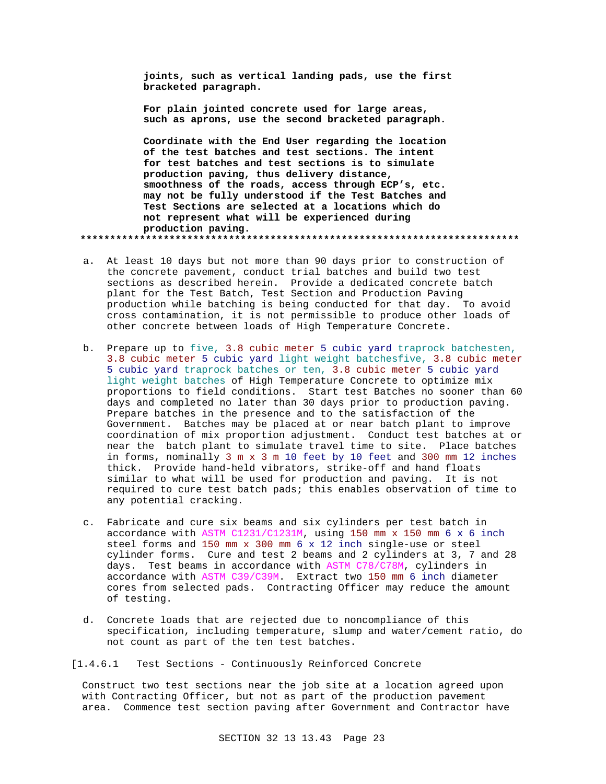**joints, such as vertical landing pads, use the first bracketed paragraph.**

**For plain jointed concrete used for large areas, such as aprons, use the second bracketed paragraph.**

**Coordinate with the End User regarding the location of the test batches and test sections. The intent for test batches and test sections is to simulate production paving, thus delivery distance, smoothness of the roads, access through ECP's, etc. may not be fully understood if the Test Batches and Test Sections are selected at a locations which do not represent what will be experienced during production paving. \*\*\*\*\*\*\*\*\*\*\*\*\*\*\*\*\*\*\*\*\*\*\*\*\*\*\*\*\*\*\*\*\*\*\*\*\*\*\*\*\*\*\*\*\*\*\*\*\*\*\*\*\*\*\*\*\*\*\*\*\*\*\*\*\*\*\*\*\*\*\*\*\*\***

- a. At least 10 days but not more than 90 days prior to construction of the concrete pavement, conduct trial batches and build two test sections as described herein. Provide a dedicated concrete batch plant for the Test Batch, Test Section and Production Paving production while batching is being conducted for that day. To avoid cross contamination, it is not permissible to produce other loads of other concrete between loads of High Temperature Concrete.
- b. Prepare up to five, 3.8 cubic meter 5 cubic yard traprock batchesten, 3.8 cubic meter 5 cubic yard light weight batchesfive, 3.8 cubic meter 5 cubic yard traprock batches or ten, 3.8 cubic meter 5 cubic yard light weight batches of High Temperature Concrete to optimize mix proportions to field conditions. Start test Batches no sooner than 60 days and completed no later than 30 days prior to production paving. Prepare batches in the presence and to the satisfaction of the Government. Batches may be placed at or near batch plant to improve coordination of mix proportion adjustment. Conduct test batches at or near the batch plant to simulate travel time to site. Place batches in forms, nominally 3 m x 3 m 10 feet by 10 feet and 300 mm 12 inches thick. Provide hand-held vibrators, strike-off and hand floats similar to what will be used for production and paving. It is not required to cure test batch pads; this enables observation of time to any potential cracking.
- c. Fabricate and cure six beams and six cylinders per test batch in accordance with ASTM C1231/C1231M, using 150 mm x 150 mm 6 x 6 inch steel forms and 150 mm x 300 mm 6 x 12 inch single-use or steel cylinder forms. Cure and test 2 beams and 2 cylinders at 3, 7 and 28 days. Test beams in accordance with ASTM C78/C78M, cylinders in accordance with ASTM C39/C39M. Extract two 150 mm 6 inch diameter cores from selected pads. Contracting Officer may reduce the amount of testing.
- d. Concrete loads that are rejected due to noncompliance of this specification, including temperature, slump and water/cement ratio, do not count as part of the ten test batches.

[1.4.6.1 Test Sections - Continuously Reinforced Concrete

Construct two test sections near the job site at a location agreed upon with Contracting Officer, but not as part of the production pavement area. Commence test section paving after Government and Contractor have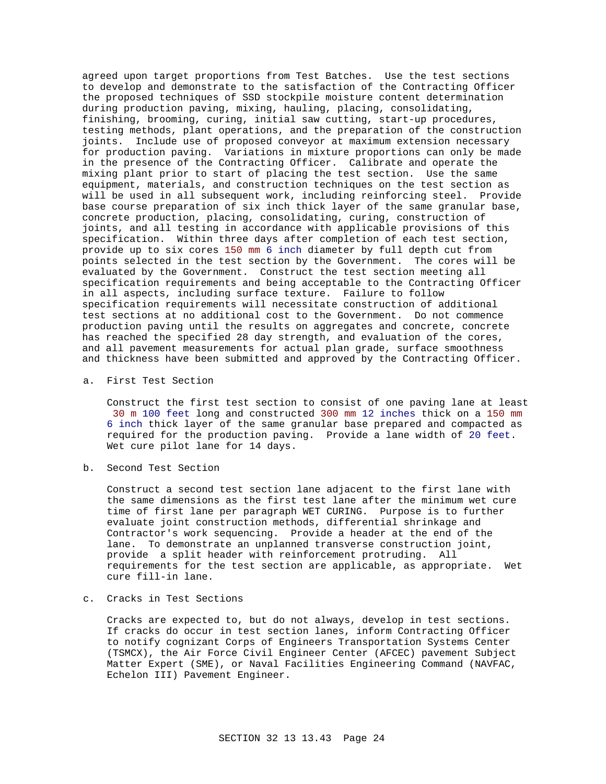agreed upon target proportions from Test Batches. Use the test sections to develop and demonstrate to the satisfaction of the Contracting Officer the proposed techniques of SSD stockpile moisture content determination during production paving, mixing, hauling, placing, consolidating, finishing, brooming, curing, initial saw cutting, start-up procedures, testing methods, plant operations, and the preparation of the construction joints. Include use of proposed conveyor at maximum extension necessary for production paving. Variations in mixture proportions can only be made in the presence of the Contracting Officer. Calibrate and operate the mixing plant prior to start of placing the test section. Use the same equipment, materials, and construction techniques on the test section as will be used in all subsequent work, including reinforcing steel. Provide base course preparation of six inch thick layer of the same granular base, concrete production, placing, consolidating, curing, construction of joints, and all testing in accordance with applicable provisions of this specification. Within three days after completion of each test section, provide up to six cores 150 mm 6 inch diameter by full depth cut from points selected in the test section by the Government. The cores will be evaluated by the Government. Construct the test section meeting all specification requirements and being acceptable to the Contracting Officer in all aspects, including surface texture. Failure to follow specification requirements will necessitate construction of additional test sections at no additional cost to the Government. Do not commence production paving until the results on aggregates and concrete, concrete has reached the specified 28 day strength, and evaluation of the cores, and all pavement measurements for actual plan grade, surface smoothness and thickness have been submitted and approved by the Contracting Officer.

a. First Test Section

 Construct the first test section to consist of one paving lane at least 30 m 100 feet long and constructed 300 mm 12 inches thick on a 150 mm 6 inch thick layer of the same granular base prepared and compacted as required for the production paving. Provide a lane width of 20 feet. Wet cure pilot lane for 14 days.

b. Second Test Section

 Construct a second test section lane adjacent to the first lane with the same dimensions as the first test lane after the minimum wet cure time of first lane per paragraph WET CURING. Purpose is to further evaluate joint construction methods, differential shrinkage and Contractor's work sequencing. Provide a header at the end of the lane. To demonstrate an unplanned transverse construction joint, provide a split header with reinforcement protruding. All requirements for the test section are applicable, as appropriate. Wet cure fill-in lane.

c. Cracks in Test Sections

 Cracks are expected to, but do not always, develop in test sections. If cracks do occur in test section lanes, inform Contracting Officer to notify cognizant Corps of Engineers Transportation Systems Center (TSMCX), the Air Force Civil Engineer Center (AFCEC) pavement Subject Matter Expert (SME), or Naval Facilities Engineering Command (NAVFAC, Echelon III) Pavement Engineer.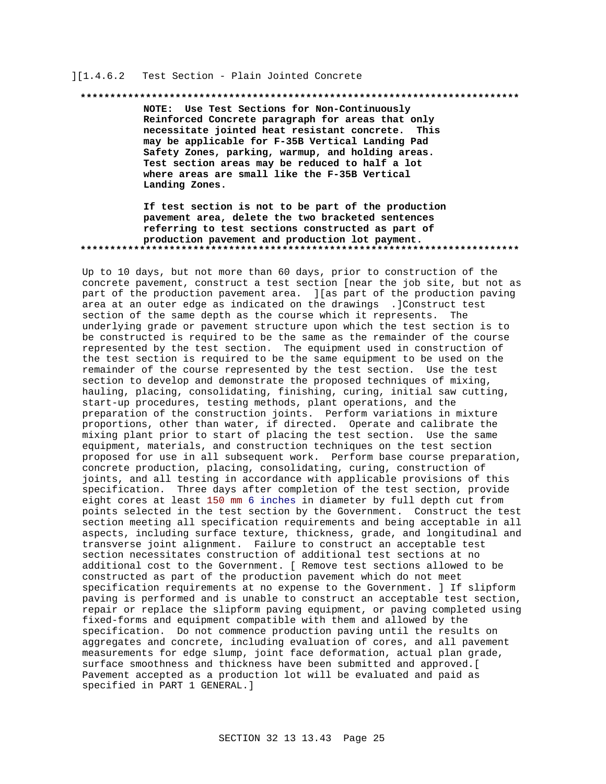#### $11.4.6.2$ Test Section - Plain Jointed Concrete

### 

NOTE: Use Test Sections for Non-Continuously Reinforced Concrete paragraph for areas that only necessitate jointed heat resistant concrete. This may be applicable for F-35B Vertical Landing Pad Safety Zones, parking, warmup, and holding areas. Test section areas may be reduced to half a lot where areas are small like the F-35B Vertical Landing Zones.

If test section is not to be part of the production pavement area, delete the two bracketed sentences referring to test sections constructed as part of production pavement and production lot payment. 

Up to 10 days, but not more than 60 days, prior to construction of the concrete pavement, construct a test section [near the job site, but not as part of the production pavement area. I [as part of the production paving area at an outer edge as indicated on the drawings . ]Construct test section of the same depth as the course which it represents. The underlying grade or pavement structure upon which the test section is to be constructed is required to be the same as the remainder of the course represented by the test section. The equipment used in construction of the test section is required to be the same equipment to be used on the remainder of the course represented by the test section. Use the test section to develop and demonstrate the proposed techniques of mixing, hauling, placing, consolidating, finishing, curing, initial saw cutting, start-up procedures, testing methods, plant operations, and the preparation of the construction joints. Perform variations in mixture proportions, other than water, if directed. Operate and calibrate the mixing plant prior to start of placing the test section. Use the same equipment, materials, and construction techniques on the test section proposed for use in all subsequent work. Perform base course preparation, concrete production, placing, consolidating, curing, construction of joints, and all testing in accordance with applicable provisions of this specification. Three days after completion of the test section, provide eight cores at least 150 mm 6 inches in diameter by full depth cut from points selected in the test section by the Government. Construct the test section meeting all specification requirements and being acceptable in all aspects, including surface texture, thickness, grade, and longitudinal and transverse joint alignment. Failure to construct an acceptable test section necessitates construction of additional test sections at no additional cost to the Government. [ Remove test sections allowed to be constructed as part of the production pavement which do not meet specification requirements at no expense to the Government. ] If slipform paving is performed and is unable to construct an acceptable test section, repair or replace the slipform paving equipment, or paving completed using fixed-forms and equipment compatible with them and allowed by the specification. Do not commence production paving until the results on aggregates and concrete, including evaluation of cores, and all pavement measurements for edge slump, joint face deformation, actual plan grade, surface smoothness and thickness have been submitted and approved. [ Pavement accepted as a production lot will be evaluated and paid as specified in PART 1 GENERAL.]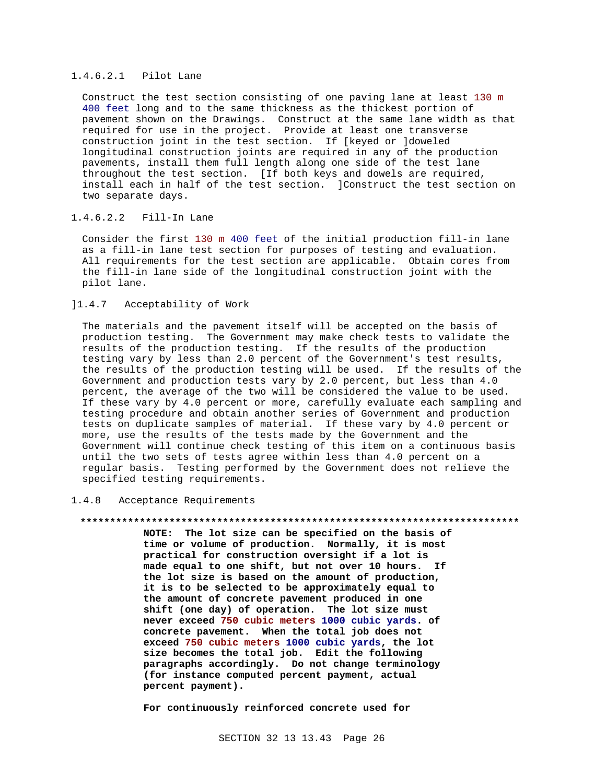## 1.4.6.2.1 Pilot Lane

Construct the test section consisting of one paving lane at least 130 m 400 feet long and to the same thickness as the thickest portion of pavement shown on the Drawings. Construct at the same lane width as that required for use in the project. Provide at least one transverse construction joint in the test section. If [keyed or ]doweled longitudinal construction joints are required in any of the production pavements, install them full length along one side of the test lane throughout the test section. [If both keys and dowels are required, install each in half of the test section. ]Construct the test section on two separate days.

## 1.4.6.2.2 Fill-In Lane

Consider the first 130 m 400 feet of the initial production fill-in lane as a fill-in lane test section for purposes of testing and evaluation. All requirements for the test section are applicable. Obtain cores from the fill-in lane side of the longitudinal construction joint with the pilot lane.

# ]1.4.7 Acceptability of Work

The materials and the pavement itself will be accepted on the basis of production testing. The Government may make check tests to validate the results of the production testing. If the results of the production testing vary by less than 2.0 percent of the Government's test results, the results of the production testing will be used. If the results of the Government and production tests vary by 2.0 percent, but less than 4.0 percent, the average of the two will be considered the value to be used. If these vary by 4.0 percent or more, carefully evaluate each sampling and testing procedure and obtain another series of Government and production tests on duplicate samples of material. If these vary by 4.0 percent or more, use the results of the tests made by the Government and the Government will continue check testing of this item on a continuous basis until the two sets of tests agree within less than 4.0 percent on a regular basis. Testing performed by the Government does not relieve the specified testing requirements.

## 1.4.8 Acceptance Requirements

### **\*\*\*\*\*\*\*\*\*\*\*\*\*\*\*\*\*\*\*\*\*\*\*\*\*\*\*\*\*\*\*\*\*\*\*\*\*\*\*\*\*\*\*\*\*\*\*\*\*\*\*\*\*\*\*\*\*\*\*\*\*\*\*\*\*\*\*\*\*\*\*\*\*\***

**NOTE: The lot size can be specified on the basis of time or volume of production. Normally, it is most practical for construction oversight if a lot is made equal to one shift, but not over 10 hours. If the lot size is based on the amount of production, it is to be selected to be approximately equal to the amount of concrete pavement produced in one shift (one day) of operation. The lot size must never exceed 750 cubic meters 1000 cubic yards. of concrete pavement. When the total job does not exceed 750 cubic meters 1000 cubic yards, the lot size becomes the total job. Edit the following paragraphs accordingly. Do not change terminology (for instance computed percent payment, actual percent payment).**

**For continuously reinforced concrete used for**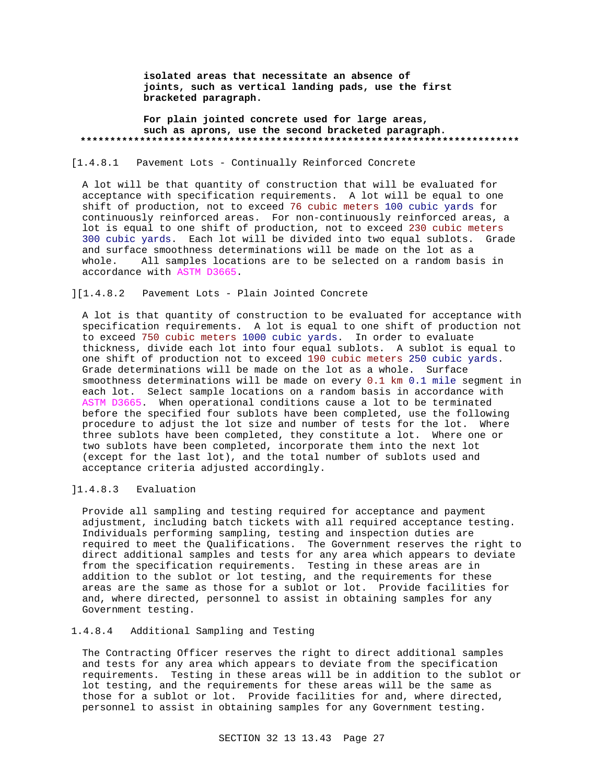**isolated areas that necessitate an absence of joints, such as vertical landing pads, use the first bracketed paragraph.**

## **For plain jointed concrete used for large areas, such as aprons, use the second bracketed paragraph. \*\*\*\*\*\*\*\*\*\*\*\*\*\*\*\*\*\*\*\*\*\*\*\*\*\*\*\*\*\*\*\*\*\*\*\*\*\*\*\*\*\*\*\*\*\*\*\*\*\*\*\*\*\*\*\*\*\*\*\*\*\*\*\*\*\*\*\*\*\*\*\*\*\***

## [1.4.8.1 Pavement Lots - Continually Reinforced Concrete

A lot will be that quantity of construction that will be evaluated for acceptance with specification requirements. A lot will be equal to one shift of production, not to exceed 76 cubic meters 100 cubic yards for continuously reinforced areas. For non-continuously reinforced areas, a lot is equal to one shift of production, not to exceed 230 cubic meters 300 cubic yards. Each lot will be divided into two equal sublots. Grade and surface smoothness determinations will be made on the lot as a whole. All samples locations are to be selected on a random basis in accordance with ASTM D3665.

## ][1.4.8.2 Pavement Lots - Plain Jointed Concrete

A lot is that quantity of construction to be evaluated for acceptance with specification requirements. A lot is equal to one shift of production not to exceed 750 cubic meters 1000 cubic yards. In order to evaluate thickness, divide each lot into four equal sublots. A sublot is equal to one shift of production not to exceed 190 cubic meters 250 cubic yards. Grade determinations will be made on the lot as a whole. Surface smoothness determinations will be made on every 0.1 km 0.1 mile segment in each lot. Select sample locations on a random basis in accordance with ASTM D3665. When operational conditions cause a lot to be terminated before the specified four sublots have been completed, use the following procedure to adjust the lot size and number of tests for the lot. Where three sublots have been completed, they constitute a lot. Where one or two sublots have been completed, incorporate them into the next lot (except for the last lot), and the total number of sublots used and acceptance criteria adjusted accordingly.

# ]1.4.8.3 Evaluation

Provide all sampling and testing required for acceptance and payment adjustment, including batch tickets with all required acceptance testing. Individuals performing sampling, testing and inspection duties are required to meet the Qualifications. The Government reserves the right to direct additional samples and tests for any area which appears to deviate from the specification requirements. Testing in these areas are in addition to the sublot or lot testing, and the requirements for these areas are the same as those for a sublot or lot. Provide facilities for and, where directed, personnel to assist in obtaining samples for any Government testing.

## 1.4.8.4 Additional Sampling and Testing

The Contracting Officer reserves the right to direct additional samples and tests for any area which appears to deviate from the specification requirements. Testing in these areas will be in addition to the sublot or lot testing, and the requirements for these areas will be the same as those for a sublot or lot. Provide facilities for and, where directed, personnel to assist in obtaining samples for any Government testing.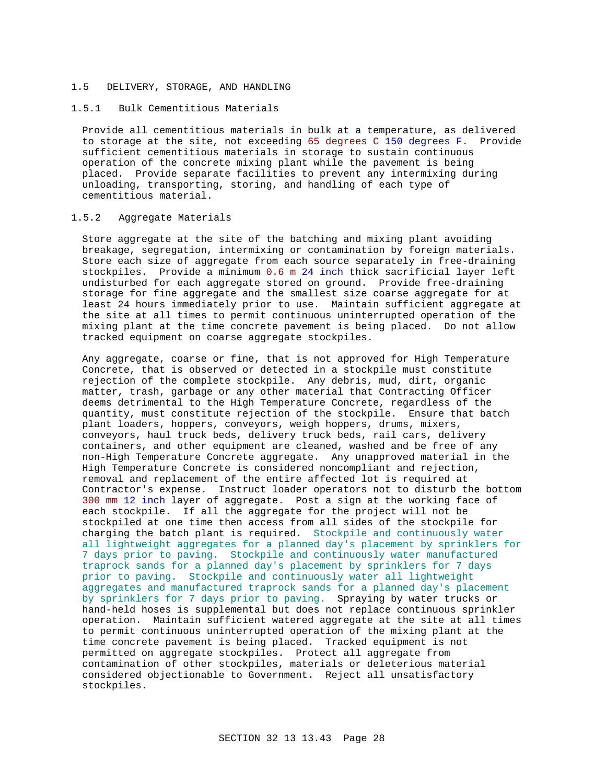## 1.5 DELIVERY, STORAGE, AND HANDLING

## 1.5.1 Bulk Cementitious Materials

Provide all cementitious materials in bulk at a temperature, as delivered to storage at the site, not exceeding 65 degrees C 150 degrees F. Provide sufficient cementitious materials in storage to sustain continuous operation of the concrete mixing plant while the pavement is being placed. Provide separate facilities to prevent any intermixing during unloading, transporting, storing, and handling of each type of cementitious material.

## 1.5.2 Aggregate Materials

Store aggregate at the site of the batching and mixing plant avoiding breakage, segregation, intermixing or contamination by foreign materials. Store each size of aggregate from each source separately in free-draining stockpiles. Provide a minimum 0.6 m 24 inch thick sacrificial layer left undisturbed for each aggregate stored on ground. Provide free-draining storage for fine aggregate and the smallest size coarse aggregate for at least 24 hours immediately prior to use. Maintain sufficient aggregate at the site at all times to permit continuous uninterrupted operation of the mixing plant at the time concrete pavement is being placed. Do not allow tracked equipment on coarse aggregate stockpiles.

Any aggregate, coarse or fine, that is not approved for High Temperature Concrete, that is observed or detected in a stockpile must constitute rejection of the complete stockpile. Any debris, mud, dirt, organic matter, trash, garbage or any other material that Contracting Officer deems detrimental to the High Temperature Concrete, regardless of the quantity, must constitute rejection of the stockpile. Ensure that batch plant loaders, hoppers, conveyors, weigh hoppers, drums, mixers, conveyors, haul truck beds, delivery truck beds, rail cars, delivery containers, and other equipment are cleaned, washed and be free of any non-High Temperature Concrete aggregate. Any unapproved material in the High Temperature Concrete is considered noncompliant and rejection, removal and replacement of the entire affected lot is required at Contractor's expense. Instruct loader operators not to disturb the bottom 300 mm 12 inch layer of aggregate. Post a sign at the working face of each stockpile. If all the aggregate for the project will not be stockpiled at one time then access from all sides of the stockpile for charging the batch plant is required. Stockpile and continuously water all lightweight aggregates for a planned day's placement by sprinklers for 7 days prior to paving. Stockpile and continuously water manufactured traprock sands for a planned day's placement by sprinklers for 7 days prior to paving. Stockpile and continuously water all lightweight aggregates and manufactured traprock sands for a planned day's placement by sprinklers for 7 days prior to paving. Spraying by water trucks or hand-held hoses is supplemental but does not replace continuous sprinkler operation. Maintain sufficient watered aggregate at the site at all times to permit continuous uninterrupted operation of the mixing plant at the time concrete pavement is being placed. Tracked equipment is not permitted on aggregate stockpiles. Protect all aggregate from contamination of other stockpiles, materials or deleterious material considered objectionable to Government. Reject all unsatisfactory stockpiles.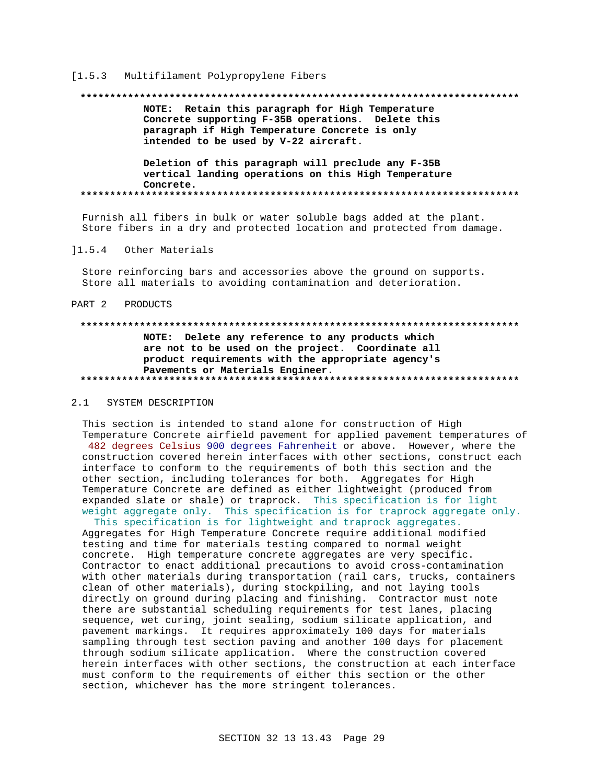## [1.5.3 Multifilament Polypropylene Fibers

### 

NOTE: Retain this paragraph for High Temperature Concrete supporting F-35B operations. Delete this paragraph if High Temperature Concrete is only intended to be used by V-22 aircraft.

Deletion of this paragraph will preclude any F-35B vertical landing operations on this High Temperature Concrete. 

Furnish all fibers in bulk or water soluble bags added at the plant. Store fibers in a dry and protected location and protected from damage.

 $]1.5.4$ Other Materials

Store reinforcing bars and accessories above the ground on supports. Store all materials to avoiding contamination and deterioration.

#### PART 2 PRODUCTS

# 

NOTE: Delete any reference to any products which are not to be used on the project. Coordinate all product requirements with the appropriate agency's Pavements or Materials Engineer. 

#### $2.1$ SYSTEM DESCRIPTION

This section is intended to stand alone for construction of High Temperature Concrete airfield pavement for applied pavement temperatures of

482 degrees Celsius 900 degrees Fahrenheit or above. However, where the construction covered herein interfaces with other sections, construct each interface to conform to the requirements of both this section and the other section, including tolerances for both. Aggregates for High Temperature Concrete are defined as either lightweight (produced from expanded slate or shale) or traprock. This specification is for light weight aggregate only. This specification is for traprock aggregate only.

This specification is for lightweight and traprock aggregates. Aggregates for High Temperature Concrete require additional modified testing and time for materials testing compared to normal weight concrete. High temperature concrete aggregates are very specific. Contractor to enact additional precautions to avoid cross-contamination with other materials during transportation (rail cars, trucks, containers clean of other materials), during stockpiling, and not laying tools directly on ground during placing and finishing. Contractor must note there are substantial scheduling requirements for test lanes, placing sequence, wet curing, joint sealing, sodium silicate application, and pavement markings. It requires approximately 100 days for materials sampling through test section paving and another 100 days for placement through sodium silicate application. Where the construction covered herein interfaces with other sections, the construction at each interface must conform to the requirements of either this section or the other section, whichever has the more stringent tolerances.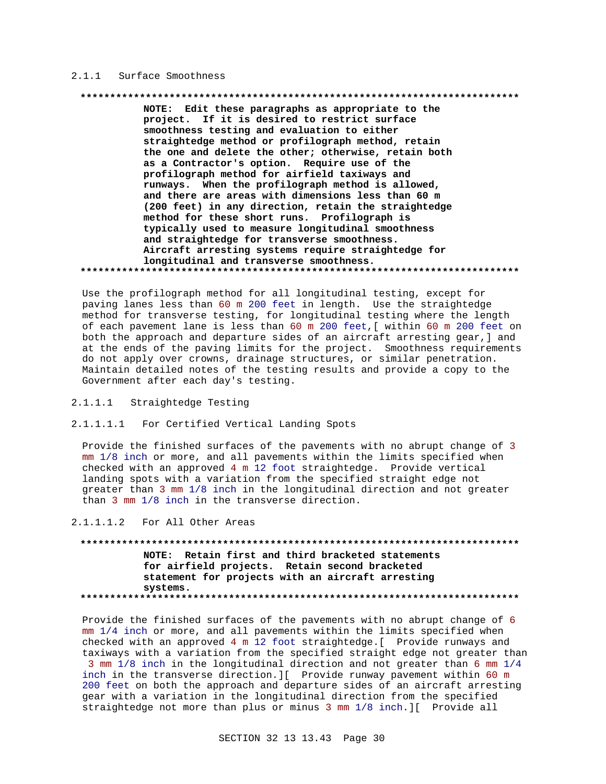## 2.1.1 Surface Smoothness

### 

NOTE: Edit these paragraphs as appropriate to the project. If it is desired to restrict surface smoothness testing and evaluation to either straightedge method or profilograph method, retain the one and delete the other; otherwise, retain both as a Contractor's option. Require use of the profilograph method for airfield taxiways and runways. When the profilograph method is allowed, and there are areas with dimensions less than 60 m (200 feet) in any direction, retain the straightedge method for these short runs. Profilograph is typically used to measure longitudinal smoothness and straightedge for transverse smoothness. Aircraft arresting systems require straightedge for longitudinal and transverse smoothness. 

Use the profilograph method for all longitudinal testing, except for paving lanes less than 60 m 200 feet in length. Use the straightedge method for transverse testing, for longitudinal testing where the length of each pavement lane is less than 60 m 200 feet, [ within 60 m 200 feet on both the approach and departure sides of an aircraft arresting gear, ] and at the ends of the paving limits for the project. Smoothness requirements do not apply over crowns, drainage structures, or similar penetration. Maintain detailed notes of the testing results and provide a copy to the Government after each day's testing.

#### $2.1.1.1$ Straightedge Testing

## 2.1.1.1.1 For Certified Vertical Landing Spots

Provide the finished surfaces of the pavements with no abrupt change of 3 mm 1/8 inch or more, and all pavements within the limits specified when checked with an approved 4 m 12 foot straightedge. Provide vertical landing spots with a variation from the specified straight edge not greater than 3 mm 1/8 inch in the longitudinal direction and not greater than  $3 \text{ mm } 1/8$  inch in the transverse direction.

### $2.1.1.1.2$ For All Other Areas

NOTE: Retain first and third bracketed statements for airfield projects. Retain second bracketed statement for projects with an aircraft arresting systems. 

Provide the finished surfaces of the pavements with no abrupt change of 6 mm 1/4 inch or more, and all pavements within the limits specified when checked with an approved 4 m 12 foot straightedge. [ Provide runways and taxiways with a variation from the specified straight edge not greater than 3 mm 1/8 inch in the longitudinal direction and not greater than 6 mm 1/4 inch in the transverse direction. I Provide runway pavement within 60 m 200 feet on both the approach and departure sides of an aircraft arresting gear with a variation in the longitudinal direction from the specified straightedge not more than plus or minus 3 mm 1/8 inch. I Provide all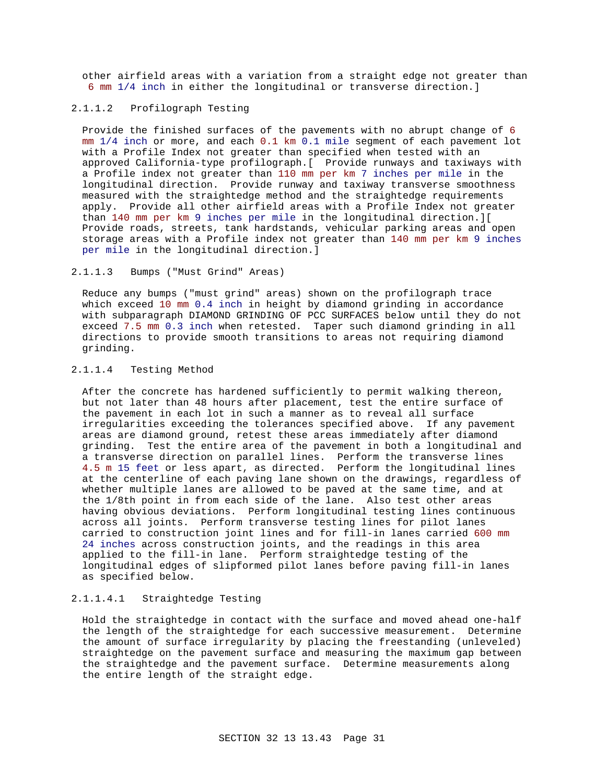other airfield areas with a variation from a straight edge not greater than 6 mm 1/4 inch in either the longitudinal or transverse direction.]

## 2.1.1.2 Profilograph Testing

Provide the finished surfaces of the pavements with no abrupt change of 6 mm 1/4 inch or more, and each 0.1 km 0.1 mile segment of each pavement lot with a Profile Index not greater than specified when tested with an approved California-type profilograph.[ Provide runways and taxiways with a Profile index not greater than 110 mm per km 7 inches per mile in the longitudinal direction. Provide runway and taxiway transverse smoothness measured with the straightedge method and the straightedge requirements apply. Provide all other airfield areas with a Profile Index not greater than 140 mm per km 9 inches per mile in the longitudinal direction.][ Provide roads, streets, tank hardstands, vehicular parking areas and open storage areas with a Profile index not greater than 140 mm per km 9 inches per mile in the longitudinal direction.]

## 2.1.1.3 Bumps ("Must Grind" Areas)

Reduce any bumps ("must grind" areas) shown on the profilograph trace which exceed 10 mm 0.4 inch in height by diamond grinding in accordance with subparagraph DIAMOND GRINDING OF PCC SURFACES below until they do not exceed 7.5 mm 0.3 inch when retested. Taper such diamond grinding in all directions to provide smooth transitions to areas not requiring diamond grinding.

## 2.1.1.4 Testing Method

After the concrete has hardened sufficiently to permit walking thereon, but not later than 48 hours after placement, test the entire surface of the pavement in each lot in such a manner as to reveal all surface irregularities exceeding the tolerances specified above. If any pavement areas are diamond ground, retest these areas immediately after diamond grinding. Test the entire area of the pavement in both a longitudinal and a transverse direction on parallel lines. Perform the transverse lines 4.5 m 15 feet or less apart, as directed. Perform the longitudinal lines at the centerline of each paving lane shown on the drawings, regardless of whether multiple lanes are allowed to be paved at the same time, and at the 1/8th point in from each side of the lane. Also test other areas having obvious deviations. Perform longitudinal testing lines continuous across all joints. Perform transverse testing lines for pilot lanes carried to construction joint lines and for fill-in lanes carried 600 mm 24 inches across construction joints, and the readings in this area applied to the fill-in lane. Perform straightedge testing of the longitudinal edges of slipformed pilot lanes before paving fill-in lanes as specified below.

## 2.1.1.4.1 Straightedge Testing

Hold the straightedge in contact with the surface and moved ahead one-half the length of the straightedge for each successive measurement. Determine the amount of surface irregularity by placing the freestanding (unleveled) straightedge on the pavement surface and measuring the maximum gap between the straightedge and the pavement surface. Determine measurements along the entire length of the straight edge.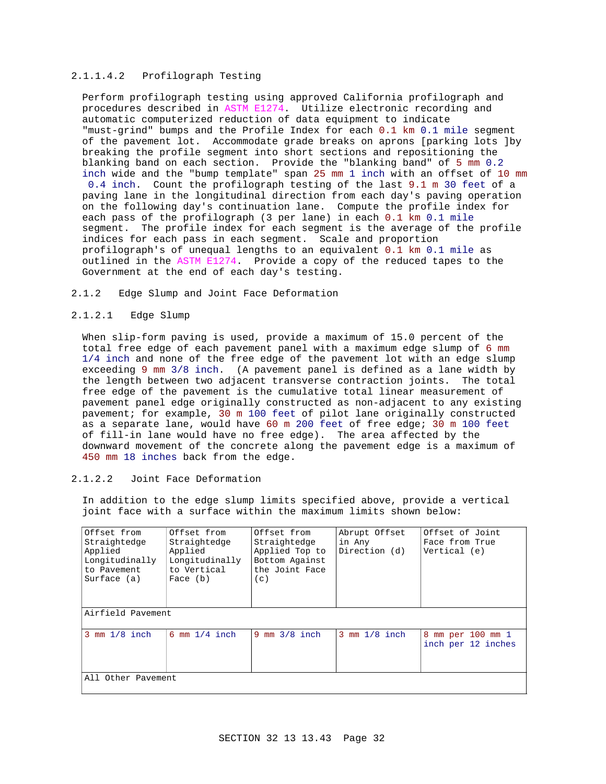## 2.1.1.4.2 Profilograph Testing

Perform profilograph testing using approved California profilograph and procedures described in ASTM E1274. Utilize electronic recording and automatic computerized reduction of data equipment to indicate "must-grind" bumps and the Profile Index for each 0.1 km 0.1 mile segment of the pavement lot. Accommodate grade breaks on aprons [parking lots ]by breaking the profile segment into short sections and repositioning the blanking band on each section. Provide the "blanking band" of 5 mm 0.2 inch wide and the "bump template" span 25 mm 1 inch with an offset of 10 mm 0.4 inch. Count the profilograph testing of the last 9.1 m 30 feet of a paving lane in the longitudinal direction from each day's paving operation on the following day's continuation lane. Compute the profile index for each pass of the profilograph (3 per lane) in each 0.1 km 0.1 mile segment. The profile index for each segment is the average of the profile indices for each pass in each segment. Scale and proportion profilograph's of unequal lengths to an equivalent 0.1 km 0.1 mile as outlined in the ASTM E1274. Provide a copy of the reduced tapes to the Government at the end of each day's testing.

## 2.1.2 Edge Slump and Joint Face Deformation

## 2.1.2.1 Edge Slump

When slip-form paving is used, provide a maximum of 15.0 percent of the total free edge of each pavement panel with a maximum edge slump of 6 mm 1/4 inch and none of the free edge of the pavement lot with an edge slump exceeding 9 mm 3/8 inch. (A pavement panel is defined as a lane width by the length between two adjacent transverse contraction joints. The total free edge of the pavement is the cumulative total linear measurement of pavement panel edge originally constructed as non-adjacent to any existing pavement; for example, 30 m 100 feet of pilot lane originally constructed as a separate lane, would have 60 m 200 feet of free edge; 30 m 100 feet of fill-in lane would have no free edge). The area affected by the downward movement of the concrete along the pavement edge is a maximum of 450 mm 18 inches back from the edge.

## 2.1.2.2 Joint Face Deformation

In addition to the edge slump limits specified above, provide a vertical joint face with a surface within the maximum limits shown below:

| Offset from<br>Straightedge<br>Applied<br>Longitudinally<br>to Pavement<br>Surface (a) | Offset from<br>Straightedge<br>Applied<br>Longitudinally<br>to Vertical<br>Face (b) | Offset from<br>Straightedge<br>Applied Top to<br>Bottom Against<br>the Joint Face<br>(c) | Abrupt Offset<br>in Any<br>Direction (d) | Offset of Joint<br>Face from True<br>Vertical (e) |  |
|----------------------------------------------------------------------------------------|-------------------------------------------------------------------------------------|------------------------------------------------------------------------------------------|------------------------------------------|---------------------------------------------------|--|
|                                                                                        |                                                                                     |                                                                                          |                                          |                                                   |  |
| Airfield Pavement                                                                      |                                                                                     |                                                                                          |                                          |                                                   |  |
| $3 \text{ mm } 1/8 \text{ inch}$                                                       | $6 \text{ mm } 1/4 \text{ inch}$                                                    | $9 \text{ mm } 3/8 \text{ inch}$                                                         | $3 \text{ mm } 1/8 \text{ inch}$         | 8 mm per 100 mm 1<br>inch per 12 inches           |  |
| All Other Pavement                                                                     |                                                                                     |                                                                                          |                                          |                                                   |  |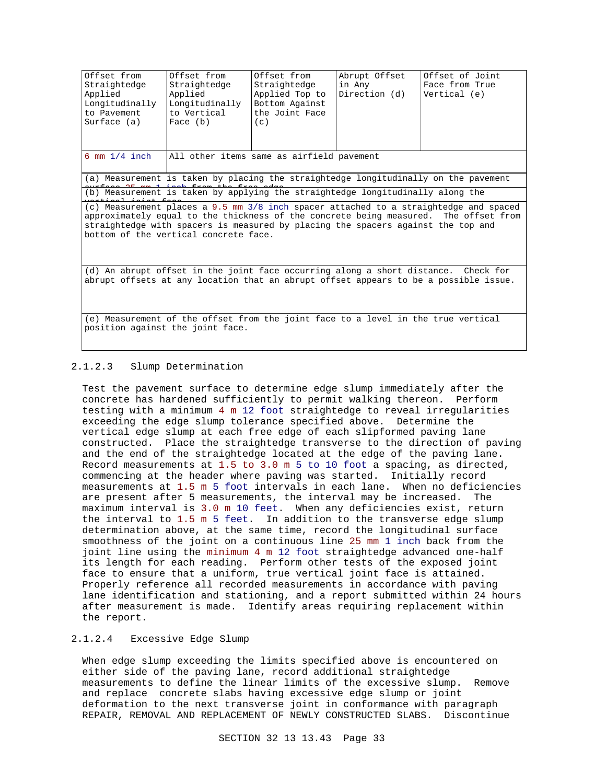| Offset from<br>Straightedge<br>Applied<br>Longitudinally<br>to Pavement<br>Surface (a)                                                                                                                                                                                                                     | Offset from<br>Straightedge<br>Applied<br>Longitudinally<br>to Vertical<br>Face (b) | Offset from<br>Straightedge<br>Applied Top to<br>Bottom Against<br>the Joint Face<br>(c) | Abrupt Offset<br>in Any<br>Direction (d) | Offset of Joint<br>Face from True<br>Vertical (e)                                   |  |
|------------------------------------------------------------------------------------------------------------------------------------------------------------------------------------------------------------------------------------------------------------------------------------------------------------|-------------------------------------------------------------------------------------|------------------------------------------------------------------------------------------|------------------------------------------|-------------------------------------------------------------------------------------|--|
| $6 \text{ mm } 1/4 \text{ inch}$                                                                                                                                                                                                                                                                           |                                                                                     | All other items same as airfield pavement                                                |                                          |                                                                                     |  |
|                                                                                                                                                                                                                                                                                                            |                                                                                     |                                                                                          |                                          | (a) Measurement is taken by placing the straightedge longitudinally on the pavement |  |
|                                                                                                                                                                                                                                                                                                            | (b) Measurement is taken by applying the straightedge longitudinally along the      |                                                                                          |                                          |                                                                                     |  |
| (c) Measurement places a 9.5 mm 3/8 inch spacer attached to a straightedge and spaced<br>approximately equal to the thickness of the concrete being measured. The offset from<br>straightedge with spacers is measured by placing the spacers against the top and<br>bottom of the vertical concrete face. |                                                                                     |                                                                                          |                                          |                                                                                     |  |
| (d) An abrupt offset in the joint face occurring along a short distance. Check for<br>abrupt offsets at any location that an abrupt offset appears to be a possible issue.                                                                                                                                 |                                                                                     |                                                                                          |                                          |                                                                                     |  |

(e) Measurement of the offset from the joint face to a level in the true vertical position against the joint face.

## 2.1.2.3 Slump Determination

Test the pavement surface to determine edge slump immediately after the concrete has hardened sufficiently to permit walking thereon. Perform testing with a minimum 4 m 12 foot straightedge to reveal irregularities exceeding the edge slump tolerance specified above. Determine the vertical edge slump at each free edge of each slipformed paving lane constructed. Place the straightedge transverse to the direction of paving and the end of the straightedge located at the edge of the paving lane. Record measurements at 1.5 to 3.0 m 5 to 10 foot a spacing, as directed, commencing at the header where paving was started. Initially record measurements at 1.5 m 5 foot intervals in each lane. When no deficiencies are present after 5 measurements, the interval may be increased. The maximum interval is 3.0 m 10 feet. When any deficiencies exist, return the interval to 1.5 m 5 feet. In addition to the transverse edge slump determination above, at the same time, record the longitudinal surface smoothness of the joint on a continuous line 25 mm 1 inch back from the joint line using the minimum 4 m 12 foot straightedge advanced one-half its length for each reading. Perform other tests of the exposed joint face to ensure that a uniform, true vertical joint face is attained. Properly reference all recorded measurements in accordance with paving lane identification and stationing, and a report submitted within 24 hours after measurement is made. Identify areas requiring replacement within the report.

## 2.1.2.4 Excessive Edge Slump

When edge slump exceeding the limits specified above is encountered on either side of the paving lane, record additional straightedge measurements to define the linear limits of the excessive slump. Remove and replace concrete slabs having excessive edge slump or joint deformation to the next transverse joint in conformance with paragraph REPAIR, REMOVAL AND REPLACEMENT OF NEWLY CONSTRUCTED SLABS. Discontinue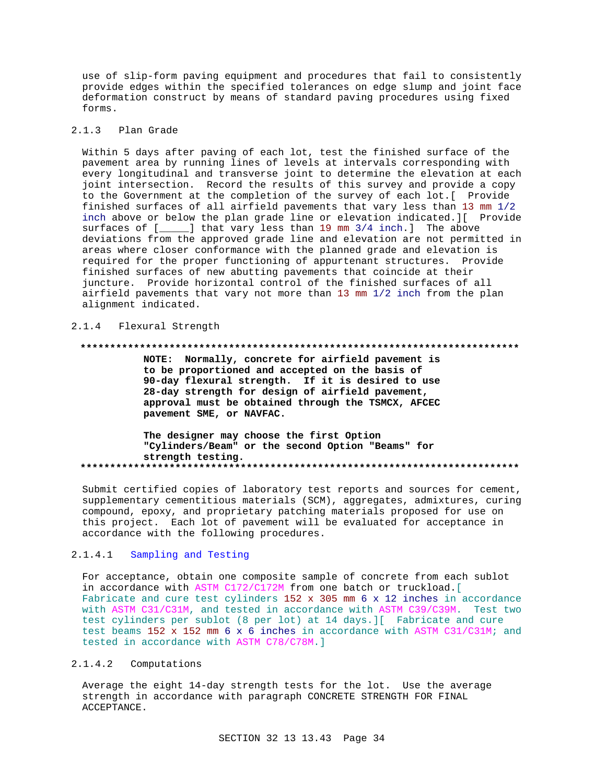use of slip-form paving equipment and procedures that fail to consistently provide edges within the specified tolerances on edge slump and joint face deformation construct by means of standard paving procedures using fixed forms.

#### $2.1.3$ Plan Grade

Within 5 days after paving of each lot, test the finished surface of the pavement area by running lines of levels at intervals corresponding with every longitudinal and transverse joint to determine the elevation at each joint intersection. Record the results of this survey and provide a copy to the Government at the completion of the survey of each lot. [ Provide finished surfaces of all airfield pavements that vary less than 13 mm 1/2 inch above or below the plan grade line or elevation indicated. I Provide surfaces of [\_\_\_\_\_] that vary less than 19 mm 3/4 inch.] The above deviations from the approved grade line and elevation are not permitted in areas where closer conformance with the planned grade and elevation is required for the proper functioning of appurtenant structures. Provide finished surfaces of new abutting pavements that coincide at their juncture. Provide horizontal control of the finished surfaces of all airfield pavements that vary not more than 13 mm 1/2 inch from the plan alignment indicated.

## 2.1.4 Flexural Strength

## 

NOTE: Normally, concrete for airfield pavement is to be proportioned and accepted on the basis of 90-day flexural strength. If it is desired to use 28-day strength for design of airfield pavement, approval must be obtained through the TSMCX, AFCEC pavement SME, or NAVFAC.

The designer may choose the first Option "Cylinders/Beam" or the second Option "Beams" for strength testing. 

Submit certified copies of laboratory test reports and sources for cement, supplementary cementitious materials (SCM), aggregates, admixtures, curing compound, epoxy, and proprietary patching materials proposed for use on this project. Each lot of pavement will be evaluated for acceptance in accordance with the following procedures.

#### $2.1.4.1$ Sampling and Testing

For acceptance, obtain one composite sample of concrete from each sublot in accordance with ASTM C172/C172M from one batch or truckload. [ Fabricate and cure test cylinders 152 x 305 mm 6 x 12 inches in accordance with ASTM C31/C31M, and tested in accordance with ASTM C39/C39M. Test two test cylinders per sublot (8 per lot) at 14 days. I Fabricate and cure test beams 152 x 152 mm 6 x 6 inches in accordance with ASTM C31/C31M; and tested in accordance with ASTM C78/C78M.]

## 2.1.4.2 Computations

Average the eight 14-day strength tests for the lot. Use the average strength in accordance with paragraph CONCRETE STRENGTH FOR FINAL ACCEPTANCE.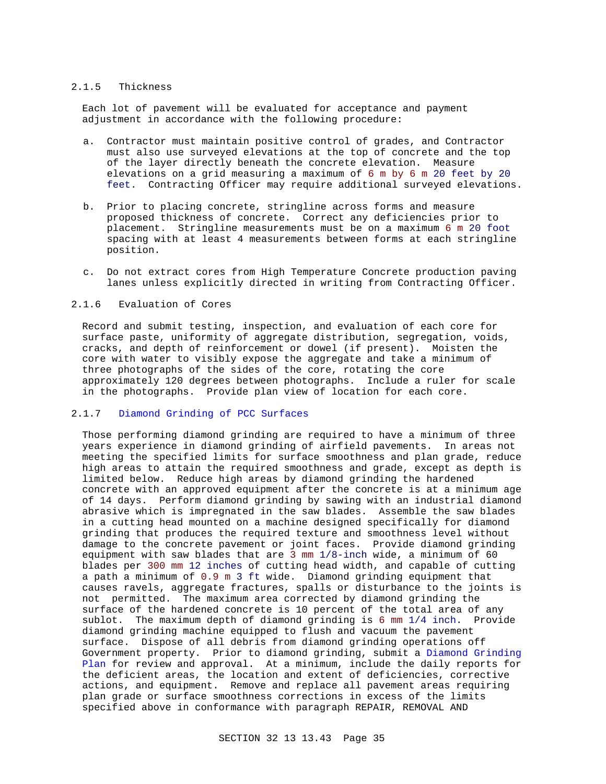## 2.1.5 Thickness

Each lot of pavement will be evaluated for acceptance and payment adjustment in accordance with the following procedure:

- a. Contractor must maintain positive control of grades, and Contractor must also use surveyed elevations at the top of concrete and the top of the layer directly beneath the concrete elevation. Measure elevations on a grid measuring a maximum of 6 m by 6 m 20 feet by 20 feet. Contracting Officer may require additional surveyed elevations.
- b. Prior to placing concrete, stringline across forms and measure proposed thickness of concrete. Correct any deficiencies prior to placement. Stringline measurements must be on a maximum 6 m 20 foot spacing with at least 4 measurements between forms at each stringline position.
- c. Do not extract cores from High Temperature Concrete production paving lanes unless explicitly directed in writing from Contracting Officer.

# 2.1.6 Evaluation of Cores

Record and submit testing, inspection, and evaluation of each core for surface paste, uniformity of aggregate distribution, segregation, voids, cracks, and depth of reinforcement or dowel (if present). Moisten the core with water to visibly expose the aggregate and take a minimum of three photographs of the sides of the core, rotating the core approximately 120 degrees between photographs. Include a ruler for scale in the photographs. Provide plan view of location for each core.

# 2.1.7 Diamond Grinding of PCC Surfaces

Those performing diamond grinding are required to have a minimum of three years experience in diamond grinding of airfield pavements. In areas not meeting the specified limits for surface smoothness and plan grade, reduce high areas to attain the required smoothness and grade, except as depth is limited below. Reduce high areas by diamond grinding the hardened concrete with an approved equipment after the concrete is at a minimum age of 14 days. Perform diamond grinding by sawing with an industrial diamond abrasive which is impregnated in the saw blades. Assemble the saw blades in a cutting head mounted on a machine designed specifically for diamond grinding that produces the required texture and smoothness level without damage to the concrete pavement or joint faces. Provide diamond grinding equipment with saw blades that are 3 mm 1/8-inch wide, a minimum of 60 blades per 300 mm 12 inches of cutting head width, and capable of cutting a path a minimum of 0.9 m 3 ft wide. Diamond grinding equipment that causes ravels, aggregate fractures, spalls or disturbance to the joints is not permitted. The maximum area corrected by diamond grinding the surface of the hardened concrete is 10 percent of the total area of any sublot. The maximum depth of diamond grinding is 6 mm 1/4 inch. Provide diamond grinding machine equipped to flush and vacuum the pavement surface. Dispose of all debris from diamond grinding operations off Government property. Prior to diamond grinding, submit a Diamond Grinding Plan for review and approval. At a minimum, include the daily reports for the deficient areas, the location and extent of deficiencies, corrective actions, and equipment. Remove and replace all pavement areas requiring plan grade or surface smoothness corrections in excess of the limits specified above in conformance with paragraph REPAIR, REMOVAL AND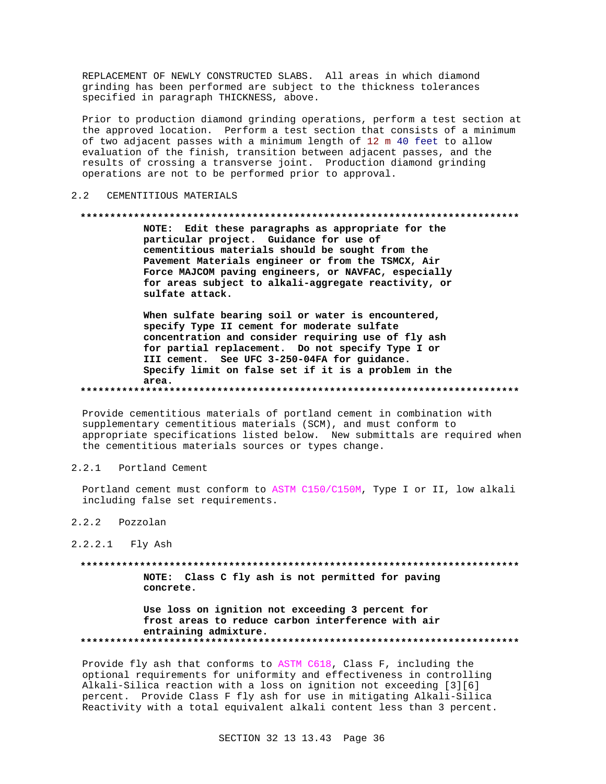REPLACEMENT OF NEWLY CONSTRUCTED SLABS. All areas in which diamond grinding has been performed are subject to the thickness tolerances specified in paragraph THICKNESS, above.

Prior to production diamond grinding operations, perform a test section at the approved location. Perform a test section that consists of a minimum of two adjacent passes with a minimum length of 12 m 40 feet to allow evaluation of the finish, transition between adjacent passes, and the results of crossing a transverse joint. Production diamond grinding operations are not to be performed prior to approval.

#### $2.2$ CEMENTITIOUS MATERIALS

## 

NOTE: Edit these paragraphs as appropriate for the particular project. Guidance for use of cementitious materials should be sought from the Pavement Materials engineer or from the TSMCX, Air Force MAJCOM paving engineers, or NAVFAC, especially for areas subject to alkali-aggregate reactivity, or sulfate attack.

When sulfate bearing soil or water is encountered, specify Type II cement for moderate sulfate concentration and consider requiring use of fly ash for partial replacement. Do not specify Type I or III cement. See UFC 3-250-04FA for guidance. Specify limit on false set if it is a problem in the area.

Provide cementitious materials of portland cement in combination with supplementary cementitious materials (SCM), and must conform to appropriate specifications listed below. New submittals are required when the cementitious materials sources or types change.

#### $2, 2, 1$ Portland Cement

Portland cement must conform to ASTM C150/C150M, Type I or II, low alkali including false set requirements.

- 2.2.2 Pozzolan
- 2.2.2.1 Fly Ash

# 

NOTE: Class C fly ash is not permitted for paving concrete.

Use loss on ignition not exceeding 3 percent for frost areas to reduce carbon interference with air entraining admixture. 

Provide fly ash that conforms to ASTM C618, Class F, including the optional requirements for uniformity and effectiveness in controlling Alkali-Silica reaction with a loss on ignition not exceeding [3][6] percent. Provide Class F fly ash for use in mitigating Alkali-Silica Reactivity with a total equivalent alkali content less than 3 percent.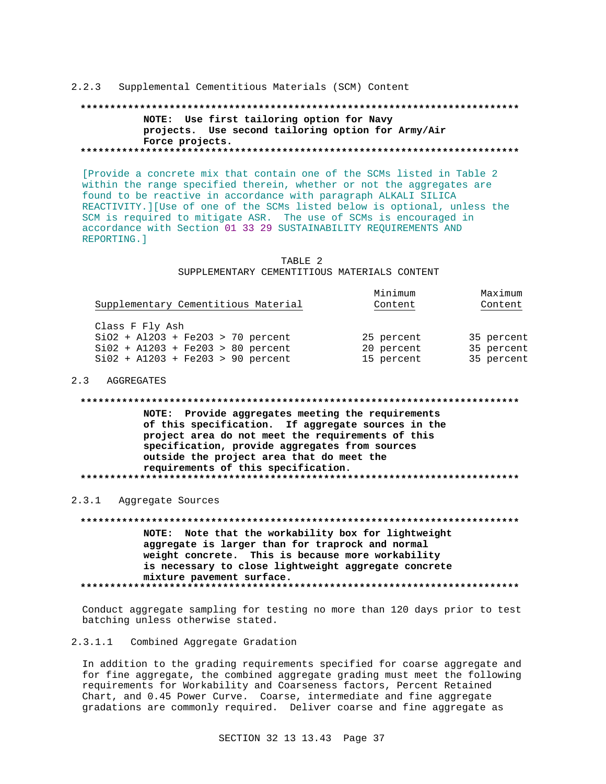2.2.3 Supplemental Cementitious Materials (SCM) Content

## NOTE: Use first tailoring option for Navy projects. Use second tailoring option for Army/Air Force projects.

[Provide a concrete mix that contain one of the SCMs listed in Table 2 within the range specified therein, whether or not the aggregates are found to be reactive in accordance with paragraph ALKALI SILICA REACTIVITY. ] [Use of one of the SCMs listed below is optional, unless the SCM is required to mitigate ASR. The use of SCMs is encouraged in accordance with Section 01 33 29 SUSTAINABILITY REQUIREMENTS AND REPORTING.]

> TABLE 2 SUPPLEMENTARY CEMENTITIOUS MATERIALS CONTENT

| Supplementary Cementitious Material                                                                                                  | Minimum<br>Content                     | Maximum<br>Content                     |
|--------------------------------------------------------------------------------------------------------------------------------------|----------------------------------------|----------------------------------------|
| Class F Fly Ash<br>$SiO2 + Al2O3 + Fe2O3 > 70$ percent<br>$Si02 + A1203 + Fe203 > 80$ percent<br>$Si02 + A1203 + Fe203 > 90$ percent | 25 percent<br>20 percent<br>15 percent | 35 percent<br>35 percent<br>35 percent |

### 2.3 AGGREGATES

# 

NOTE: Provide aggregates meeting the requirements of this specification. If aggregate sources in the project area do not meet the requirements of this specification, provide aggregates from sources outside the project area that do meet the requirements of this specification. 

#### 2.3.1 Aggregate Sources

NOTE: Note that the workability box for lightweight aggregate is larger than for traprock and normal weight concrete. This is because more workability is necessary to close lightweight aggregate concrete mixture pavement surface. 

Conduct aggregate sampling for testing no more than 120 days prior to test batching unless otherwise stated.

#### 2.3.1.1 Combined Aggregate Gradation

In addition to the grading requirements specified for coarse aggregate and for fine aggregate, the combined aggregate grading must meet the following requirements for Workability and Coarseness factors, Percent Retained Chart, and 0.45 Power Curve. Coarse, intermediate and fine aggregate gradations are commonly required. Deliver coarse and fine aggregate as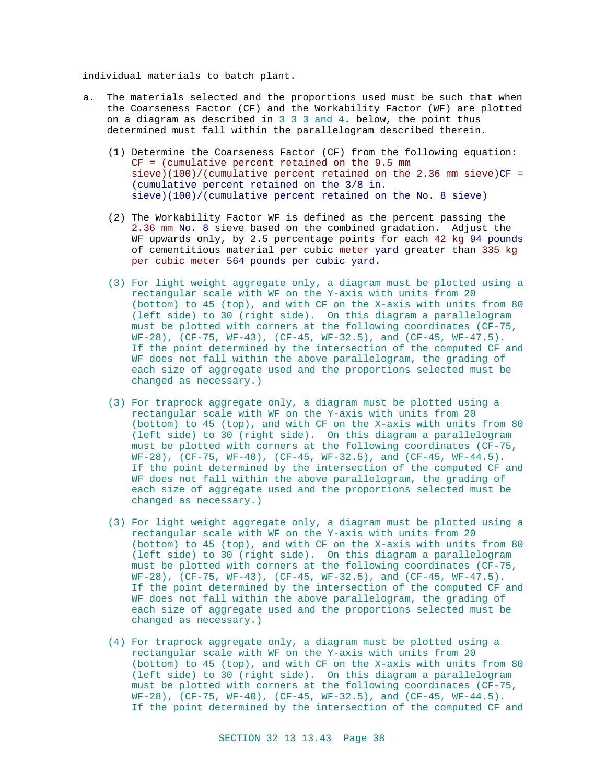individual materials to batch plant.

- a. The materials selected and the proportions used must be such that when the Coarseness Factor (CF) and the Workability Factor (WF) are plotted on a diagram as described in 3 3 3 and 4. below, the point thus determined must fall within the parallelogram described therein.
	- (1) Determine the Coarseness Factor (CF) from the following equation:  $CF =$  (cumulative percent retained on the  $9.5$  mm sieve)(100)/(cumulative percent retained on the 2.36 mm sieve) $CF =$ (cumulative percent retained on the 3/8 in. sieve)(100)/(cumulative percent retained on the No. 8 sieve)
	- (2) The Workability Factor WF is defined as the percent passing the 2.36 mm No. 8 sieve based on the combined gradation. Adjust the WF upwards only, by 2.5 percentage points for each 42 kg 94 pounds of cementitious material per cubic meter yard greater than 335 kg per cubic meter 564 pounds per cubic yard.
	- (3) For light weight aggregate only, a diagram must be plotted using a rectangular scale with WF on the Y-axis with units from 20 (bottom) to 45 (top), and with CF on the X-axis with units from 80 (left side) to 30 (right side). On this diagram a parallelogram must be plotted with corners at the following coordinates (CF-75,  $WF-28$ ), (CF-75,  $WF-43$ ), (CF-45,  $WF-32.5$ ), and (CF-45,  $WF-47.5$ ). If the point determined by the intersection of the computed CF and WF does not fall within the above parallelogram, the grading of each size of aggregate used and the proportions selected must be changed as necessary.)
	- (3) For traprock aggregate only, a diagram must be plotted using a rectangular scale with WF on the Y-axis with units from 20 (bottom) to 45 (top), and with CF on the X-axis with units from 80 (left side) to 30 (right side). On this diagram a parallelogram must be plotted with corners at the following coordinates (CF-75, WF-28), (CF-75, WF-40), (CF-45, WF-32.5), and (CF-45, WF-44.5). If the point determined by the intersection of the computed CF and WF does not fall within the above parallelogram, the grading of each size of aggregate used and the proportions selected must be changed as necessary.)
	- (3) For light weight aggregate only, a diagram must be plotted using a rectangular scale with WF on the Y-axis with units from 20 (bottom) to 45 (top), and with CF on the X-axis with units from 80 (left side) to 30 (right side). On this diagram a parallelogram must be plotted with corners at the following coordinates (CF-75, WF-28), (CF-75, WF-43), (CF-45, WF-32.5), and (CF-45, WF-47.5). If the point determined by the intersection of the computed CF and WF does not fall within the above parallelogram, the grading of each size of aggregate used and the proportions selected must be changed as necessary.)
	- (4) For traprock aggregate only, a diagram must be plotted using a rectangular scale with WF on the Y-axis with units from 20 (bottom) to 45 (top), and with CF on the X-axis with units from 80 (left side) to 30 (right side). On this diagram a parallelogram must be plotted with corners at the following coordinates (CF-75, WF-28), (CF-75, WF-40), (CF-45, WF-32.5), and (CF-45, WF-44.5). If the point determined by the intersection of the computed CF and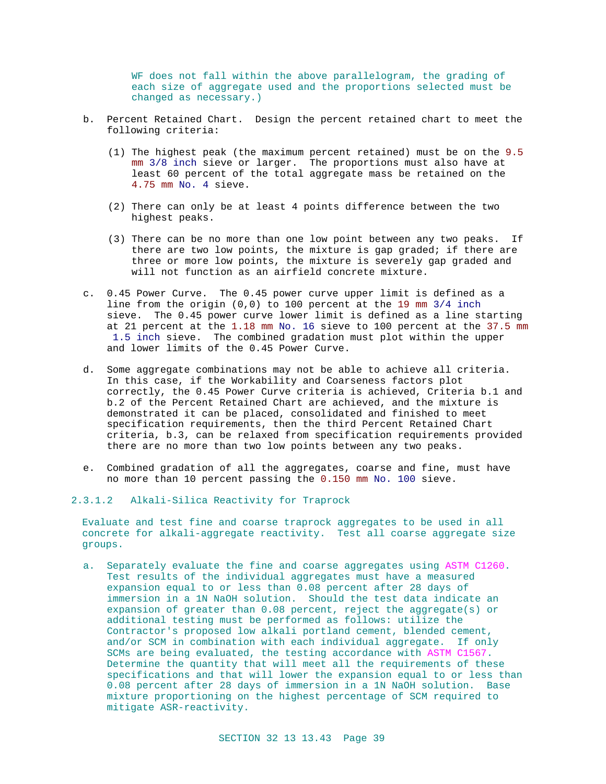WF does not fall within the above parallelogram, the grading of each size of aggregate used and the proportions selected must be changed as necessary.)

- b. Percent Retained Chart. Design the percent retained chart to meet the following criteria:
	- (1) The highest peak (the maximum percent retained) must be on the 9.5 mm 3/8 inch sieve or larger. The proportions must also have at least 60 percent of the total aggregate mass be retained on the 4.75 mm No. 4 sieve.
	- (2) There can only be at least 4 points difference between the two highest peaks.
	- (3) There can be no more than one low point between any two peaks. If there are two low points, the mixture is gap graded; if there are three or more low points, the mixture is severely gap graded and will not function as an airfield concrete mixture.
- c. 0.45 Power Curve. The 0.45 power curve upper limit is defined as a line from the origin (0,0) to 100 percent at the 19 mm 3/4 inch sieve. The 0.45 power curve lower limit is defined as a line starting at 21 percent at the 1.18 mm No. 16 sieve to 100 percent at the 37.5 mm 1.5 inch sieve. The combined gradation must plot within the upper and lower limits of the 0.45 Power Curve.
- d. Some aggregate combinations may not be able to achieve all criteria. In this case, if the Workability and Coarseness factors plot correctly, the 0.45 Power Curve criteria is achieved, Criteria b.1 and b.2 of the Percent Retained Chart are achieved, and the mixture is demonstrated it can be placed, consolidated and finished to meet specification requirements, then the third Percent Retained Chart criteria, b.3, can be relaxed from specification requirements provided there are no more than two low points between any two peaks.
- e. Combined gradation of all the aggregates, coarse and fine, must have no more than 10 percent passing the 0.150 mm No. 100 sieve.

# 2.3.1.2 Alkali-Silica Reactivity for Traprock

Evaluate and test fine and coarse traprock aggregates to be used in all concrete for alkali-aggregate reactivity. Test all coarse aggregate size groups.

a. Separately evaluate the fine and coarse aggregates using ASTM C1260. Test results of the individual aggregates must have a measured expansion equal to or less than 0.08 percent after 28 days of immersion in a 1N NaOH solution. Should the test data indicate an expansion of greater than 0.08 percent, reject the aggregate(s) or additional testing must be performed as follows: utilize the Contractor's proposed low alkali portland cement, blended cement, and/or SCM in combination with each individual aggregate. If only SCMs are being evaluated, the testing accordance with ASTM C1567. Determine the quantity that will meet all the requirements of these specifications and that will lower the expansion equal to or less than 0.08 percent after 28 days of immersion in a 1N NaOH solution. Base mixture proportioning on the highest percentage of SCM required to mitigate ASR-reactivity.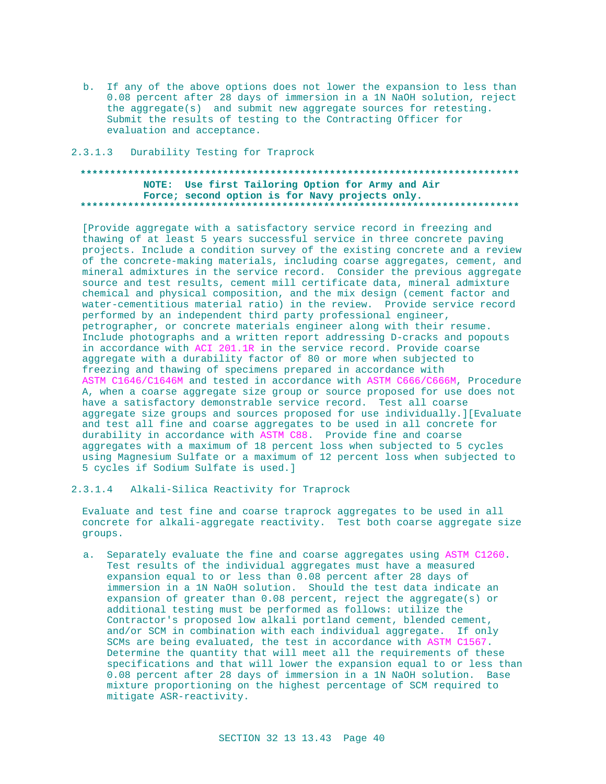b. If any of the above options does not lower the expansion to less than 0.08 percent after 28 days of immersion in a 1N NaOH solution, reject the aggregate(s) and submit new aggregate sources for retesting. Submit the results of testing to the Contracting Officer for evaluation and acceptance.

2.3.1.3 Durability Testing for Traprock

## NOTE: Use first Tailoring Option for Army and Air Force; second option is for Navy projects only. . . . . . . . . . . . . . . . .

[Provide aggregate with a satisfactory service record in freezing and thawing of at least 5 years successful service in three concrete paving projects. Include a condition survey of the existing concrete and a review of the concrete-making materials, including coarse aggregates, cement, and mineral admixtures in the service record. Consider the previous aggregate source and test results, cement mill certificate data, mineral admixture chemical and physical composition, and the mix design (cement factor and water-cementitious material ratio) in the review. Provide service record performed by an independent third party professional engineer, petrographer, or concrete materials engineer along with their resume. Include photographs and a written report addressing D-cracks and popouts in accordance with ACI 201.1R in the service record. Provide coarse aggregate with a durability factor of 80 or more when subjected to freezing and thawing of specimens prepared in accordance with ASTM C1646/C1646M and tested in accordance with ASTM C666/C666M, Procedure A, when a coarse aggregate size group or source proposed for use does not have a satisfactory demonstrable service record. Test all coarse aggregate size groups and sources proposed for use individually. ] [Evaluate and test all fine and coarse aggregates to be used in all concrete for durability in accordance with ASTM C88. Provide fine and coarse aggregates with a maximum of 18 percent loss when subjected to 5 cycles using Magnesium Sulfate or a maximum of 12 percent loss when subjected to 5 cycles if Sodium Sulfate is used.]

#### $2.3.1.4$ Alkali-Silica Reactivity for Traprock

Evaluate and test fine and coarse traprock aggregates to be used in all concrete for alkali-aggregate reactivity. Test both coarse aggregate size groups.

a. Separately evaluate the fine and coarse aggregates using ASTM C1260. Test results of the individual aggregates must have a measured expansion equal to or less than 0.08 percent after 28 days of immersion in a 1N NaOH solution. Should the test data indicate an expansion of greater than  $0.08$  percent, reject the aggregate(s) or additional testing must be performed as follows: utilize the Contractor's proposed low alkali portland cement, blended cement, and/or SCM in combination with each individual aggregate. If only SCMs are being evaluated, the test in accordance with ASTM C1567. Determine the quantity that will meet all the requirements of these specifications and that will lower the expansion equal to or less than 0.08 percent after 28 days of immersion in a 1N NaOH solution. Base mixture proportioning on the highest percentage of SCM required to mitigate ASR-reactivity.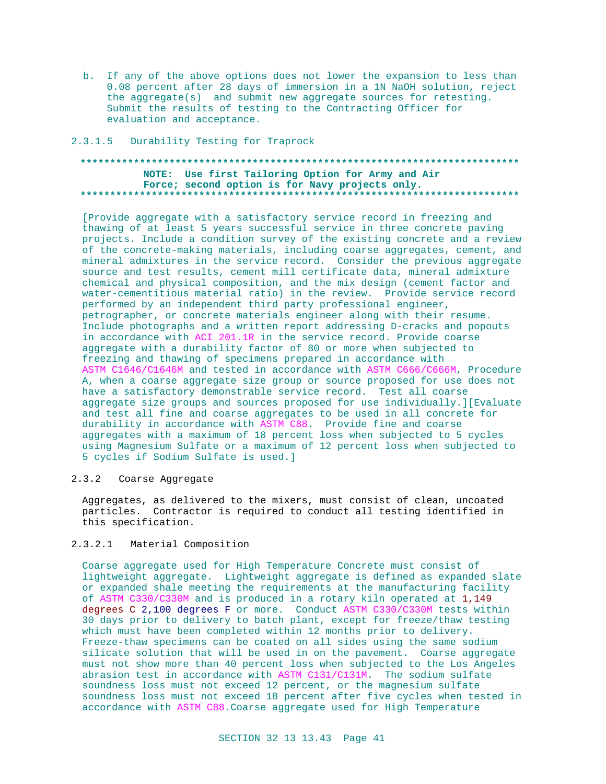b. If any of the above options does not lower the expansion to less than 0.08 percent after 28 days of immersion in a 1N NaOH solution, reject the aggregate(s) and submit new aggregate sources for retesting. Submit the results of testing to the Contracting Officer for evaluation and acceptance.

## 2.3.1.5 Durability Testing for Traprock

#### \*\*\*\*\*\*\*\*\*\*\*\*\*\*\* NOTE: Use first Tailoring Option for Army and Air Force; second option is for Navy projects only. \*\*\*\*\*\*\*\*\*\*\*\*\*\*\*\*\* \*\*\*\*\*\*\*\*\*\*\*\*

[Provide aggregate with a satisfactory service record in freezing and thawing of at least 5 years successful service in three concrete paving projects. Include a condition survey of the existing concrete and a review of the concrete-making materials, including coarse aggregates, cement, and mineral admixtures in the service record. Consider the previous aggregate source and test results, cement mill certificate data, mineral admixture chemical and physical composition, and the mix design (cement factor and water-cementitious material ratio) in the review. Provide service record performed by an independent third party professional engineer, petrographer, or concrete materials engineer along with their resume. Include photographs and a written report addressing D-cracks and popouts in accordance with ACI 201.1R in the service record. Provide coarse aggregate with a durability factor of 80 or more when subjected to freezing and thawing of specimens prepared in accordance with ASTM C1646/C1646M and tested in accordance with ASTM C666/C666M, Procedure A, when a coarse aggregate size group or source proposed for use does not have a satisfactory demonstrable service record. Test all coarse aggregate size groups and sources proposed for use individually. ] [Evaluate and test all fine and coarse aggregates to be used in all concrete for durability in accordance with ASTM C88. Provide fine and coarse aggregates with a maximum of 18 percent loss when subjected to 5 cycles using Magnesium Sulfate or a maximum of 12 percent loss when subjected to 5 cycles if Sodium Sulfate is used.]

#### $2.3.2$ Coarse Aggregate

Aggregates, as delivered to the mixers, must consist of clean, uncoated particles. Contractor is required to conduct all testing identified in this specification.

#### $2.3.2.1$ Material Composition

Coarse aggregate used for High Temperature Concrete must consist of lightweight aggregate. Lightweight aggregate is defined as expanded slate or expanded shale meeting the requirements at the manufacturing facility of ASTM C330/C330M and is produced in a rotary kiln operated at 1,149 degrees C 2,100 degrees F or more. Conduct ASTM C330/C330M tests within 30 days prior to delivery to batch plant, except for freeze/thaw testing which must have been completed within 12 months prior to delivery. Freeze-thaw specimens can be coated on all sides using the same sodium silicate solution that will be used in on the pavement. Coarse aggregate must not show more than 40 percent loss when subjected to the Los Angeles abrasion test in accordance with ASTM C131/C131M. The sodium sulfate soundness loss must not exceed 12 percent, or the magnesium sulfate soundness loss must not exceed 18 percent after five cycles when tested in accordance with ASTM C88. Coarse aggregate used for High Temperature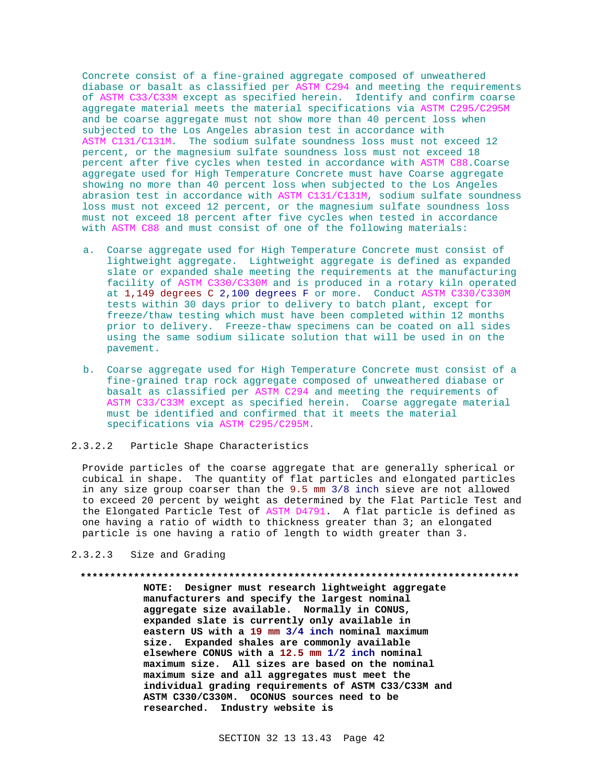Concrete consist of a fine-grained aggregate composed of unweathered diabase or basalt as classified per ASTM C294 and meeting the requirements of ASTM C33/C33M except as specified herein. Identify and confirm coarse aggregate material meets the material specifications via ASTM C295/C295M and be coarse aggregate must not show more than 40 percent loss when subjected to the Los Angeles abrasion test in accordance with ASTM C131/C131M. The sodium sulfate soundness loss must not exceed 12 percent, or the magnesium sulfate soundness loss must not exceed 18 percent after five cycles when tested in accordance with ASTM C88.Coarse aggregate used for High Temperature Concrete must have Coarse aggregate showing no more than 40 percent loss when subjected to the Los Angeles abrasion test in accordance with ASTM C131/C131M, sodium sulfate soundness loss must not exceed 12 percent, or the magnesium sulfate soundness loss must not exceed 18 percent after five cycles when tested in accordance with ASTM C88 and must consist of one of the following materials:

- a. Coarse aggregate used for High Temperature Concrete must consist of lightweight aggregate. Lightweight aggregate is defined as expanded slate or expanded shale meeting the requirements at the manufacturing facility of ASTM C330/C330M and is produced in a rotary kiln operated at 1,149 degrees C 2,100 degrees F or more. Conduct ASTM C330/C330M tests within 30 days prior to delivery to batch plant, except for freeze/thaw testing which must have been completed within 12 months prior to delivery. Freeze-thaw specimens can be coated on all sides using the same sodium silicate solution that will be used in on the pavement.
- b. Coarse aggregate used for High Temperature Concrete must consist of a fine-grained trap rock aggregate composed of unweathered diabase or basalt as classified per ASTM C294 and meeting the requirements of ASTM C33/C33M except as specified herein. Coarse aggregate material must be identified and confirmed that it meets the material specifications via ASTM C295/C295M.

## 2.3.2.2 Particle Shape Characteristics

Provide particles of the coarse aggregate that are generally spherical or cubical in shape. The quantity of flat particles and elongated particles in any size group coarser than the 9.5 mm 3/8 inch sieve are not allowed to exceed 20 percent by weight as determined by the Flat Particle Test and the Elongated Particle Test of ASTM D4791. A flat particle is defined as one having a ratio of width to thickness greater than 3; an elongated particle is one having a ratio of length to width greater than 3.

## 2.3.2.3 Size and Grading

# **NOTE: Designer must research lightweight aggregate manufacturers and specify the largest nominal aggregate size available. Normally in CONUS,**

**\*\*\*\*\*\*\*\*\*\*\*\*\*\*\*\*\*\*\*\*\*\*\*\*\*\*\*\*\*\*\*\*\*\*\*\*\*\*\*\*\*\*\*\*\*\*\*\*\*\*\*\*\*\*\*\*\*\*\*\*\*\*\*\*\*\*\*\*\*\*\*\*\*\***

**expanded slate is currently only available in eastern US with a 19 mm 3/4 inch nominal maximum size. Expanded shales are commonly available elsewhere CONUS with a 12.5 mm 1/2 inch nominal maximum size. All sizes are based on the nominal maximum size and all aggregates must meet the individual grading requirements of ASTM C33/C33M and ASTM C330/C330M. OCONUS sources need to be researched. Industry website is**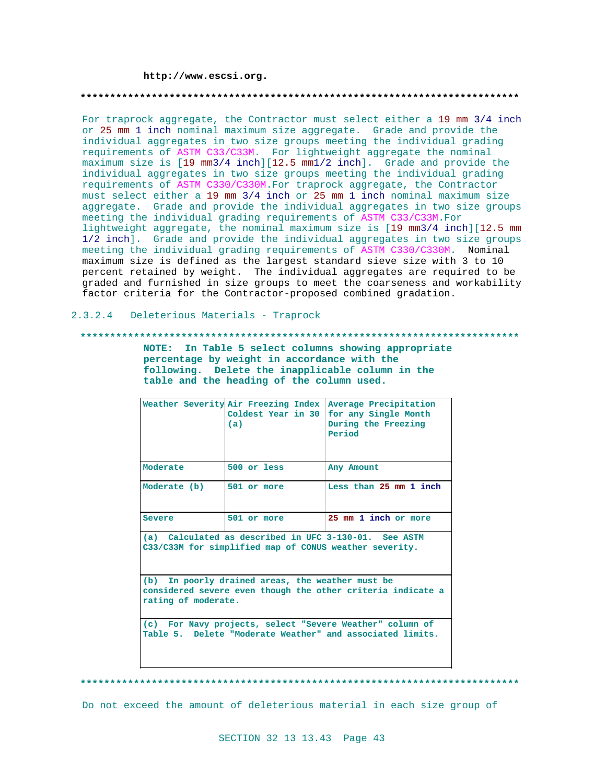#### http://www.escsi.org.

#### 

For traprock aggregate, the Contractor must select either a 19 mm 3/4 inch or 25 mm 1 inch nominal maximum size aggregate. Grade and provide the individual aggregates in two size groups meeting the individual grading requirements of ASTM C33/C33M. For lightweight aggregate the nominal maximum size is [19 mm3/4 inch][12.5 mm1/2 inch]. Grade and provide the individual aggregates in two size groups meeting the individual grading requirements of ASTM C330/C330M. For traprock aggregate, the Contractor must select either a 19 mm 3/4 inch or 25 mm 1 inch nominal maximum size aggregate. Grade and provide the individual aggregates in two size groups meeting the individual grading requirements of ASTM C33/C33M. For lightweight aggregate, the nominal maximum size is [19 mm3/4 inch][12.5 mm 1/2 inch]. Grade and provide the individual aggregates in two size groups meeting the individual grading requirements of ASTM C330/C330M. Nominal maximum size is defined as the largest standard sieve size with 3 to 10 percent retained by weight. The individual aggregates are required to be graded and furnished in size groups to meet the coarseness and workability factor criteria for the Contractor-proposed combined gradation.

#### 2.3.2.4 Deleterious Materials - Traprock

### 

NOTE: In Table 5 select columns showing appropriate percentage by weight in accordance with the following. Delete the inapplicable column in the table and the heading of the column used.

|              | (a)             | Weather Severity Air Freezing Index   Average Precipitation<br>Coldest Year in 30   for any Single Month<br>During the Freezing<br>Period |
|--------------|-----------------|-------------------------------------------------------------------------------------------------------------------------------------------|
| Moderate     | 500 or less     | Any Amount                                                                                                                                |
| Moderate (b) | 501 or more     | Less than 25 mm 1 inch                                                                                                                    |
| Severe       | 501.<br>or more | 1 inch or more<br>25.                                                                                                                     |

(a) Calculated as described in UFC 3-130-01. See ASTM C33/C33M for simplified map of CONUS weather severity.

(b) In poorly drained areas, the weather must be considered severe even though the other criteria indicate a rating of moderate.

(c) For Navy projects, select "Severe Weather" column of Table 5. Delete "Moderate Weather" and associated limits.

#### 

Do not exceed the amount of deleterious material in each size group of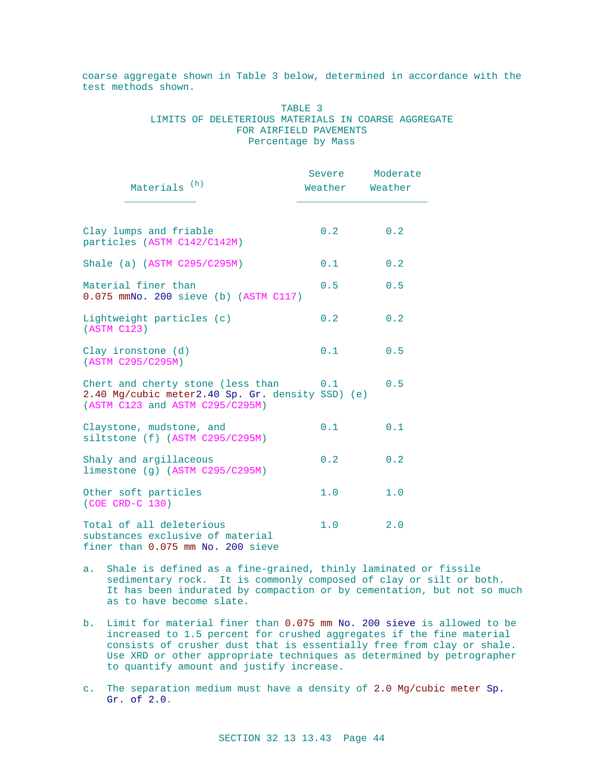coarse aggregate shown in Table 3 below, determined in accordance with the test methods shown.

| (h)<br>Materials                                                                                                         | Severe | Moderate<br>Weather Weather |
|--------------------------------------------------------------------------------------------------------------------------|--------|-----------------------------|
| Clay lumps and friable<br>particles (ASTM C142/C142M)                                                                    | 0.2    | 0.2                         |
| Shale (a) (ASTM C295/C295M)                                                                                              | 0.1    | 0.2                         |
| Material finer than<br>0.075 mmNo. 200 sieve (b) (ASTM C117)                                                             | 0.5    | 0.5                         |
| Lightweight particles (c)<br>(ASTM C123)                                                                                 | 0.2    | 0.2                         |
| Clay ironstone (d)<br>(ASTM C295/C295M)                                                                                  | 0.1    | 0.5                         |
| Chert and cherty stone (less than<br>2.40 Mg/cubic meter2.40 Sp. Gr. density SSD) (e)<br>(ASTM C123 and ASTM C295/C295M) | 0.1    | 0.5                         |
| Claystone, mudstone, and<br>siltstone (f) (ASTM C295/C295M)                                                              | 0.1    | 0.1                         |
| Shaly and argillaceous<br>limestone (g) (ASTM C295/C295M)                                                                | 0.2    | 0.2                         |
| Other soft particles<br>$(COE$ $CRD-C$ 130)                                                                              | 1.0    | 1.0                         |
| Total of all deleterious<br>substances exclusive of material<br>finer than 0.075 mm No. 200 sieve                        | 1.0    | 2.0                         |

TABLE 3 LIMITS OF DELETERIOUS MATERIALS IN COARSE AGGREGATE FOR AIRFIELD PAVEMENTS Percentage by Mass

- a. Shale is defined as a fine-grained, thinly laminated or fissile sedimentary rock. It is commonly composed of clay or silt or both. It has been indurated by compaction or by cementation, but not so much as to have become slate.
- b. Limit for material finer than 0.075 mm No. 200 sieve is allowed to be increased to 1.5 percent for crushed aggregates if the fine material consists of crusher dust that is essentially free from clay or shale. Use XRD or other appropriate techniques as determined by petrographer to quantify amount and justify increase.
- c. The separation medium must have a density of 2.0 Mg/cubic meter Sp. Gr. of 2.0.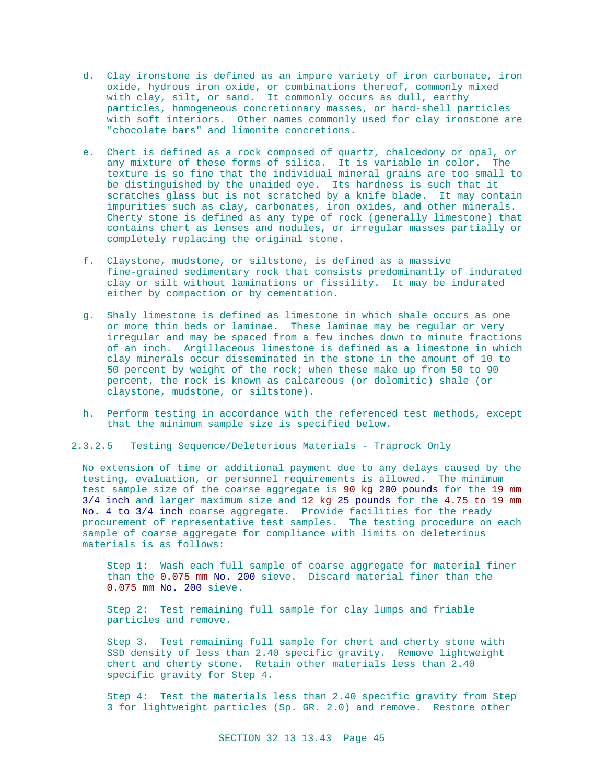- d. Clay ironstone is defined as an impure variety of iron carbonate, iron oxide, hydrous iron oxide, or combinations thereof, commonly mixed with clay, silt, or sand. It commonly occurs as dull, earthy particles, homogeneous concretionary masses, or hard-shell particles with soft interiors. Other names commonly used for clay ironstone are "chocolate bars" and limonite concretions.
- e. Chert is defined as a rock composed of quartz, chalcedony or opal, or any mixture of these forms of silica. It is variable in color. The texture is so fine that the individual mineral grains are too small to be distinguished by the unaided eye. Its hardness is such that it scratches glass but is not scratched by a knife blade. It may contain impurities such as clay, carbonates, iron oxides, and other minerals. Cherty stone is defined as any type of rock (generally limestone) that contains chert as lenses and nodules, or irregular masses partially or completely replacing the original stone.
- f. Claystone, mudstone, or siltstone, is defined as a massive fine-grained sedimentary rock that consists predominantly of indurated clay or silt without laminations or fissility. It may be indurated either by compaction or by cementation.
- g. Shaly limestone is defined as limestone in which shale occurs as one or more thin beds or laminae. These laminae may be regular or very irregular and may be spaced from a few inches down to minute fractions of an inch. Argillaceous limestone is defined as a limestone in which clay minerals occur disseminated in the stone in the amount of 10 to 50 percent by weight of the rock; when these make up from 50 to 90 percent, the rock is known as calcareous (or dolomitic) shale (or claystone, mudstone, or siltstone).
- h. Perform testing in accordance with the referenced test methods, except that the minimum sample size is specified below.
- 2.3.2.5 Testing Sequence/Deleterious Materials Traprock Only

No extension of time or additional payment due to any delays caused by the testing, evaluation, or personnel requirements is allowed. The minimum test sample size of the coarse aggregate is 90 kg 200 pounds for the 19 mm 3/4 inch and larger maximum size and 12 kg 25 pounds for the 4.75 to 19 mm No. 4 to 3/4 inch coarse aggregate. Provide facilities for the ready procurement of representative test samples. The testing procedure on each sample of coarse aggregate for compliance with limits on deleterious materials is as follows:

Step 1: Wash each full sample of coarse aggregate for material finer than the 0.075 mm No. 200 sieve. Discard material finer than the 0.075 mm No. 200 sieve.

Step 2: Test remaining full sample for clay lumps and friable particles and remove.

Step 3. Test remaining full sample for chert and cherty stone with SSD density of less than 2.40 specific gravity. Remove lightweight chert and cherty stone. Retain other materials less than 2.40 specific gravity for Step 4.

Step 4: Test the materials less than 2.40 specific gravity from Step 3 for lightweight particles (Sp. GR. 2.0) and remove. Restore other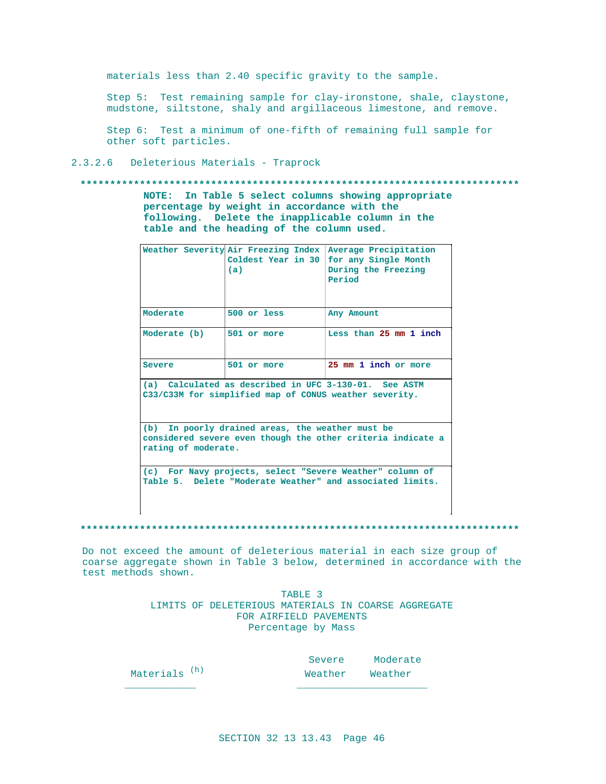materials less than 2.40 specific gravity to the sample.

Step 5: Test remaining sample for clay-ironstone, shale, claystone, mudstone, siltstone, shaly and argillaceous limestone, and remove.

Step 6: Test a minimum of one-fifth of remaining full sample for other soft particles.

2.3.2.6 Deleterious Materials - Traprock

#### 

NOTE: In Table 5 select columns showing appropriate percentage by weight in accordance with the following. Delete the inapplicable column in the table and the heading of the column used.

|              | Weather Severity Air Freezing Index<br>(a) | Average Precipitation<br>Coldest Year in 30   for any Single Month<br>During the Freezing<br>Period |
|--------------|--------------------------------------------|-----------------------------------------------------------------------------------------------------|
| Moderate     | 500 or less                                | Any Amount                                                                                          |
| Moderate (b) | 501 or more                                | Less than 25 mm 1 inch                                                                              |
| Severe       | 501 or more                                | 25 mm 1 inch or more                                                                                |

(a) Calculated as described in UFC 3-130-01. See ASTM C33/C33M for simplified map of CONUS weather severity.

(b) In poorly drained areas, the weather must be considered severe even though the other criteria indicate a rating of moderate.

(c) For Navy projects, select "Severe Weather" column of Table 5. Delete "Moderate Weather" and associated limits.

Do not exceed the amount of deleterious material in each size group of coarse aggregate shown in Table 3 below, determined in accordance with the test methods shown.

> TABLE 3 LIMITS OF DELETERIOUS MATERIALS IN COARSE AGGREGATE FOR AIRFIELD PAVEMENTS Percentage by Mass

Severe Moderate Materials<sup>(h)</sup> Weather Weather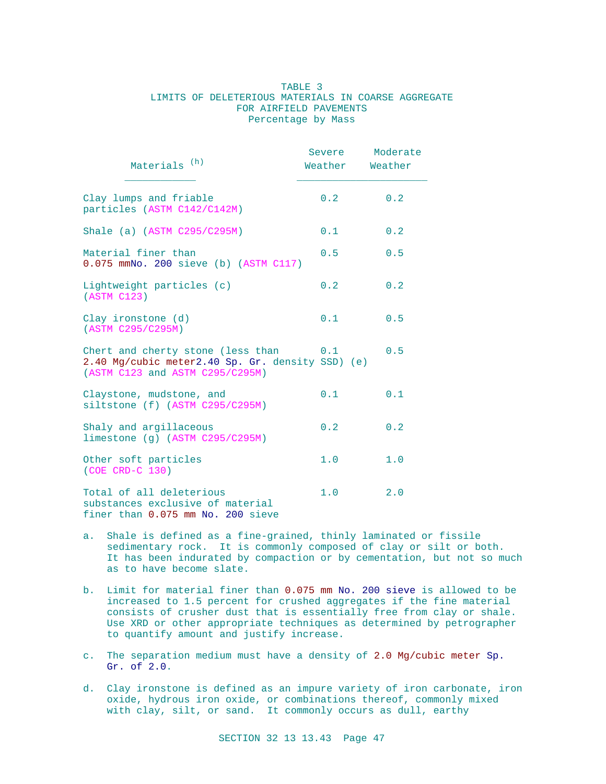## TABLE 3 LIMITS OF DELETERIOUS MATERIALS IN COARSE AGGREGATE FOR AIRFIELD PAVEMENTS Percentage by Mass

| (h)<br>Materials                                                                                                         | Severe | Moderate<br>Weather Weather |
|--------------------------------------------------------------------------------------------------------------------------|--------|-----------------------------|
| Clay lumps and friable<br>particles (ASTM C142/C142M)                                                                    | 0.2    | 0.2                         |
| Shale (a) (ASTM C295/C295M)                                                                                              | 0.1    | 0.2                         |
| Material finer than<br>0.075 mmNo. 200 sieve (b) (ASTM C117)                                                             | 0.5    | 0.5                         |
| Lightweight particles (c)<br>(ASTM C123)                                                                                 | 0.2    | 0.2                         |
| Clay ironstone (d)<br>(ASTM C295/C295M)                                                                                  | 0.1    | 0.5                         |
| Chert and cherty stone (less than<br>2.40 Mg/cubic meter2.40 Sp. Gr. density SSD) (e)<br>(ASTM C123 and ASTM C295/C295M) | 0.1    | 0.5                         |
| Claystone, mudstone, and<br>siltstone (f) (ASTM C295/C295M)                                                              | 0.1    | 0.1                         |
| Shaly and argillaceous<br>limestone (q) (ASTM C295/C295M)                                                                | 0.2    | 0.2                         |
| Other soft particles<br>$(COE$ $CRD-C$ 130)                                                                              | 1.0    | 1.0                         |
| Total of all deleterious<br>substances exclusive of material<br>finer than 0.075 mm No. 200 sieve                        | 1.0    | 2.0                         |

- a. Shale is defined as a fine-grained, thinly laminated or fissile sedimentary rock. It is commonly composed of clay or silt or both. It has been indurated by compaction or by cementation, but not so much as to have become slate.
- b. Limit for material finer than 0.075 mm No. 200 sieve is allowed to be increased to 1.5 percent for crushed aggregates if the fine material consists of crusher dust that is essentially free from clay or shale. Use XRD or other appropriate techniques as determined by petrographer to quantify amount and justify increase.
- c. The separation medium must have a density of 2.0 Mg/cubic meter Sp. Gr. of 2.0.
- d. Clay ironstone is defined as an impure variety of iron carbonate, iron oxide, hydrous iron oxide, or combinations thereof, commonly mixed with clay, silt, or sand. It commonly occurs as dull, earthy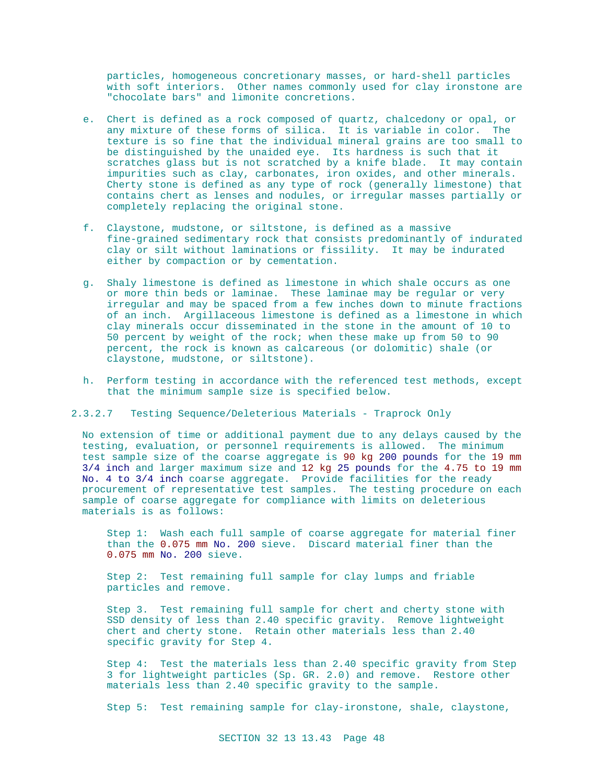particles, homogeneous concretionary masses, or hard-shell particles with soft interiors. Other names commonly used for clay ironstone are "chocolate bars" and limonite concretions.

- e. Chert is defined as a rock composed of quartz, chalcedony or opal, or any mixture of these forms of silica. It is variable in color. The texture is so fine that the individual mineral grains are too small to be distinguished by the unaided eye. Its hardness is such that it scratches glass but is not scratched by a knife blade. It may contain impurities such as clay, carbonates, iron oxides, and other minerals. Cherty stone is defined as any type of rock (generally limestone) that contains chert as lenses and nodules, or irregular masses partially or completely replacing the original stone.
- f. Claystone, mudstone, or siltstone, is defined as a massive fine-grained sedimentary rock that consists predominantly of indurated clay or silt without laminations or fissility. It may be indurated either by compaction or by cementation.
- g. Shaly limestone is defined as limestone in which shale occurs as one or more thin beds or laminae. These laminae may be regular or very irregular and may be spaced from a few inches down to minute fractions of an inch. Argillaceous limestone is defined as a limestone in which clay minerals occur disseminated in the stone in the amount of 10 to 50 percent by weight of the rock; when these make up from 50 to 90 percent, the rock is known as calcareous (or dolomitic) shale (or claystone, mudstone, or siltstone).
- h. Perform testing in accordance with the referenced test methods, except that the minimum sample size is specified below.
- 2.3.2.7 Testing Sequence/Deleterious Materials Traprock Only

No extension of time or additional payment due to any delays caused by the testing, evaluation, or personnel requirements is allowed. The minimum test sample size of the coarse aggregate is 90 kg 200 pounds for the 19 mm 3/4 inch and larger maximum size and 12 kg 25 pounds for the 4.75 to 19 mm No. 4 to 3/4 inch coarse aggregate. Provide facilities for the ready procurement of representative test samples. The testing procedure on each sample of coarse aggregate for compliance with limits on deleterious materials is as follows:

Step 1: Wash each full sample of coarse aggregate for material finer than the 0.075 mm No. 200 sieve. Discard material finer than the 0.075 mm No. 200 sieve.

Step 2: Test remaining full sample for clay lumps and friable particles and remove.

Step 3. Test remaining full sample for chert and cherty stone with SSD density of less than 2.40 specific gravity. Remove lightweight chert and cherty stone. Retain other materials less than 2.40 specific gravity for Step 4.

Step 4: Test the materials less than 2.40 specific gravity from Step 3 for lightweight particles (Sp. GR. 2.0) and remove. Restore other materials less than 2.40 specific gravity to the sample.

Step 5: Test remaining sample for clay-ironstone, shale, claystone,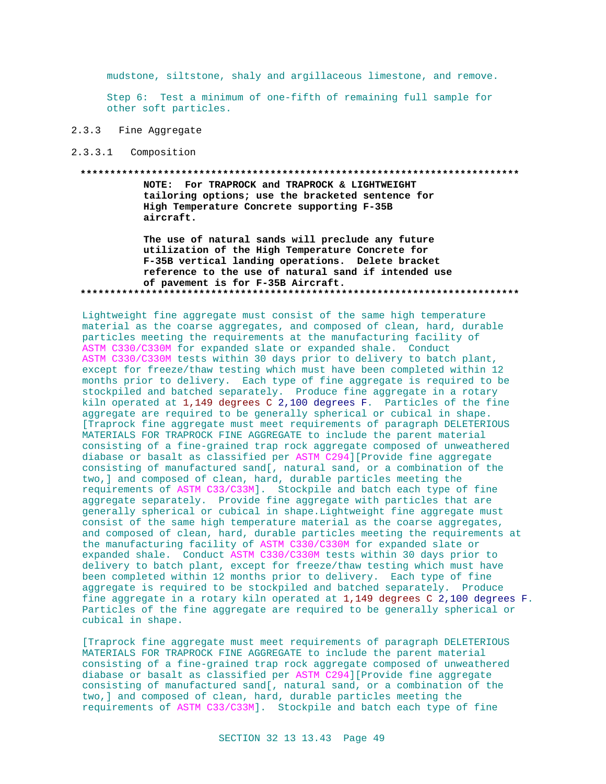mudstone, siltstone, shaly and argillaceous limestone, and remove.

Step 6: Test a minimum of one-fifth of remaining full sample for other soft particles.

## 2.3.3 Fine Aggregate

 $2.3.3.1$ Composition

#### 

NOTE: For TRAPROCK and TRAPROCK & LIGHTWEIGHT tailoring options; use the bracketed sentence for High Temperature Concrete supporting F-35B aircraft.

The use of natural sands will preclude any future utilization of the High Temperature Concrete for F-35B vertical landing operations. Delete bracket reference to the use of natural sand if intended use of pavement is for F-35B Aircraft. 

Lightweight fine aggregate must consist of the same high temperature material as the coarse aggregates, and composed of clean, hard, durable particles meeting the requirements at the manufacturing facility of ASTM C330/C330M for expanded slate or expanded shale. Conduct ASTM C330/C330M tests within 30 days prior to delivery to batch plant, except for freeze/thaw testing which must have been completed within 12 months prior to delivery. Each type of fine aggregate is required to be stockpiled and batched separately. Produce fine aggregate in a rotary<br>kiln operated at 1,149 degrees C 2,100 degrees F. Particles of the fine aggregate are required to be generally spherical or cubical in shape. [Traprock fine aggregate must meet requirements of paragraph DELETERIOUS MATERIALS FOR TRAPROCK FINE AGGREGATE to include the parent material consisting of a fine-grained trap rock aggregate composed of unweathered diabase or basalt as classified per ASTM C294] [Provide fine aggregate consisting of manufactured sand[, natural sand, or a combination of the two, ] and composed of clean, hard, durable particles meeting the requirements of ASTM C33/C33M]. Stockpile and batch each type of fine aggregate separately. Provide fine aggregate with particles that are generally spherical or cubical in shape. Lightweight fine aggregate must consist of the same high temperature material as the coarse aggregates, and composed of clean, hard, durable particles meeting the requirements at the manufacturing facility of ASTM C330/C330M for expanded slate or expanded shale. Conduct ASTM C330/C330M tests within 30 days prior to delivery to batch plant, except for freeze/thaw testing which must have been completed within 12 months prior to delivery. Each type of fine aggregate is required to be stockpiled and batched separately. Produce fine aggregate in a rotary kiln operated at 1,149 degrees C 2,100 degrees F. Particles of the fine aggregate are required to be generally spherical or cubical in shape.

[Traprock fine aggregate must meet requirements of paragraph DELETERIOUS MATERIALS FOR TRAPROCK FINE AGGREGATE to include the parent material consisting of a fine-grained trap rock aggregate composed of unweathered diabase or basalt as classified per ASTM C294][Provide fine aggregate consisting of manufactured sand[, natural sand, or a combination of the two, ] and composed of clean, hard, durable particles meeting the requirements of ASTM C33/C33M]. Stockpile and batch each type of fine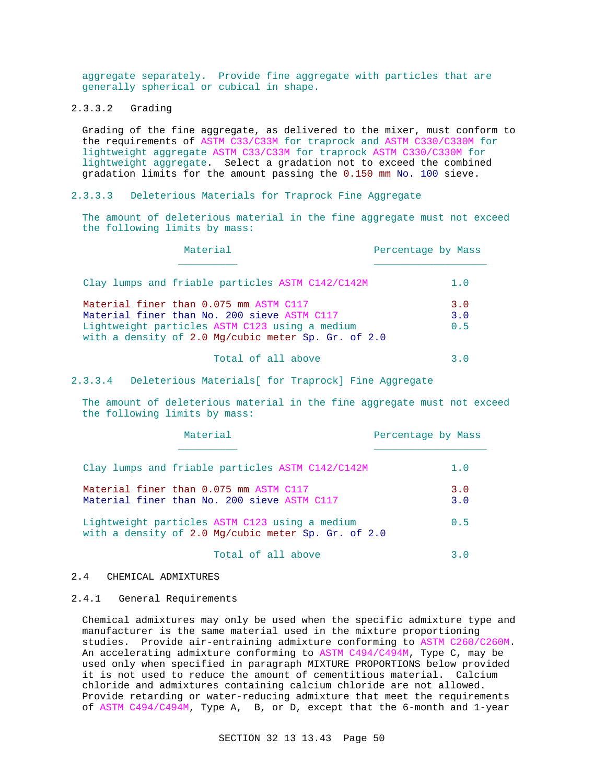aggregate separately. Provide fine aggregate with particles that are generally spherical or cubical in shape.

2.3.3.2 Grading

Grading of the fine aggregate, as delivered to the mixer, must conform to the requirements of ASTM C33/C33M for traprock and ASTM C330/C330M for lightweight aggregate ASTM C33/C33M for traprock ASTM C330/C330M for lightweight aggregate. Select a gradation not to exceed the combined gradation limits for the amount passing the 0.150 mm No. 100 sieve.

2.3.3.3 Deleterious Materials for Traprock Fine Aggregate

The amount of deleterious material in the fine aggregate must not exceed the following limits by mass:

| Material                                                                                                                                                                                       | Percentage by Mass |
|------------------------------------------------------------------------------------------------------------------------------------------------------------------------------------------------|--------------------|
| Clay lumps and friable particles ASTM C142/C142M                                                                                                                                               | 1.0                |
| Material finer than 0.075 mm ASTM C117<br>Material finer than No. 200 sieve ASTM C117<br>Lightweight particles ASTM C123 using a medium<br>with a density of 2.0 Mg/cubic meter Sp. Gr. of 2.0 | 3.0<br>3.0<br>0.5  |
| Total of all above                                                                                                                                                                             |                    |

2.3.3.4 Deleterious Materials[ for Traprock] Fine Aggregate

The amount of deleterious material in the fine aggregate must not exceed the following limits by mass:

| Material                                                                                              | Percentage by Mass |
|-------------------------------------------------------------------------------------------------------|--------------------|
| Clay lumps and friable particles ASTM C142/C142M                                                      | 1.0                |
| Material finer than 0.075 mm ASTM C117<br>Material finer than No. 200 sieve ASTM C117                 | 3.0<br>3.0         |
| Lightweight particles ASTM C123 using a medium<br>with a density of 2.0 Mg/cubic meter Sp. Gr. of 2.0 | 0.5                |
| Total of all above                                                                                    | 3.0                |

#### 2.4 CHEMICAL ADMIXTURES

#### 2.4.1 General Requirements

Chemical admixtures may only be used when the specific admixture type and manufacturer is the same material used in the mixture proportioning studies. Provide air-entraining admixture conforming to ASTM C260/C260M. An accelerating admixture conforming to ASTM C494/C494M, Type C, may be used only when specified in paragraph MIXTURE PROPORTIONS below provided it is not used to reduce the amount of cementitious material. Calcium chloride and admixtures containing calcium chloride are not allowed. Provide retarding or water-reducing admixture that meet the requirements of ASTM C494/C494M, Type A, B, or D, except that the 6-month and 1-year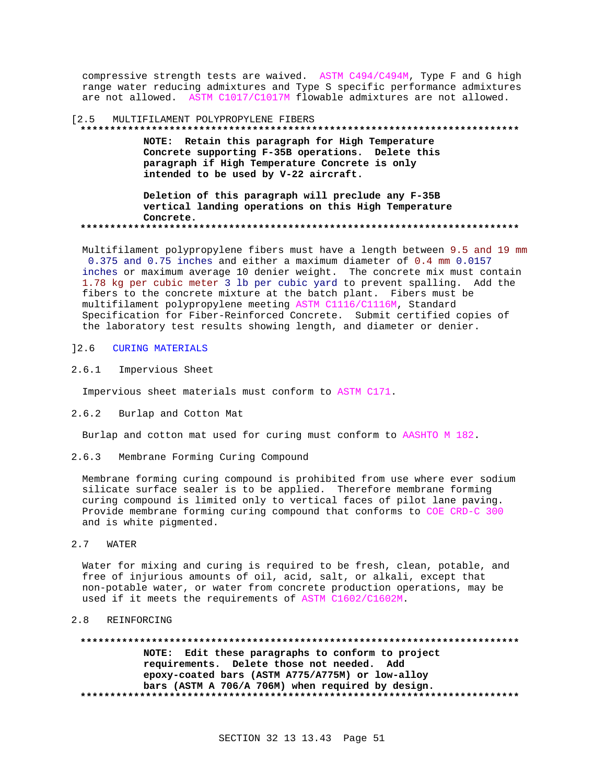compressive strength tests are waived. ASTM C494/C494M, Type F and G high range water reducing admixtures and Type S specific performance admixtures are not allowed. ASTM C1017/C1017M flowable admixtures are not allowed.

#### [2.5 MULTIFILAMENT POLYPROPYLENE FIBERS

**\*\*\*\*\*\*\*\*\*\*\*\*\*\*\*\*\*\*\*\*\*\*\*\*\*\*\*\*\*\*\*\*\*\*\*\*\*\*\*\*\*\*\*\*\*\*\*\*\*\*\*\*\*\*\*\*\*\*\*\*\*\*\*\*\*\*\*\*\*\*\*\*\*\***

**NOTE: Retain this paragraph for High Temperature Concrete supporting F-35B operations. Delete this paragraph if High Temperature Concrete is only intended to be used by V-22 aircraft.**

**Deletion of this paragraph will preclude any F-35B vertical landing operations on this High Temperature Concrete. \*\*\*\*\*\*\*\*\*\*\*\*\*\*\*\*\*\*\*\*\*\*\*\*\*\*\*\*\*\*\*\*\*\*\*\*\*\*\*\*\*\*\*\*\*\*\*\*\*\*\*\*\*\*\*\*\*\*\*\*\*\*\*\*\*\*\*\*\*\*\*\*\*\***

Multifilament polypropylene fibers must have a length between 9.5 and 19 mm 0.375 and 0.75 inches and either a maximum diameter of 0.4 mm 0.0157 inches or maximum average 10 denier weight. The concrete mix must contain 1.78 kg per cubic meter 3 lb per cubic yard to prevent spalling. Add the fibers to the concrete mixture at the batch plant. Fibers must be multifilament polypropylene meeting ASTM C1116/C1116M, Standard Specification for Fiber-Reinforced Concrete. Submit certified copies of the laboratory test results showing length, and diameter or denier.

## ]2.6 CURING MATERIALS

2.6.1 Impervious Sheet

Impervious sheet materials must conform to ASTM C171.

2.6.2 Burlap and Cotton Mat

Burlap and cotton mat used for curing must conform to AASHTO M 182.

2.6.3 Membrane Forming Curing Compound

Membrane forming curing compound is prohibited from use where ever sodium silicate surface sealer is to be applied. Therefore membrane forming curing compound is limited only to vertical faces of pilot lane paving. Provide membrane forming curing compound that conforms to COE CRD-C 300 and is white pigmented.

2.7 WATER

Water for mixing and curing is required to be fresh, clean, potable, and free of injurious amounts of oil, acid, salt, or alkali, except that non-potable water, or water from concrete production operations, may be used if it meets the requirements of ASTM C1602/C1602M.

### 2.8 REINFORCING

**\*\*\*\*\*\*\*\*\*\*\*\*\*\*\*\*\*\*\*\*\*\*\*\*\*\*\*\*\*\*\*\*\*\*\*\*\*\*\*\*\*\*\*\*\*\*\*\*\*\*\*\*\*\*\*\*\*\*\*\*\*\*\*\*\*\*\*\*\*\*\*\*\*\***

**NOTE: Edit these paragraphs to conform to project requirements. Delete those not needed. Add epoxy-coated bars (ASTM A775/A775M) or low-alloy bars (ASTM A 706/A 706M) when required by design. \*\*\*\*\*\*\*\*\*\*\*\*\*\*\*\*\*\*\*\*\*\*\*\*\*\*\*\*\*\*\*\*\*\*\*\*\*\*\*\*\*\*\*\*\*\*\*\*\*\*\*\*\*\*\*\*\*\*\*\*\*\*\*\*\*\*\*\*\*\*\*\*\*\***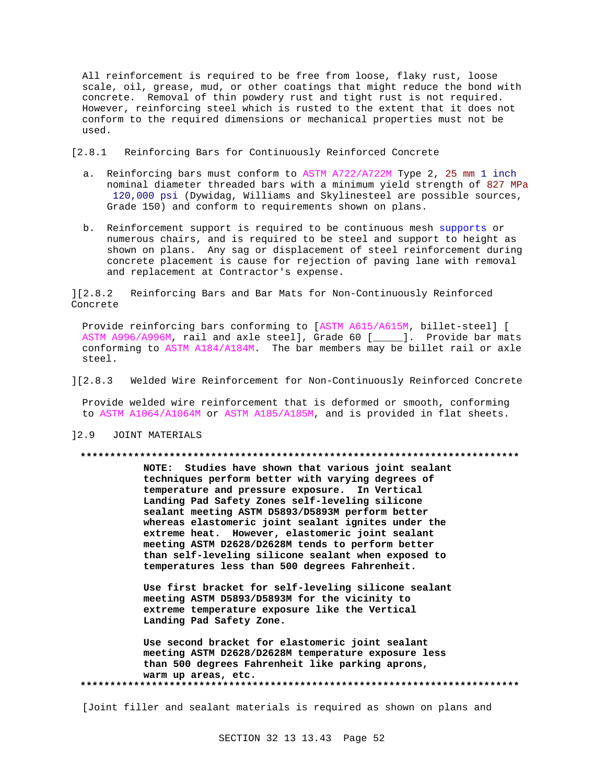All reinforcement is required to be free from loose, flaky rust, loose scale, oil, grease, mud, or other coatings that might reduce the bond with concrete. Removal of thin powdery rust and tight rust is not required. However, reinforcing steel which is rusted to the extent that it does not conform to the required dimensions or mechanical properties must not be used.

[2.8.1 Reinforcing Bars for Continuously Reinforced Concrete

- a. Reinforcing bars must conform to ASTM A722/A722M Type 2, 25 mm 1 inch nominal diameter threaded bars with a minimum yield strength of 827 MPa 120,000 psi (Dywidag, Williams and Skylinesteel are possible sources, Grade 150) and conform to requirements shown on plans.
- b. Reinforcement support is required to be continuous mesh supports or numerous chairs, and is required to be steel and support to height as shown on plans. Any sag or displacement of steel reinforcement during concrete placement is cause for rejection of paving lane with removal and replacement at Contractor's expense.

][2.8.2 Reinforcing Bars and Bar Mats for Non-Continuously Reinforced Concrete

Provide reinforcing bars conforming to [ASTM A615/A615M, billet-steel] [ ASTM A996/A996M, rail and axle steel], Grade 60 [\_\_\_\_\_]. Provide bar mats conforming to ASTM A184/A184M. The bar members may be billet rail or axle steel.

][2.8.3 Welded Wire Reinforcement for Non-Continuously Reinforced Concrete

Provide welded wire reinforcement that is deformed or smooth, conforming to ASTM A1064/A1064M or ASTM A185/A185M, and is provided in flat sheets.

### ]2.9 JOINT MATERIALS

#### **\*\*\*\*\*\*\*\*\*\*\*\*\*\*\*\*\*\*\*\*\*\*\*\*\*\*\*\*\*\*\*\*\*\*\*\*\*\*\*\*\*\*\*\*\*\*\*\*\*\*\*\*\*\*\*\*\*\*\*\*\*\*\*\*\*\*\*\*\*\*\*\*\*\***

**NOTE: Studies have shown that various joint sealant techniques perform better with varying degrees of temperature and pressure exposure. In Vertical Landing Pad Safety Zones self-leveling silicone sealant meeting ASTM D5893/D5893M perform better whereas elastomeric joint sealant ignites under the extreme heat. However, elastomeric joint sealant meeting ASTM D2628/D2628M tends to perform better than self-leveling silicone sealant when exposed to temperatures less than 500 degrees Fahrenheit.**

**Use first bracket for self-leveling silicone sealant meeting ASTM D5893/D5893M for the vicinity to extreme temperature exposure like the Vertical Landing Pad Safety Zone.**

**Use second bracket for elastomeric joint sealant meeting ASTM D2628/D2628M temperature exposure less than 500 degrees Fahrenheit like parking aprons, warm up areas, etc. \*\*\*\*\*\*\*\*\*\*\*\*\*\*\*\*\*\*\*\*\*\*\*\*\*\*\*\*\*\*\*\*\*\*\*\*\*\*\*\*\*\*\*\*\*\*\*\*\*\*\*\*\*\*\*\*\*\*\*\*\*\*\*\*\*\*\*\*\*\*\*\*\*\***

[Joint filler and sealant materials is required as shown on plans and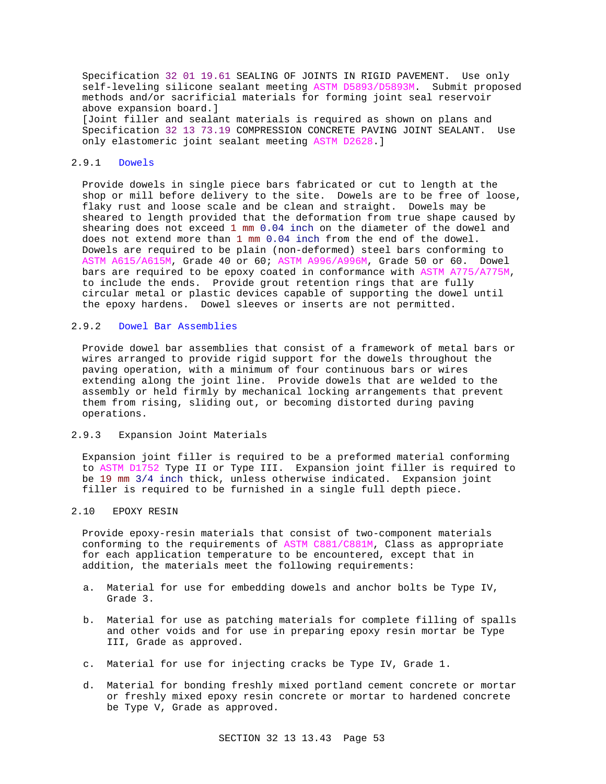Specification 32 01 19.61 SEALING OF JOINTS IN RIGID PAVEMENT. Use only self-leveling silicone sealant meeting ASTM D5893/D5893M. Submit proposed methods and/or sacrificial materials for forming joint seal reservoir above expansion board.] [Joint filler and sealant materials is required as shown on plans and Specification 32 13 73.19 COMPRESSION CONCRETE PAVING JOINT SEALANT. Use only elastomeric joint sealant meeting ASTM D2628.]

# 2.9.1 Dowels

Provide dowels in single piece bars fabricated or cut to length at the shop or mill before delivery to the site. Dowels are to be free of loose, flaky rust and loose scale and be clean and straight. Dowels may be sheared to length provided that the deformation from true shape caused by shearing does not exceed 1 mm 0.04 inch on the diameter of the dowel and does not extend more than 1 mm 0.04 inch from the end of the dowel. Dowels are required to be plain (non-deformed) steel bars conforming to ASTM A615/A615M, Grade 40 or 60; ASTM A996/A996M, Grade 50 or 60. Dowel bars are required to be epoxy coated in conformance with ASTM A775/A775M, to include the ends. Provide grout retention rings that are fully circular metal or plastic devices capable of supporting the dowel until the epoxy hardens. Dowel sleeves or inserts are not permitted.

## 2.9.2 Dowel Bar Assemblies

Provide dowel bar assemblies that consist of a framework of metal bars or wires arranged to provide rigid support for the dowels throughout the paving operation, with a minimum of four continuous bars or wires extending along the joint line. Provide dowels that are welded to the assembly or held firmly by mechanical locking arrangements that prevent them from rising, sliding out, or becoming distorted during paving operations.

## 2.9.3 Expansion Joint Materials

Expansion joint filler is required to be a preformed material conforming to ASTM D1752 Type II or Type III. Expansion joint filler is required to be 19 mm 3/4 inch thick, unless otherwise indicated. Expansion joint filler is required to be furnished in a single full depth piece.

# 2.10 EPOXY RESIN

Provide epoxy-resin materials that consist of two-component materials conforming to the requirements of ASTM C881/C881M, Class as appropriate for each application temperature to be encountered, except that in addition, the materials meet the following requirements:

- a. Material for use for embedding dowels and anchor bolts be Type IV, Grade 3.
- b. Material for use as patching materials for complete filling of spalls and other voids and for use in preparing epoxy resin mortar be Type III, Grade as approved.
- c. Material for use for injecting cracks be Type IV, Grade 1.
- d. Material for bonding freshly mixed portland cement concrete or mortar or freshly mixed epoxy resin concrete or mortar to hardened concrete be Type V, Grade as approved.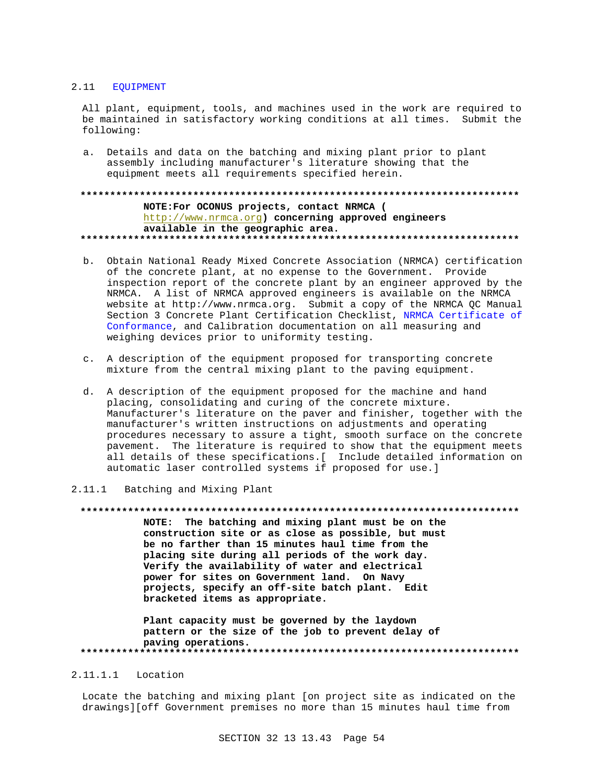#### $2.11$ **EQUIPMENT**

All plant, equipment, tools, and machines used in the work are required to be maintained in satisfactory working conditions at all times. Submit the following:

a. Details and data on the batching and mixing plant prior to plant assembly including manufacturer's literature showing that the equipment meets all requirements specified herein.

# NOTE: For OCONUS projects, contact NRMCA ( http://www.nrmca.org) concerning approved engineers available in the geographic area.

- b. Obtain National Ready Mixed Concrete Association (NRMCA) certification of the concrete plant, at no expense to the Government. Provide inspection report of the concrete plant by an engineer approved by the NRMCA. A list of NRMCA approved engineers is available on the NRMCA website at http://www.nrmca.org. Submit a copy of the NRMCA QC Manual Section 3 Concrete Plant Certification Checklist, NRMCA Certificate of Conformance, and Calibration documentation on all measuring and weighing devices prior to uniformity testing.
- c. A description of the equipment proposed for transporting concrete mixture from the central mixing plant to the paving equipment.
- d. A description of the equipment proposed for the machine and hand placing, consolidating and curing of the concrete mixture. Manufacturer's literature on the paver and finisher, together with the manufacturer's written instructions on adjustments and operating procedures necessary to assure a tight, smooth surface on the concrete pavement. The literature is required to show that the equipment meets all details of these specifications. [ Include detailed information on automatic laser controlled systems if proposed for use.]

#### Batching and Mixing Plant  $2.11.1$

### 

NOTE: The batching and mixing plant must be on the construction site or as close as possible, but must be no farther than 15 minutes haul time from the placing site during all periods of the work day. Verify the availability of water and electrical power for sites on Government land. On Navy projects, specify an off-site batch plant. Edit bracketed items as appropriate.

Plant capacity must be governed by the laydown pattern or the size of the job to prevent delay of paving operations. 

#### $2.11.1.1$  Location

Locate the batching and mixing plant [on project site as indicated on the drawings][off Government premises no more than 15 minutes haul time from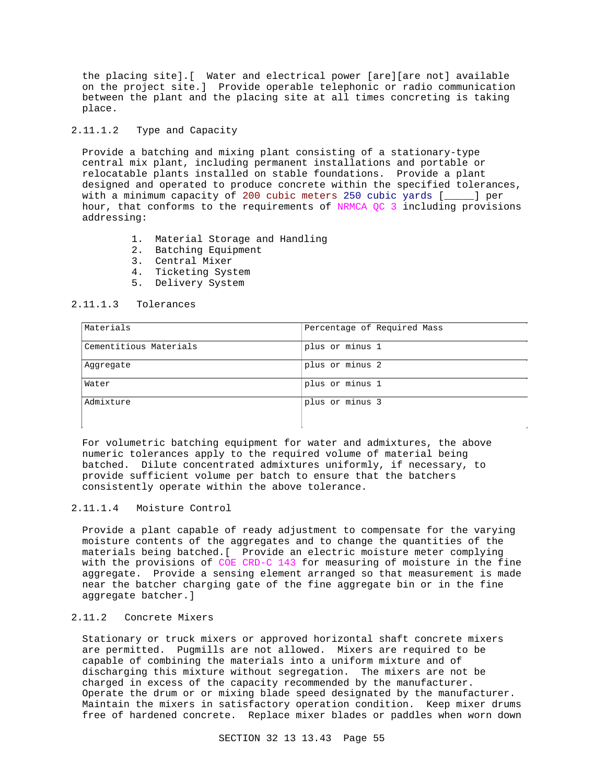the placing site].[ Water and electrical power [are][are not] available on the project site.] Provide operable telephonic or radio communication between the plant and the placing site at all times concreting is taking place.

# 2.11.1.2 Type and Capacity

Provide a batching and mixing plant consisting of a stationary-type central mix plant, including permanent installations and portable or relocatable plants installed on stable foundations. Provide a plant designed and operated to produce concrete within the specified tolerances, with a minimum capacity of 200 cubic meters 250 cubic yards [\_\_\_\_\_] per hour, that conforms to the requirements of NRMCA QC 3 including provisions addressing:

- 1. Material Storage and Handling
- 2. Batching Equipment
- 3. Central Mixer
- 4. Ticketing System
- 5. Delivery System

#### 2.11.1.3 Tolerances

| Materials              | Percentage of Required Mass |
|------------------------|-----------------------------|
| Cementitious Materials | plus or minus 1             |
| Aggregate              | plus or minus 2             |
| Water                  | plus or minus 1             |
| Admixture              | plus or minus 3             |

For volumetric batching equipment for water and admixtures, the above numeric tolerances apply to the required volume of material being batched. Dilute concentrated admixtures uniformly, if necessary, to provide sufficient volume per batch to ensure that the batchers consistently operate within the above tolerance.

## 2.11.1.4 Moisture Control

Provide a plant capable of ready adjustment to compensate for the varying moisture contents of the aggregates and to change the quantities of the materials being batched.[ Provide an electric moisture meter complying with the provisions of COE CRD-C 143 for measuring of moisture in the fine aggregate. Provide a sensing element arranged so that measurement is made near the batcher charging gate of the fine aggregate bin or in the fine aggregate batcher.]

## 2.11.2 Concrete Mixers

Stationary or truck mixers or approved horizontal shaft concrete mixers are permitted. Pugmills are not allowed. Mixers are required to be capable of combining the materials into a uniform mixture and of discharging this mixture without segregation. The mixers are not be charged in excess of the capacity recommended by the manufacturer. Operate the drum or or mixing blade speed designated by the manufacturer. Maintain the mixers in satisfactory operation condition. Keep mixer drums free of hardened concrete. Replace mixer blades or paddles when worn down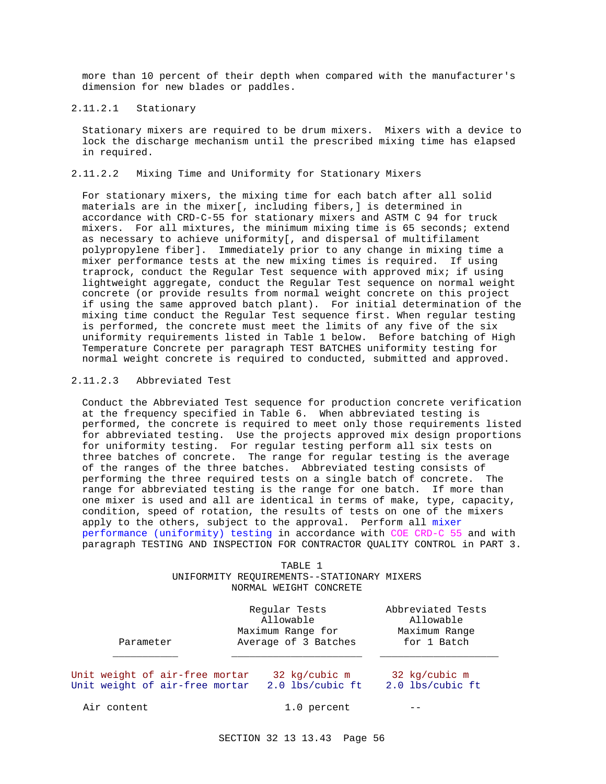more than 10 percent of their depth when compared with the manufacturer's dimension for new blades or paddles.

## 2.11.2.1 Stationary

Stationary mixers are required to be drum mixers. Mixers with a device to lock the discharge mechanism until the prescribed mixing time has elapsed in required.

## 2.11.2.2 Mixing Time and Uniformity for Stationary Mixers

For stationary mixers, the mixing time for each batch after all solid materials are in the mixer[, including fibers,] is determined in accordance with CRD-C-55 for stationary mixers and ASTM C 94 for truck mixers. For all mixtures, the minimum mixing time is 65 seconds; extend as necessary to achieve uniformity[, and dispersal of multifilament polypropylene fiber]. Immediately prior to any change in mixing time a mixer performance tests at the new mixing times is required. If using traprock, conduct the Regular Test sequence with approved mix; if using lightweight aggregate, conduct the Regular Test sequence on normal weight concrete (or provide results from normal weight concrete on this project if using the same approved batch plant). For initial determination of the mixing time conduct the Regular Test sequence first. When regular testing is performed, the concrete must meet the limits of any five of the six uniformity requirements listed in Table 1 below. Before batching of High Temperature Concrete per paragraph TEST BATCHES uniformity testing for normal weight concrete is required to conducted, submitted and approved.

# 2.11.2.3 Abbreviated Test

Conduct the Abbreviated Test sequence for production concrete verification at the frequency specified in Table 6. When abbreviated testing is performed, the concrete is required to meet only those requirements listed for abbreviated testing. Use the projects approved mix design proportions for uniformity testing. For regular testing perform all six tests on three batches of concrete. The range for regular testing is the average of the ranges of the three batches. Abbreviated testing consists of performing the three required tests on a single batch of concrete. The range for abbreviated testing is the range for one batch. If more than one mixer is used and all are identical in terms of make, type, capacity, condition, speed of rotation, the results of tests on one of the mixers apply to the others, subject to the approval. Perform all mixer performance (uniformity) testing in accordance with COE CRD-C 55 and with paragraph TESTING AND INSPECTION FOR CONTRACTOR QUALITY CONTROL in PART 3.

> TABLE 1 UNIFORMITY REQUIREMENTS--STATIONARY MIXERS NORMAL WEIGHT CONCRETE

| Parameter                                                        | Regular Tests<br>Allowable<br>Maximum Range for<br>Average of 3 Batches | Abbreviated Tests<br>Allowable<br>Maximum Range<br>for 1 Batch |
|------------------------------------------------------------------|-------------------------------------------------------------------------|----------------------------------------------------------------|
| Unit weight of air-free mortar<br>Unit weight of air-free mortar | 32 kg/cubic m<br>2.0 lbs/cubic ft                                       | 32 kg/cubic m<br>2.0 lbs/cubic ft                              |
| Air content                                                      | 1.0 percent                                                             |                                                                |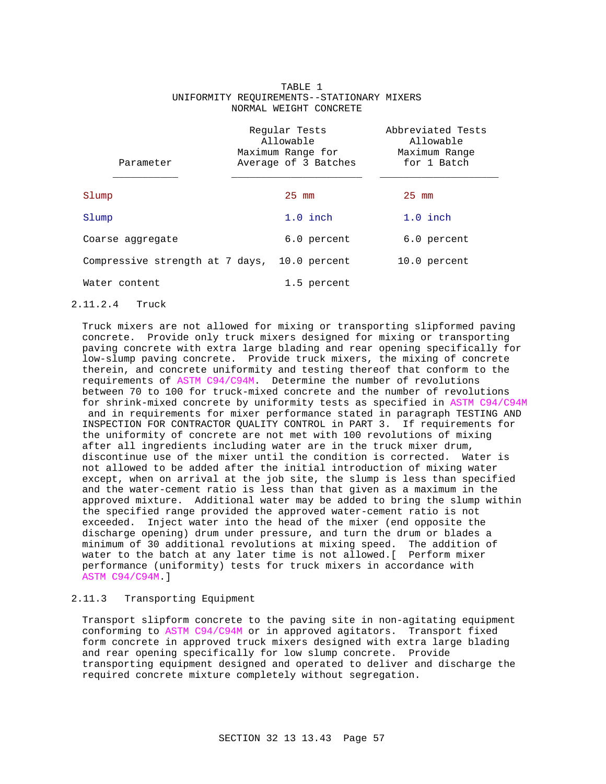| Parameter                       | Regular Tests<br>Allowable<br>Maximum Range for<br>Average of 3 Batches | Abbreviated Tests<br>Allowable<br>Maximum Range<br>for 1 Batch |
|---------------------------------|-------------------------------------------------------------------------|----------------------------------------------------------------|
| Slump                           | $25$ mm                                                                 | $25$ mm                                                        |
| Slump                           | $1.0$ inch                                                              | $1.0$ inch                                                     |
| Coarse aggregate                | 6.0 percent                                                             | 6.0 percent                                                    |
| Compressive strength at 7 days, | 10.0 percent                                                            | 10.0 percent                                                   |
| Water content                   | 1.5 percent                                                             |                                                                |

TABLE 1 UNIFORMITY REQUIREMENTS--STATIONARY MIXERS NORMAL WEIGHT CONCRETE

## 2.11.2.4 Truck

Truck mixers are not allowed for mixing or transporting slipformed paving concrete. Provide only truck mixers designed for mixing or transporting paving concrete with extra large blading and rear opening specifically for low-slump paving concrete. Provide truck mixers, the mixing of concrete therein, and concrete uniformity and testing thereof that conform to the requirements of ASTM C94/C94M. Determine the number of revolutions between 70 to 100 for truck-mixed concrete and the number of revolutions for shrink-mixed concrete by uniformity tests as specified in ASTM C94/C94M

 and in requirements for mixer performance stated in paragraph TESTING AND INSPECTION FOR CONTRACTOR QUALITY CONTROL in PART 3. If requirements for the uniformity of concrete are not met with 100 revolutions of mixing after all ingredients including water are in the truck mixer drum, discontinue use of the mixer until the condition is corrected. Water is not allowed to be added after the initial introduction of mixing water except, when on arrival at the job site, the slump is less than specified and the water-cement ratio is less than that given as a maximum in the approved mixture. Additional water may be added to bring the slump within the specified range provided the approved water-cement ratio is not exceeded. Inject water into the head of the mixer (end opposite the discharge opening) drum under pressure, and turn the drum or blades a minimum of 30 additional revolutions at mixing speed. The addition of water to the batch at any later time is not allowed.[ Perform mixer performance (uniformity) tests for truck mixers in accordance with ASTM C94/C94M.]

## 2.11.3 Transporting Equipment

Transport slipform concrete to the paving site in non-agitating equipment conforming to ASTM C94/C94M or in approved agitators. Transport fixed form concrete in approved truck mixers designed with extra large blading and rear opening specifically for low slump concrete. Provide transporting equipment designed and operated to deliver and discharge the required concrete mixture completely without segregation.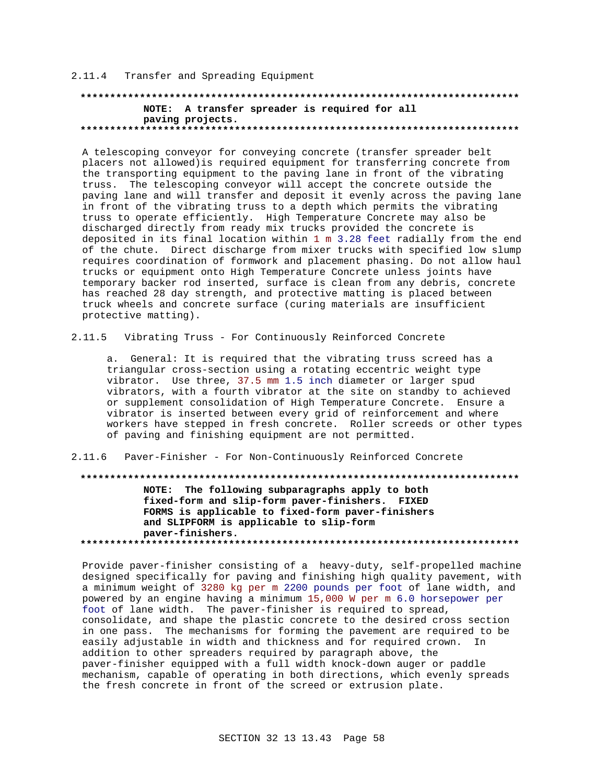## 2.11.4 Transfer and Spreading Equipment

## **\*\*\*\*\*\*\*\*\*\*\*\*\*\*\*\*\*\*\*\*\*\*\*\*\*\*\*\*\*\*\*\*\*\*\*\*\*\*\*\*\*\*\*\*\*\*\*\*\*\*\*\*\*\*\*\*\*\*\*\*\*\*\*\*\*\*\*\*\*\*\*\*\*\* NOTE: A transfer spreader is required for all paving projects. \*\*\*\*\*\*\*\*\*\*\*\*\*\*\*\*\*\*\*\*\*\*\*\*\*\*\*\*\*\*\*\*\*\*\*\*\*\*\*\*\*\*\*\*\*\*\*\*\*\*\*\*\*\*\*\*\*\*\*\*\*\*\*\*\*\*\*\*\*\*\*\*\*\***

A telescoping conveyor for conveying concrete (transfer spreader belt placers not allowed)is required equipment for transferring concrete from the transporting equipment to the paving lane in front of the vibrating truss. The telescoping conveyor will accept the concrete outside the paving lane and will transfer and deposit it evenly across the paving lane in front of the vibrating truss to a depth which permits the vibrating truss to operate efficiently. High Temperature Concrete may also be discharged directly from ready mix trucks provided the concrete is deposited in its final location within 1 m 3.28 feet radially from the end of the chute. Direct discharge from mixer trucks with specified low slump requires coordination of formwork and placement phasing. Do not allow haul trucks or equipment onto High Temperature Concrete unless joints have temporary backer rod inserted, surface is clean from any debris, concrete has reached 28 day strength, and protective matting is placed between truck wheels and concrete surface (curing materials are insufficient protective matting).

2.11.5 Vibrating Truss - For Continuously Reinforced Concrete

a. General: It is required that the vibrating truss screed has a triangular cross-section using a rotating eccentric weight type vibrator. Use three, 37.5 mm 1.5 inch diameter or larger spud vibrators, with a fourth vibrator at the site on standby to achieved or supplement consolidation of High Temperature Concrete. Ensure a vibrator is inserted between every grid of reinforcement and where workers have stepped in fresh concrete. Roller screeds or other types of paving and finishing equipment are not permitted.

2.11.6 Paver-Finisher - For Non-Continuously Reinforced Concrete

**\*\*\*\*\*\*\*\*\*\*\*\*\*\*\*\*\*\*\*\*\*\*\*\*\*\*\*\*\*\*\*\*\*\*\*\*\*\*\*\*\*\*\*\*\*\*\*\*\*\*\*\*\*\*\*\*\*\*\*\*\*\*\*\*\*\*\*\*\*\*\*\*\*\* NOTE: The following subparagraphs apply to both fixed-form and slip-form paver-finishers. FIXED FORMS is applicable to fixed-form paver-finishers and SLIPFORM is applicable to slip-form paver-finishers. \*\*\*\*\*\*\*\*\*\*\*\*\*\*\*\*\*\*\*\*\*\*\*\*\*\*\*\*\*\*\*\*\*\*\*\*\*\*\*\*\*\*\*\*\*\*\*\*\*\*\*\*\*\*\*\*\*\*\*\*\*\*\*\*\*\*\*\*\*\*\*\*\*\***

Provide paver-finisher consisting of a heavy-duty, self-propelled machine designed specifically for paving and finishing high quality pavement, with a minimum weight of 3280 kg per m 2200 pounds per foot of lane width, and powered by an engine having a minimum 15,000 W per m 6.0 horsepower per foot of lane width. The paver-finisher is required to spread, consolidate, and shape the plastic concrete to the desired cross section in one pass. The mechanisms for forming the pavement are required to be easily adjustable in width and thickness and for required crown. In addition to other spreaders required by paragraph above, the paver-finisher equipped with a full width knock-down auger or paddle mechanism, capable of operating in both directions, which evenly spreads the fresh concrete in front of the screed or extrusion plate.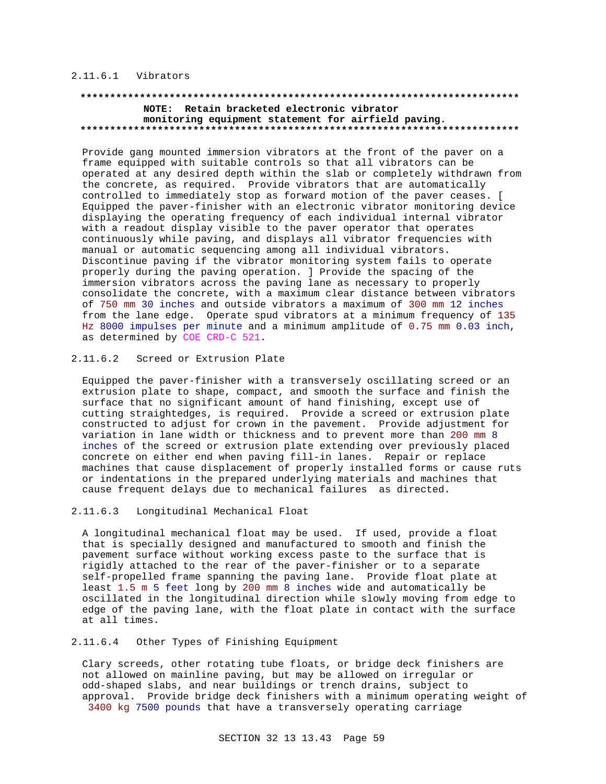## 2.11.6.1 Vibrators

# **\*\*\*\*\*\*\*\*\*\*\*\*\*\*\*\*\*\*\*\*\*\*\*\*\*\*\*\*\*\*\*\*\*\*\*\*\*\*\*\*\*\*\*\*\*\*\*\*\*\*\*\*\*\*\*\*\*\*\*\*\*\*\*\*\*\*\*\*\*\*\*\*\*\***

## **NOTE: Retain bracketed electronic vibrator monitoring equipment statement for airfield paving. \*\*\*\*\*\*\*\*\*\*\*\*\*\*\*\*\*\*\*\*\*\*\*\*\*\*\*\*\*\*\*\*\*\*\*\*\*\*\*\*\*\*\*\*\*\*\*\*\*\*\*\*\*\*\*\*\*\*\*\*\*\*\*\*\*\*\*\*\*\*\*\*\*\***

Provide gang mounted immersion vibrators at the front of the paver on a frame equipped with suitable controls so that all vibrators can be operated at any desired depth within the slab or completely withdrawn from the concrete, as required. Provide vibrators that are automatically controlled to immediately stop as forward motion of the paver ceases. [ Equipped the paver-finisher with an electronic vibrator monitoring device displaying the operating frequency of each individual internal vibrator with a readout display visible to the paver operator that operates continuously while paving, and displays all vibrator frequencies with manual or automatic sequencing among all individual vibrators. Discontinue paving if the vibrator monitoring system fails to operate properly during the paving operation. ] Provide the spacing of the immersion vibrators across the paving lane as necessary to properly consolidate the concrete, with a maximum clear distance between vibrators of 750 mm 30 inches and outside vibrators a maximum of 300 mm 12 inches from the lane edge. Operate spud vibrators at a minimum frequency of 135 Hz 8000 impulses per minute and a minimum amplitude of 0.75 mm 0.03 inch, as determined by COE CRD-C 521.

## 2.11.6.2 Screed or Extrusion Plate

Equipped the paver-finisher with a transversely oscillating screed or an extrusion plate to shape, compact, and smooth the surface and finish the surface that no significant amount of hand finishing, except use of cutting straightedges, is required. Provide a screed or extrusion plate constructed to adjust for crown in the pavement. Provide adjustment for variation in lane width or thickness and to prevent more than 200 mm 8 inches of the screed or extrusion plate extending over previously placed concrete on either end when paving fill-in lanes. Repair or replace machines that cause displacement of properly installed forms or cause ruts or indentations in the prepared underlying materials and machines that cause frequent delays due to mechanical failures as directed.

## 2.11.6.3 Longitudinal Mechanical Float

A longitudinal mechanical float may be used. If used, provide a float that is specially designed and manufactured to smooth and finish the pavement surface without working excess paste to the surface that is rigidly attached to the rear of the paver-finisher or to a separate self-propelled frame spanning the paving lane. Provide float plate at least 1.5 m 5 feet long by 200 mm 8 inches wide and automatically be oscillated in the longitudinal direction while slowly moving from edge to edge of the paving lane, with the float plate in contact with the surface at all times.

## 2.11.6.4 Other Types of Finishing Equipment

Clary screeds, other rotating tube floats, or bridge deck finishers are not allowed on mainline paving, but may be allowed on irregular or odd-shaped slabs, and near buildings or trench drains, subject to approval. Provide bridge deck finishers with a minimum operating weight of 3400 kg 7500 pounds that have a transversely operating carriage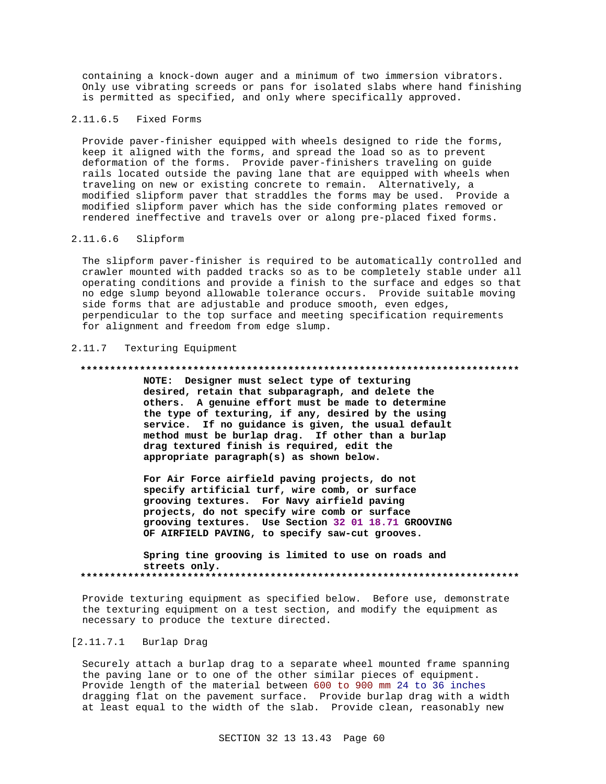containing a knock-down auger and a minimum of two immersion vibrators. Only use vibrating screeds or pans for isolated slabs where hand finishing is permitted as specified, and only where specifically approved.

### 2.11.6.5 Fixed Forms

Provide paver-finisher equipped with wheels designed to ride the forms, keep it aligned with the forms, and spread the load so as to prevent deformation of the forms. Provide paver-finishers traveling on guide rails located outside the paving lane that are equipped with wheels when traveling on new or existing concrete to remain. Alternatively, a modified slipform paver that straddles the forms may be used. Provide a modified slipform paver which has the side conforming plates removed or rendered ineffective and travels over or along pre-placed fixed forms.

## 2.11.6.6 Slipform

The slipform paver-finisher is required to be automatically controlled and crawler mounted with padded tracks so as to be completely stable under all operating conditions and provide a finish to the surface and edges so that no edge slump beyond allowable tolerance occurs. Provide suitable moving side forms that are adjustable and produce smooth, even edges, perpendicular to the top surface and meeting specification requirements for alignment and freedom from edge slump.

## 2.11.7 Texturing Equipment

#### **\*\*\*\*\*\*\*\*\*\*\*\*\*\*\*\*\*\*\*\*\*\*\*\*\*\*\*\*\*\*\*\*\*\*\*\*\*\*\*\*\*\*\*\*\*\*\*\*\*\*\*\*\*\*\*\*\*\*\*\*\*\*\*\*\*\*\*\*\*\*\*\*\*\***

**NOTE: Designer must select type of texturing desired, retain that subparagraph, and delete the others. A genuine effort must be made to determine the type of texturing, if any, desired by the using service. If no guidance is given, the usual default method must be burlap drag. If other than a burlap drag textured finish is required, edit the appropriate paragraph(s) as shown below.**

**For Air Force airfield paving projects, do not specify artificial turf, wire comb, or surface grooving textures. For Navy airfield paving projects, do not specify wire comb or surface grooving textures. Use Section 32 01 18.71 GROOVING OF AIRFIELD PAVING, to specify saw-cut grooves.**

**Spring tine grooving is limited to use on roads and streets only. \*\*\*\*\*\*\*\*\*\*\*\*\*\*\*\*\*\*\*\*\*\*\*\*\*\*\*\*\*\*\*\*\*\*\*\*\*\*\*\*\*\*\*\*\*\*\*\*\*\*\*\*\*\*\*\*\*\*\*\*\*\*\*\*\*\*\*\*\*\*\*\*\*\***

Provide texturing equipment as specified below. Before use, demonstrate the texturing equipment on a test section, and modify the equipment as necessary to produce the texture directed.

## [2.11.7.1 Burlap Drag

Securely attach a burlap drag to a separate wheel mounted frame spanning the paving lane or to one of the other similar pieces of equipment. Provide length of the material between 600 to 900 mm 24 to 36 inches dragging flat on the pavement surface. Provide burlap drag with a width at least equal to the width of the slab. Provide clean, reasonably new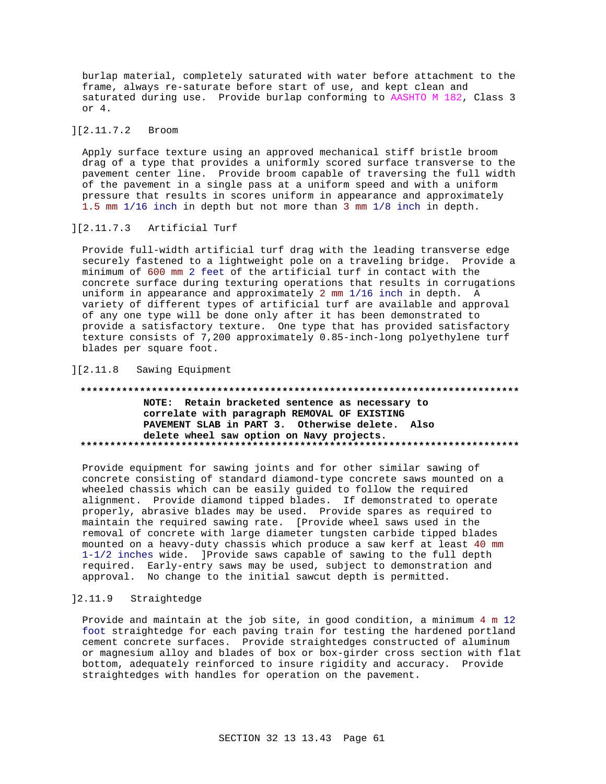burlap material, completely saturated with water before attachment to the frame, always re-saturate before start of use, and kept clean and saturated during use. Provide burlap conforming to AASHTO M 182, Class 3 or  $4.$ 

#### $]$ [2.11.7.2] Broom

Apply surface texture using an approved mechanical stiff bristle broom drag of a type that provides a uniformly scored surface transverse to the pavement center line. Provide broom capable of traversing the full width of the pavement in a single pass at a uniform speed and with a uniform pressure that results in scores uniform in appearance and approximately 1.5 mm 1/16 inch in depth but not more than 3 mm 1/8 inch in depth.

# $] [2.11.7.3$  Artificial Turf

Provide full-width artificial turf drag with the leading transverse edge securely fastened to a lightweight pole on a traveling bridge. Provide a minimum of 600 mm 2 feet of the artificial turf in contact with the concrete surface during texturing operations that results in corrugations uniform in appearance and approximately 2 mm 1/16 inch in depth. A variety of different types of artificial turf are available and approval of any one type will be done only after it has been demonstrated to provide a satisfactory texture. One type that has provided satisfactory texture consists of 7,200 approximately 0.85-inch-long polyethylene turf blades per square foot.

#### $] [2.11.8]$ Sawing Equipment

#### \*\*\*\*\*\*\*\*\*\*\*\*\*\*\*\*\* NOTE: Retain bracketed sentence as necessary to correlate with paragraph REMOVAL OF EXISTING PAVEMENT SLAB in PART 3. Otherwise delete. Also delete wheel saw option on Navy projects.

Provide equipment for sawing joints and for other similar sawing of concrete consisting of standard diamond-type concrete saws mounted on a wheeled chassis which can be easily guided to follow the required alignment. Provide diamond tipped blades. If demonstrated to operate properly, abrasive blades may be used. Provide spares as required to maintain the required sawing rate. [Provide wheel saws used in the removal of concrete with large diameter tungsten carbide tipped blades mounted on a heavy-duty chassis which produce a saw kerf at least 40 mm 1-1/2 inches wide. ]Provide saws capable of sawing to the full depth required. Early-entry saws may be used, subject to demonstration and approval. No change to the initial sawcut depth is permitted.

#### $] 2.11.9$ Straightedge

Provide and maintain at the job site, in good condition, a minimum 4 m 12 foot straightedge for each paving train for testing the hardened portland cement concrete surfaces. Provide straightedges constructed of aluminum or magnesium alloy and blades of box or box-girder cross section with flat bottom, adequately reinforced to insure rigidity and accuracy. Provide straightedges with handles for operation on the pavement.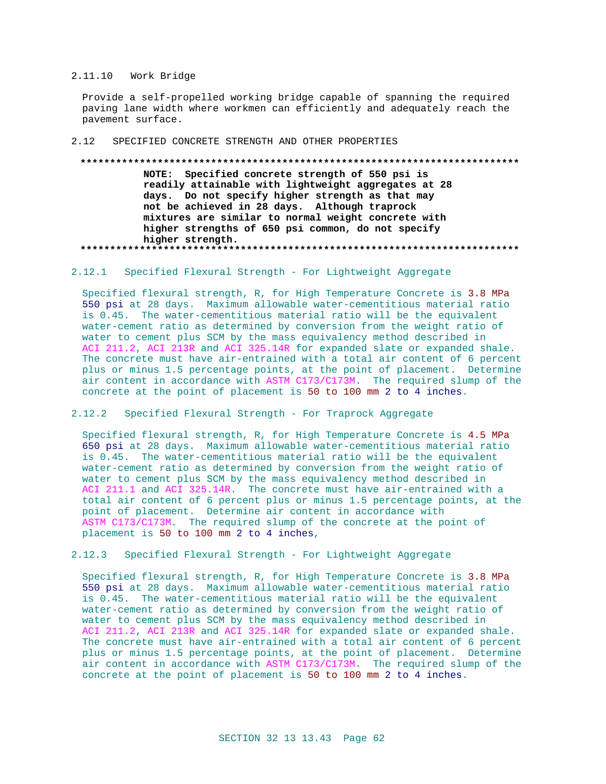## 2.11.10 Work Bridge

Provide a self-propelled working bridge capable of spanning the required paving lane width where workmen can efficiently and adequately reach the pavement surface.

#### 2.12 SPECIFIED CONCRETE STRENGTH AND OTHER PROPERTIES

**\*\*\*\*\*\*\*\*\*\*\*\*\*\*\*\*\*\*\*\*\*\*\*\*\*\*\*\*\*\*\*\*\*\*\*\*\*\*\*\*\*\*\*\*\*\*\*\*\*\*\*\*\*\*\*\*\*\*\*\*\*\*\*\*\*\*\*\*\*\*\*\*\*\* NOTE: Specified concrete strength of 550 psi is readily attainable with lightweight aggregates at 28 days. Do not specify higher strength as that may not be achieved in 28 days. Although traprock mixtures are similar to normal weight concrete with higher strengths of 650 psi common, do not specify higher strength. \*\*\*\*\*\*\*\*\*\*\*\*\*\*\*\*\*\*\*\*\*\*\*\*\*\*\*\*\*\*\*\*\*\*\*\*\*\*\*\*\*\*\*\*\*\*\*\*\*\*\*\*\*\*\*\*\*\*\*\*\*\*\*\*\*\*\*\*\*\*\*\*\*\***

### 2.12.1 Specified Flexural Strength - For Lightweight Aggregate

Specified flexural strength, R, for High Temperature Concrete is 3.8 MPa 550 psi at 28 days. Maximum allowable water-cementitious material ratio is 0.45. The water-cementitious material ratio will be the equivalent water-cement ratio as determined by conversion from the weight ratio of water to cement plus SCM by the mass equivalency method described in ACI 211.2, ACI 213R and ACI 325.14R for expanded slate or expanded shale. The concrete must have air-entrained with a total air content of 6 percent plus or minus 1.5 percentage points, at the point of placement. Determine air content in accordance with ASTM C173/C173M. The required slump of the concrete at the point of placement is 50 to 100 mm 2 to 4 inches.

# 2.12.2 Specified Flexural Strength - For Traprock Aggregate

Specified flexural strength, R, for High Temperature Concrete is 4.5 MPa 650 psi at 28 days. Maximum allowable water-cementitious material ratio is 0.45. The water-cementitious material ratio will be the equivalent water-cement ratio as determined by conversion from the weight ratio of water to cement plus SCM by the mass equivalency method described in ACI 211.1 and ACI 325.14R. The concrete must have air-entrained with a total air content of 6 percent plus or minus 1.5 percentage points, at the point of placement. Determine air content in accordance with ASTM C173/C173M. The required slump of the concrete at the point of placement is 50 to 100 mm 2 to 4 inches,

## 2.12.3 Specified Flexural Strength - For Lightweight Aggregate

Specified flexural strength, R, for High Temperature Concrete is 3.8 MPa 550 psi at 28 days. Maximum allowable water-cementitious material ratio is 0.45. The water-cementitious material ratio will be the equivalent water-cement ratio as determined by conversion from the weight ratio of water to cement plus SCM by the mass equivalency method described in ACI 211.2, ACI 213R and ACI 325.14R for expanded slate or expanded shale. The concrete must have air-entrained with a total air content of 6 percent plus or minus 1.5 percentage points, at the point of placement. Determine air content in accordance with ASTM C173/C173M. The required slump of the concrete at the point of placement is 50 to 100 mm 2 to 4 inches.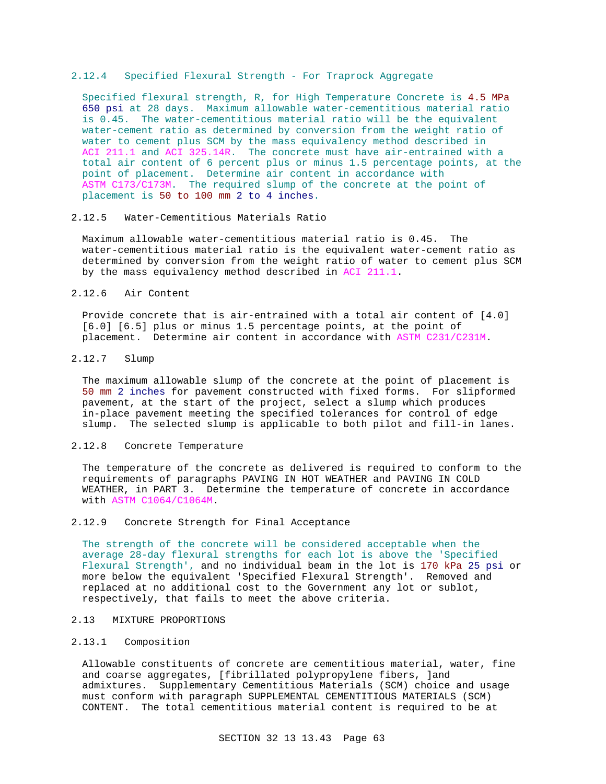### 2.12.4 Specified Flexural Strength - For Traprock Aggregate

Specified flexural strength, R, for High Temperature Concrete is 4.5 MPa 650 psi at 28 days. Maximum allowable water-cementitious material ratio is 0.45. The water-cementitious material ratio will be the equivalent water-cement ratio as determined by conversion from the weight ratio of water to cement plus SCM by the mass equivalency method described in ACI 211.1 and ACI 325.14R. The concrete must have air-entrained with a total air content of 6 percent plus or minus 1.5 percentage points, at the point of placement. Determine air content in accordance with ASTM C173/C173M. The required slump of the concrete at the point of placement is 50 to 100 mm 2 to 4 inches.

## 2.12.5 Water-Cementitious Materials Ratio

Maximum allowable water-cementitious material ratio is 0.45. The water-cementitious material ratio is the equivalent water-cement ratio as determined by conversion from the weight ratio of water to cement plus SCM by the mass equivalency method described in ACI 211.1.

# 2.12.6 Air Content

Provide concrete that is air-entrained with a total air content of [4.0] [6.0] [6.5] plus or minus 1.5 percentage points, at the point of placement. Determine air content in accordance with ASTM C231/C231M.

## 2.12.7 Slump

The maximum allowable slump of the concrete at the point of placement is 50 mm 2 inches for pavement constructed with fixed forms. For slipformed pavement, at the start of the project, select a slump which produces in-place pavement meeting the specified tolerances for control of edge slump. The selected slump is applicable to both pilot and fill-in lanes.

### 2.12.8 Concrete Temperature

The temperature of the concrete as delivered is required to conform to the requirements of paragraphs PAVING IN HOT WEATHER and PAVING IN COLD WEATHER, in PART 3. Determine the temperature of concrete in accordance with ASTM C1064/C1064M.

## 2.12.9 Concrete Strength for Final Acceptance

The strength of the concrete will be considered acceptable when the average 28-day flexural strengths for each lot is above the 'Specified Flexural Strength', and no individual beam in the lot is 170 kPa 25 psi or more below the equivalent 'Specified Flexural Strength'. Removed and replaced at no additional cost to the Government any lot or sublot, respectively, that fails to meet the above criteria.

## 2.13 MIXTURE PROPORTIONS

## 2.13.1 Composition

Allowable constituents of concrete are cementitious material, water, fine and coarse aggregates, [fibrillated polypropylene fibers, ]and admixtures. Supplementary Cementitious Materials (SCM) choice and usage must conform with paragraph SUPPLEMENTAL CEMENTITIOUS MATERIALS (SCM) CONTENT. The total cementitious material content is required to be at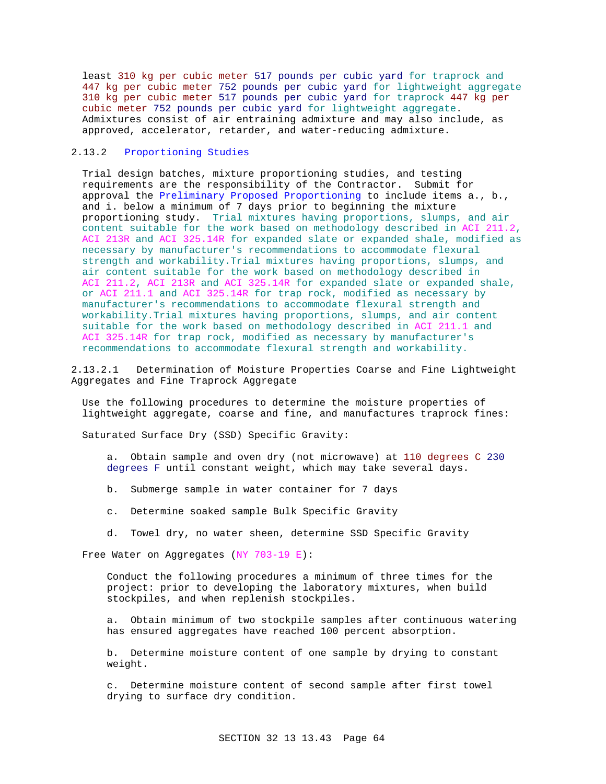least 310 kg per cubic meter 517 pounds per cubic yard for traprock and 447 kg per cubic meter 752 pounds per cubic yard for lightweight aggregate 310 kg per cubic meter 517 pounds per cubic yard for traprock 447 kg per cubic meter 752 pounds per cubic yard for lightweight aggregate. Admixtures consist of air entraining admixture and may also include, as approved, accelerator, retarder, and water-reducing admixture.

## 2.13.2 Proportioning Studies

Trial design batches, mixture proportioning studies, and testing requirements are the responsibility of the Contractor. Submit for approval the Preliminary Proposed Proportioning to include items a., b., and i. below a minimum of 7 days prior to beginning the mixture proportioning study. Trial mixtures having proportions, slumps, and air content suitable for the work based on methodology described in ACI 211.2, ACI 213R and ACI 325.14R for expanded slate or expanded shale, modified as necessary by manufacturer's recommendations to accommodate flexural strength and workability.Trial mixtures having proportions, slumps, and air content suitable for the work based on methodology described in ACI 211.2, ACI 213R and ACI 325.14R for expanded slate or expanded shale, or ACI 211.1 and ACI 325.14R for trap rock, modified as necessary by manufacturer's recommendations to accommodate flexural strength and workability.Trial mixtures having proportions, slumps, and air content suitable for the work based on methodology described in ACI 211.1 and ACI 325.14R for trap rock, modified as necessary by manufacturer's recommendations to accommodate flexural strength and workability.

2.13.2.1 Determination of Moisture Properties Coarse and Fine Lightweight Aggregates and Fine Traprock Aggregate

Use the following procedures to determine the moisture properties of lightweight aggregate, coarse and fine, and manufactures traprock fines:

Saturated Surface Dry (SSD) Specific Gravity:

a. Obtain sample and oven dry (not microwave) at 110 degrees C 230 degrees F until constant weight, which may take several days.

b. Submerge sample in water container for 7 days

- c. Determine soaked sample Bulk Specific Gravity
- d. Towel dry, no water sheen, determine SSD Specific Gravity

Free Water on Aggregates (NY 703-19 E):

Conduct the following procedures a minimum of three times for the project: prior to developing the laboratory mixtures, when build stockpiles, and when replenish stockpiles.

a. Obtain minimum of two stockpile samples after continuous watering has ensured aggregates have reached 100 percent absorption.

b. Determine moisture content of one sample by drying to constant weight.

c. Determine moisture content of second sample after first towel drying to surface dry condition.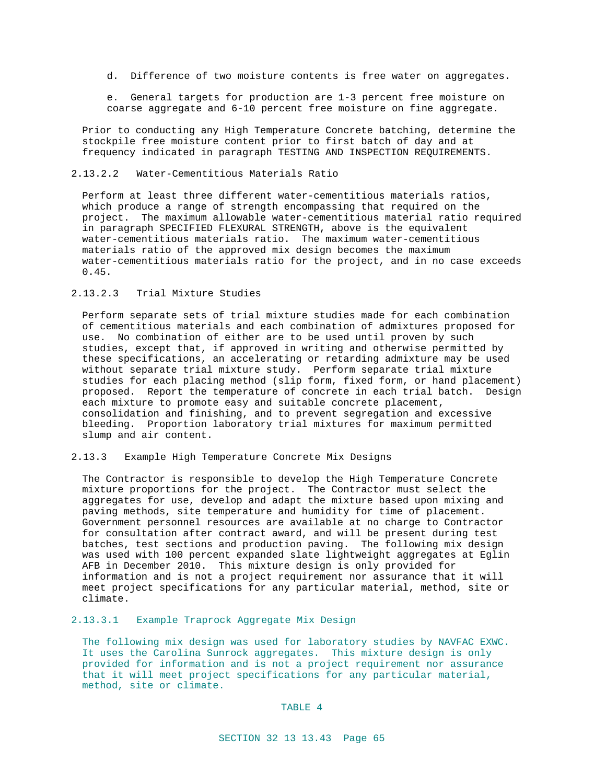d. Difference of two moisture contents is free water on aggregates.

e. General targets for production are 1-3 percent free moisture on coarse aggregate and 6-10 percent free moisture on fine aggregate.

Prior to conducting any High Temperature Concrete batching, determine the stockpile free moisture content prior to first batch of day and at frequency indicated in paragraph TESTING AND INSPECTION REQUIREMENTS.

# 2.13.2.2 Water-Cementitious Materials Ratio

Perform at least three different water-cementitious materials ratios, which produce a range of strength encompassing that required on the project. The maximum allowable water-cementitious material ratio required in paragraph SPECIFIED FLEXURAL STRENGTH, above is the equivalent water-cementitious materials ratio. The maximum water-cementitious materials ratio of the approved mix design becomes the maximum water-cementitious materials ratio for the project, and in no case exceeds 0.45.

# 2.13.2.3 Trial Mixture Studies

Perform separate sets of trial mixture studies made for each combination of cementitious materials and each combination of admixtures proposed for use. No combination of either are to be used until proven by such studies, except that, if approved in writing and otherwise permitted by these specifications, an accelerating or retarding admixture may be used without separate trial mixture study. Perform separate trial mixture studies for each placing method (slip form, fixed form, or hand placement) proposed. Report the temperature of concrete in each trial batch. Design each mixture to promote easy and suitable concrete placement, consolidation and finishing, and to prevent segregation and excessive bleeding. Proportion laboratory trial mixtures for maximum permitted slump and air content.

## 2.13.3 Example High Temperature Concrete Mix Designs

The Contractor is responsible to develop the High Temperature Concrete mixture proportions for the project. The Contractor must select the aggregates for use, develop and adapt the mixture based upon mixing and paving methods, site temperature and humidity for time of placement. Government personnel resources are available at no charge to Contractor for consultation after contract award, and will be present during test batches, test sections and production paving. The following mix design was used with 100 percent expanded slate lightweight aggregates at Eglin AFB in December 2010. This mixture design is only provided for information and is not a project requirement nor assurance that it will meet project specifications for any particular material, method, site or climate.

# 2.13.3.1 Example Traprock Aggregate Mix Design

The following mix design was used for laboratory studies by NAVFAC EXWC. It uses the Carolina Sunrock aggregates. This mixture design is only provided for information and is not a project requirement nor assurance that it will meet project specifications for any particular material, method, site or climate.

### TABLE 4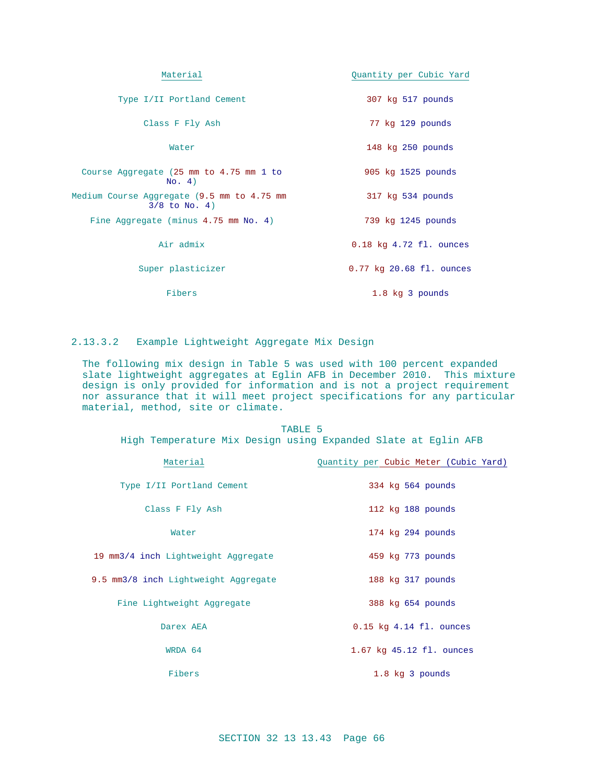| Material                                                      | Quantity per Cubic Yard     |
|---------------------------------------------------------------|-----------------------------|
| Type I/II Portland Cement                                     | 307 kg 517 pounds           |
| Class F Fly Ash                                               | 77 kg 129 pounds            |
| Water                                                         | 148 kg 250 pounds           |
| Course Aggregate (25 mm to 4.75 mm 1 to<br>No. 4)             | 905 kg 1525 pounds          |
| Medium Course Aggregate (9.5 mm to 4.75 mm<br>$3/8$ to No. 4) | 317 kg 534 pounds           |
| Fine Aggregate (minus 4.75 mm No. 4)                          | 739 kg 1245 pounds          |
| Air admix                                                     | $0.18$ kg $4.72$ fl. ounces |
| Super plasticizer                                             | 0.77 kg 20.68 fl. ounces    |
| Fibers                                                        | 1.8 kg 3 pounds             |

2.13.3.2 Example Lightweight Aggregate Mix Design

The following mix design in Table 5 was used with 100 percent expanded slate lightweight aggregates at Eglin AFB in December 2010. This mixture design is only provided for information and is not a project requirement nor assurance that it will meet project specifications for any particular material, method, site or climate.

TABLE 5 High Temperature Mix Design using Expanded Slate at Eglin AFB

| Material                             | Quantity per Cubic Meter (Cubic Yard) |
|--------------------------------------|---------------------------------------|
| Type I/II Portland Cement            | 334 kg 564 pounds                     |
| Class F Fly Ash                      | 112 kg 188 pounds                     |
| Water                                | 174 kg 294 pounds                     |
| 19 mm3/4 inch Lightweight Aggregate  | 459 kg 773 pounds                     |
| 9.5 mm3/8 inch Lightweight Aggregate | 188 kg 317 pounds                     |
| Fine Lightweight Aggregate           | 388 kg 654 pounds                     |
| Darex AEA                            | $0.15$ kg $4.14$ fl. ounces           |
| WRDA 64                              | 1.67 kg 45.12 fl. ounces              |
| Fibers                               | 1.8 kg 3 pounds                       |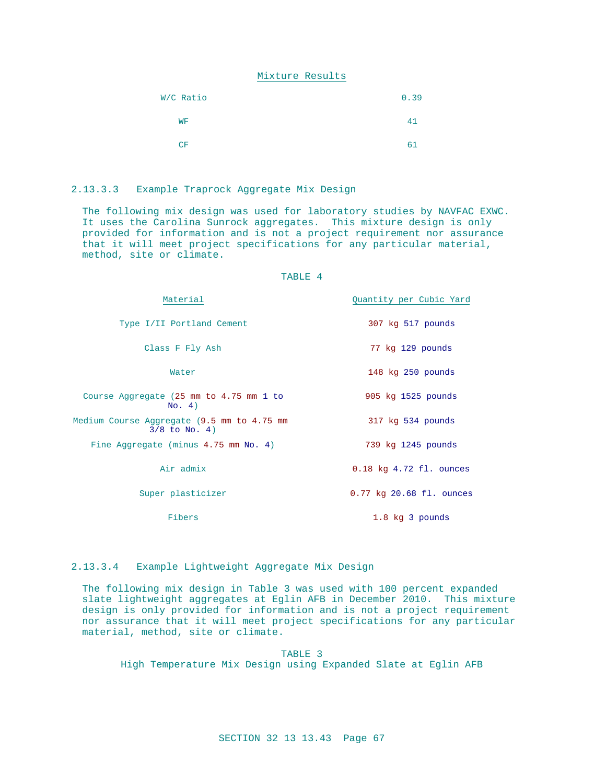## Mixture Results

| W/C Ratio | 0.39 |
|-----------|------|
| WF        |      |
| ごば        |      |

## 2.13.3.3 Example Traprock Aggregate Mix Design

The following mix design was used for laboratory studies by NAVFAC EXWC. It uses the Carolina Sunrock aggregates. This mixture design is only provided for information and is not a project requirement nor assurance that it will meet project specifications for any particular material, method, site or climate.

|--|--|

| Material                                                      | Quantity per Cubic Yard     |
|---------------------------------------------------------------|-----------------------------|
| Type I/II Portland Cement                                     | 307 kg 517 pounds           |
| Class F Fly Ash                                               | 77 kg 129 pounds            |
| Water                                                         | 148 kg 250 pounds           |
| Course Aggregate (25 mm to 4.75 mm 1 to<br>No. 4)             | 905 kg 1525 pounds          |
| Medium Course Aggregate (9.5 mm to 4.75 mm<br>$3/8$ to No. 4) | 317 kg 534 pounds           |
| Fine Aggregate (minus 4.75 mm No. 4)                          | 739 kg 1245 pounds          |
| Air admix                                                     | $0.18$ kg $4.72$ fl. ounces |
| Super plasticizer                                             | 0.77 kg 20.68 fl. ounces    |
| Fibers                                                        | 1.8 kg 3 pounds             |

# 2.13.3.4 Example Lightweight Aggregate Mix Design

The following mix design in Table 3 was used with 100 percent expanded slate lightweight aggregates at Eglin AFB in December 2010. This mixture design is only provided for information and is not a project requirement nor assurance that it will meet project specifications for any particular material, method, site or climate.

TABLE 3 High Temperature Mix Design using Expanded Slate at Eglin AFB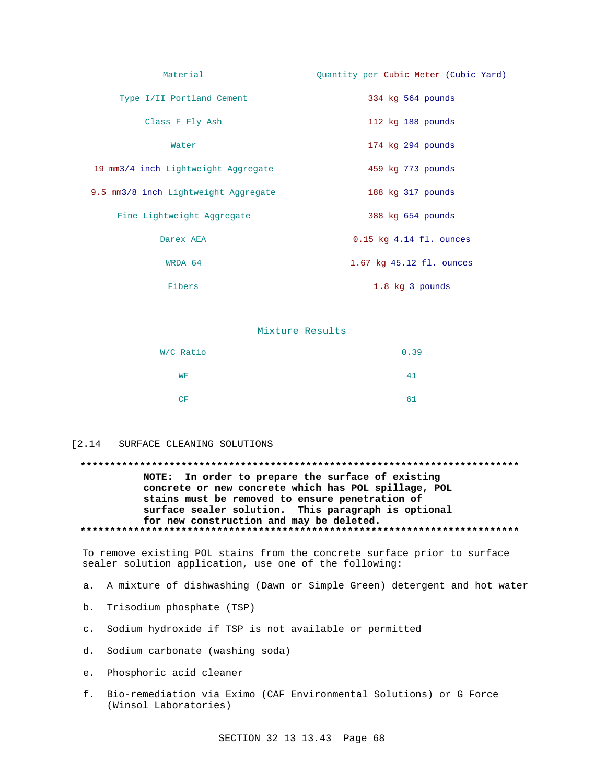| Material                             | Quantity per Cubic Meter (Cubic Yard) |
|--------------------------------------|---------------------------------------|
| Type I/II Portland Cement            | 334 kg 564 pounds                     |
| Class F Fly Ash                      | 112 kg 188 pounds                     |
| Water                                | 174 kg 294 pounds                     |
| 19 mm3/4 inch Lightweight Aggregate  | 459 kg 773 pounds                     |
| 9.5 mm3/8 inch Lightweight Aggregate | 188 kg 317 pounds                     |
| Fine Lightweight Aggregate           | 388 kg 654 pounds                     |
| Darex AEA                            | $0.15$ kg $4.14$ fl. ounces           |
| WRDA 64                              | 1.67 kg 45.12 fl. ounces              |
| Fibers                               | 1.8 kg 3 pounds                       |

## Mixture Results

| W/C Ratio | 0.39 |
|-----------|------|
| WF        |      |
| パロ        |      |

## [2.14 SURFACE CLEANING SOLUTIONS

## 

NOTE: In order to prepare the surface of existing concrete or new concrete which has POL spillage, POL stains must be removed to ensure penetration of surface sealer solution. This paragraph is optional for new construction and may be deleted. \*\*\*\*\*\*\*\*\*\*\*\*\*\*

To remove existing POL stains from the concrete surface prior to surface sealer solution application, use one of the following:

- a. A mixture of dishwashing (Dawn or Simple Green) detergent and hot water
- b. Trisodium phosphate (TSP)
- c. Sodium hydroxide if TSP is not available or permitted
- d. Sodium carbonate (washing soda)
- e. Phosphoric acid cleaner
- f. Bio-remediation via Eximo (CAF Environmental Solutions) or G Force (Winsol Laboratories)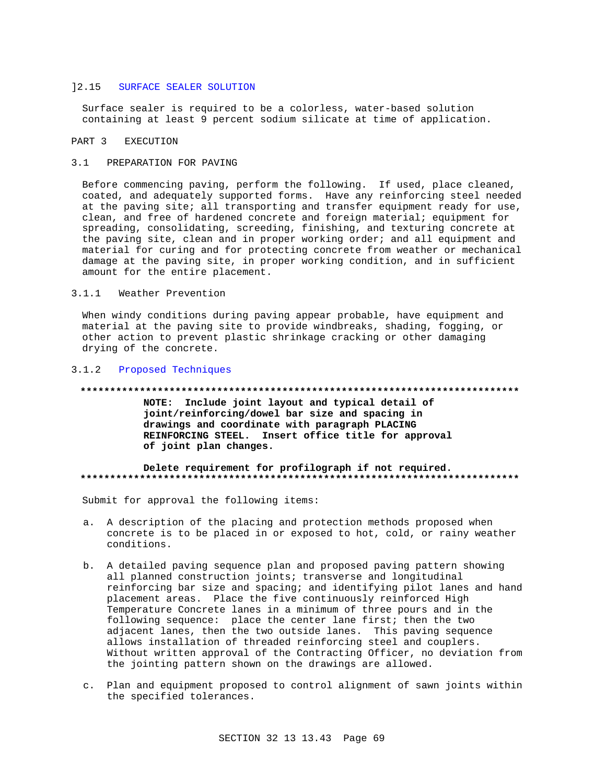#### $12.15$ SURFACE SEALER SOLUTION

Surface sealer is required to be a colorless, water-based solution containing at least 9 percent sodium silicate at time of application.

#### PART<sub>3</sub> **EXECUTION**

### 3.1 PREPARATION FOR PAVING

Before commencing paving, perform the following. If used, place cleaned, coated, and adequately supported forms. Have any reinforcing steel needed at the paving site; all transporting and transfer equipment ready for use, clean, and free of hardened concrete and foreign material; equipment for spreading, consolidating, screeding, finishing, and texturing concrete at the paving site, clean and in proper working order; and all equipment and material for curing and for protecting concrete from weather or mechanical damage at the paving site, in proper working condition, and in sufficient amount for the entire placement.

#### $3.1.1$ Weather Prevention

When windy conditions during paving appear probable, have equipment and material at the paving site to provide windbreaks, shading, fogging, or other action to prevent plastic shrinkage cracking or other damaging drying of the concrete.

## 3.1.2 Proposed Techniques

#### \*\*\*\*\*\*\*\*\*\*\*\*

NOTE: Include joint layout and typical detail of joint/reinforcing/dowel bar size and spacing in drawings and coordinate with paragraph PLACING REINFORCING STEEL. Insert office title for approval of joint plan changes.

Delete requirement for profilograph if not required. 

Submit for approval the following items:

- a. A description of the placing and protection methods proposed when concrete is to be placed in or exposed to hot, cold, or rainy weather conditions.
- b. A detailed paving sequence plan and proposed paving pattern showing all planned construction joints; transverse and longitudinal reinforcing bar size and spacing; and identifying pilot lanes and hand placement areas. Place the five continuously reinforced High Temperature Concrete lanes in a minimum of three pours and in the following sequence: place the center lane first; then the two adjacent lanes, then the two outside lanes. This paving sequence allows installation of threaded reinforcing steel and couplers. Without written approval of the Contracting Officer, no deviation from the jointing pattern shown on the drawings are allowed.
- c. Plan and equipment proposed to control alignment of sawn joints within the specified tolerances.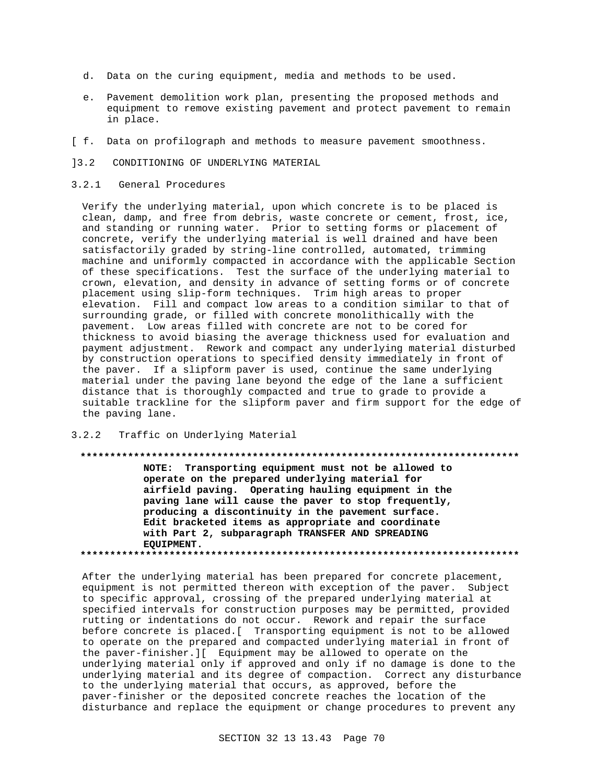- d. Data on the curing equipment, media and methods to be used.
- e. Pavement demolition work plan, presenting the proposed methods and equipment to remove existing pavement and protect pavement to remain in place.
- [ f. Data on profilograph and methods to measure pavement smoothness.
- ]3.2 CONDITIONING OF UNDERLYING MATERIAL
- 3.2.1 General Procedures

Verify the underlying material, upon which concrete is to be placed is clean, damp, and free from debris, waste concrete or cement, frost, ice, and standing or running water. Prior to setting forms or placement of concrete, verify the underlying material is well drained and have been satisfactorily graded by string-line controlled, automated, trimming machine and uniformly compacted in accordance with the applicable Section of these specifications. Test the surface of the underlying material to crown, elevation, and density in advance of setting forms or of concrete placement using slip-form techniques. Trim high areas to proper elevation. Fill and compact low areas to a condition similar to that of surrounding grade, or filled with concrete monolithically with the pavement. Low areas filled with concrete are not to be cored for thickness to avoid biasing the average thickness used for evaluation and payment adjustment. Rework and compact any underlying material disturbed by construction operations to specified density immediately in front of the paver. If a slipform paver is used, continue the same underlying material under the paving lane beyond the edge of the lane a sufficient distance that is thoroughly compacted and true to grade to provide a suitable trackline for the slipform paver and firm support for the edge of the paving lane.

3.2.2 Traffic on Underlying Material

#### **\*\*\*\*\*\*\*\*\*\*\*\*\*\*\*\*\*\*\*\*\*\*\*\*\*\*\*\*\*\*\*\*\*\*\*\*\*\*\*\*\*\*\*\*\*\*\*\*\*\*\*\*\*\*\*\*\*\*\*\*\*\*\*\*\*\*\*\*\*\*\*\*\*\***

**NOTE: Transporting equipment must not be allowed to operate on the prepared underlying material for airfield paving. Operating hauling equipment in the paving lane will cause the paver to stop frequently, producing a discontinuity in the pavement surface. Edit bracketed items as appropriate and coordinate with Part 2, subparagraph TRANSFER AND SPREADING EQUIPMENT. \*\*\*\*\*\*\*\*\*\*\*\*\*\*\*\*\*\*\*\*\*\*\*\*\*\*\*\*\*\*\*\*\*\*\*\*\*\*\*\*\*\*\*\*\*\*\*\*\*\*\*\*\*\*\*\*\*\*\*\*\*\*\*\*\*\*\*\*\*\*\*\*\*\***

After the underlying material has been prepared for concrete placement, equipment is not permitted thereon with exception of the paver. Subject to specific approval, crossing of the prepared underlying material at specified intervals for construction purposes may be permitted, provided rutting or indentations do not occur. Rework and repair the surface before concrete is placed.[ Transporting equipment is not to be allowed to operate on the prepared and compacted underlying material in front of the paver-finisher.][ Equipment may be allowed to operate on the underlying material only if approved and only if no damage is done to the underlying material and its degree of compaction. Correct any disturbance to the underlying material that occurs, as approved, before the paver-finisher or the deposited concrete reaches the location of the disturbance and replace the equipment or change procedures to prevent any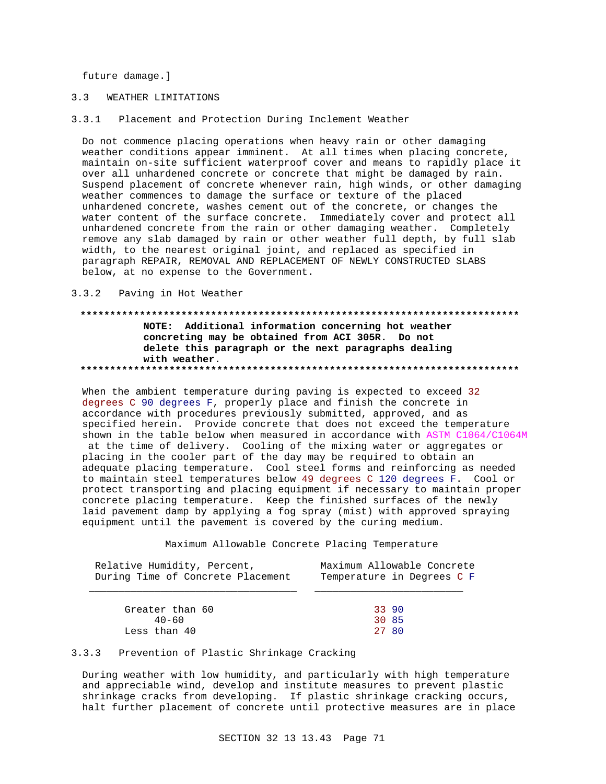future damage.]

## 3.3 WEATHER LIMITATIONS

3.3.1 Placement and Protection During Inclement Weather

Do not commence placing operations when heavy rain or other damaging weather conditions appear imminent. At all times when placing concrete, maintain on-site sufficient waterproof cover and means to rapidly place it over all unhardened concrete or concrete that might be damaged by rain. Suspend placement of concrete whenever rain, high winds, or other damaging weather commences to damage the surface or texture of the placed unhardened concrete, washes cement out of the concrete, or changes the water content of the surface concrete. Immediately cover and protect all unhardened concrete from the rain or other damaging weather. Completely remove any slab damaged by rain or other weather full depth, by full slab width, to the nearest original joint, and replaced as specified in paragraph REPAIR, REMOVAL AND REPLACEMENT OF NEWLY CONSTRUCTED SLABS below, at no expense to the Government.

#### 3.3.2 Paving in Hot Weather

## **\*\*\*\*\*\*\*\*\*\*\*\*\*\*\*\*\*\*\*\*\*\*\*\*\*\*\*\*\*\*\*\*\*\*\*\*\*\*\*\*\*\*\*\*\*\*\*\*\*\*\*\*\*\*\*\*\*\*\*\*\*\*\*\*\*\*\*\*\*\*\*\*\*\* NOTE: Additional information concerning hot weather concreting may be obtained from ACI 305R. Do not delete this paragraph or the next paragraphs dealing with weather. \*\*\*\*\*\*\*\*\*\*\*\*\*\*\*\*\*\*\*\*\*\*\*\*\*\*\*\*\*\*\*\*\*\*\*\*\*\*\*\*\*\*\*\*\*\*\*\*\*\*\*\*\*\*\*\*\*\*\*\*\*\*\*\*\*\*\*\*\*\*\*\*\*\***

When the ambient temperature during paving is expected to exceed 32 degrees C 90 degrees F, properly place and finish the concrete in accordance with procedures previously submitted, approved, and as specified herein. Provide concrete that does not exceed the temperature shown in the table below when measured in accordance with ASTM C1064/C1064M

 at the time of delivery. Cooling of the mixing water or aggregates or placing in the cooler part of the day may be required to obtain an adequate placing temperature. Cool steel forms and reinforcing as needed to maintain steel temperatures below 49 degrees C 120 degrees F. Cool or protect transporting and placing equipment if necessary to maintain proper concrete placing temperature. Keep the finished surfaces of the newly laid pavement damp by applying a fog spray (mist) with approved spraying equipment until the pavement is covered by the curing medium.

Maximum Allowable Concrete Placing Temperature

| Relative Humidity, Percent,<br>During Time of Concrete Placement | Maximum Allowable Concrete<br>Temperature in Degrees C F |  |
|------------------------------------------------------------------|----------------------------------------------------------|--|
| Greater than 60                                                  | 33 90                                                    |  |
| $40 - 60$                                                        | 30 85                                                    |  |
| Less than 40                                                     | 27 80                                                    |  |

## 3.3.3 Prevention of Plastic Shrinkage Cracking

During weather with low humidity, and particularly with high temperature and appreciable wind, develop and institute measures to prevent plastic shrinkage cracks from developing. If plastic shrinkage cracking occurs, halt further placement of concrete until protective measures are in place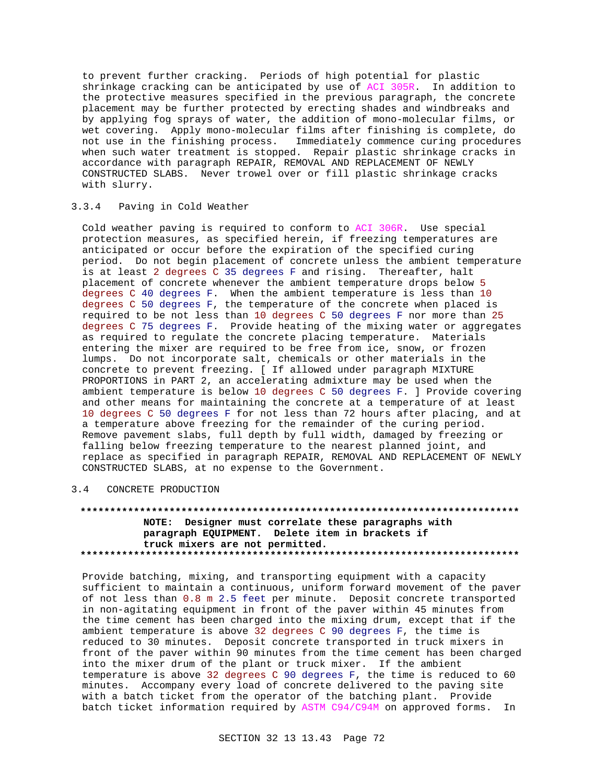to prevent further cracking. Periods of high potential for plastic shrinkage cracking can be anticipated by use of ACI 305R. In addition to the protective measures specified in the previous paragraph, the concrete placement may be further protected by erecting shades and windbreaks and by applying fog sprays of water, the addition of mono-molecular films, or wet covering. Apply mono-molecular films after finishing is complete, do not use in the finishing process. Immediately commence curing procedures when such water treatment is stopped. Repair plastic shrinkage cracks in accordance with paragraph REPAIR, REMOVAL AND REPLACEMENT OF NEWLY CONSTRUCTED SLABS. Never trowel over or fill plastic shrinkage cracks with slurry.

### 3.3.4 Paving in Cold Weather

Cold weather paving is required to conform to ACI 306R. Use special protection measures, as specified herein, if freezing temperatures are anticipated or occur before the expiration of the specified curing period. Do not begin placement of concrete unless the ambient temperature is at least 2 degrees C 35 degrees F and rising. Thereafter, halt placement of concrete whenever the ambient temperature drops below 5 degrees C 40 degrees F. When the ambient temperature is less than 10 degrees C 50 degrees F, the temperature of the concrete when placed is required to be not less than 10 degrees C 50 degrees F nor more than 25 degrees C 75 degrees F. Provide heating of the mixing water or aggregates as required to regulate the concrete placing temperature. Materials entering the mixer are required to be free from ice, snow, or frozen lumps. Do not incorporate salt, chemicals or other materials in the concrete to prevent freezing. [ If allowed under paragraph MIXTURE PROPORTIONS in PART 2, an accelerating admixture may be used when the ambient temperature is below 10 degrees C 50 degrees F. ] Provide covering and other means for maintaining the concrete at a temperature of at least 10 degrees C 50 degrees F for not less than 72 hours after placing, and at a temperature above freezing for the remainder of the curing period. Remove pavement slabs, full depth by full width, damaged by freezing or falling below freezing temperature to the nearest planned joint, and replace as specified in paragraph REPAIR, REMOVAL AND REPLACEMENT OF NEWLY CONSTRUCTED SLABS, at no expense to the Government.

# 3.4 CONCRETE PRODUCTION

## **\*\*\*\*\*\*\*\*\*\*\*\*\*\*\*\*\*\*\*\*\*\*\*\*\*\*\*\*\*\*\*\*\*\*\*\*\*\*\*\*\*\*\*\*\*\*\*\*\*\*\*\*\*\*\*\*\*\*\*\*\*\*\*\*\*\*\*\*\*\*\*\*\*\* NOTE: Designer must correlate these paragraphs with paragraph EQUIPMENT. Delete item in brackets if truck mixers are not permitted. \*\*\*\*\*\*\*\*\*\*\*\*\*\*\*\*\*\*\*\*\*\*\*\*\*\*\*\*\*\*\*\*\*\*\*\*\*\*\*\*\*\*\*\*\*\*\*\*\*\*\*\*\*\*\*\*\*\*\*\*\*\*\*\*\*\*\*\*\*\*\*\*\*\***

Provide batching, mixing, and transporting equipment with a capacity sufficient to maintain a continuous, uniform forward movement of the paver of not less than 0.8 m 2.5 feet per minute. Deposit concrete transported in non-agitating equipment in front of the paver within 45 minutes from the time cement has been charged into the mixing drum, except that if the ambient temperature is above 32 degrees C 90 degrees F, the time is reduced to 30 minutes. Deposit concrete transported in truck mixers in front of the paver within 90 minutes from the time cement has been charged into the mixer drum of the plant or truck mixer. If the ambient temperature is above 32 degrees C 90 degrees F, the time is reduced to 60 minutes. Accompany every load of concrete delivered to the paving site with a batch ticket from the operator of the batching plant. Provide batch ticket information required by ASTM C94/C94M on approved forms. In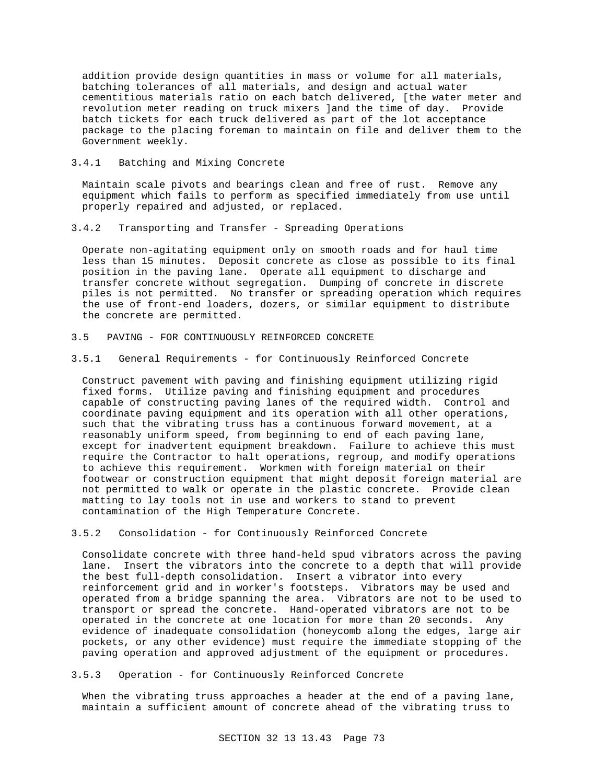addition provide design quantities in mass or volume for all materials, batching tolerances of all materials, and design and actual water cementitious materials ratio on each batch delivered, [the water meter and revolution meter reading on truck mixers ]and the time of day. Provide batch tickets for each truck delivered as part of the lot acceptance package to the placing foreman to maintain on file and deliver them to the Government weekly.

### 3.4.1 Batching and Mixing Concrete

Maintain scale pivots and bearings clean and free of rust. Remove any equipment which fails to perform as specified immediately from use until properly repaired and adjusted, or replaced.

3.4.2 Transporting and Transfer - Spreading Operations

Operate non-agitating equipment only on smooth roads and for haul time less than 15 minutes. Deposit concrete as close as possible to its final position in the paving lane. Operate all equipment to discharge and transfer concrete without segregation. Dumping of concrete in discrete piles is not permitted. No transfer or spreading operation which requires the use of front-end loaders, dozers, or similar equipment to distribute the concrete are permitted.

- 3.5 PAVING FOR CONTINUOUSLY REINFORCED CONCRETE
- 3.5.1 General Requirements for Continuously Reinforced Concrete

Construct pavement with paving and finishing equipment utilizing rigid fixed forms. Utilize paving and finishing equipment and procedures capable of constructing paving lanes of the required width. Control and coordinate paving equipment and its operation with all other operations, such that the vibrating truss has a continuous forward movement, at a reasonably uniform speed, from beginning to end of each paving lane, except for inadvertent equipment breakdown. Failure to achieve this must require the Contractor to halt operations, regroup, and modify operations to achieve this requirement. Workmen with foreign material on their footwear or construction equipment that might deposit foreign material are not permitted to walk or operate in the plastic concrete. Provide clean matting to lay tools not in use and workers to stand to prevent contamination of the High Temperature Concrete.

3.5.2 Consolidation - for Continuously Reinforced Concrete

Consolidate concrete with three hand-held spud vibrators across the paving lane. Insert the vibrators into the concrete to a depth that will provide the best full-depth consolidation. Insert a vibrator into every reinforcement grid and in worker's footsteps. Vibrators may be used and operated from a bridge spanning the area. Vibrators are not to be used to transport or spread the concrete. Hand-operated vibrators are not to be operated in the concrete at one location for more than 20 seconds. Any evidence of inadequate consolidation (honeycomb along the edges, large air pockets, or any other evidence) must require the immediate stopping of the paving operation and approved adjustment of the equipment or procedures.

3.5.3 Operation - for Continuously Reinforced Concrete

When the vibrating truss approaches a header at the end of a paving lane, maintain a sufficient amount of concrete ahead of the vibrating truss to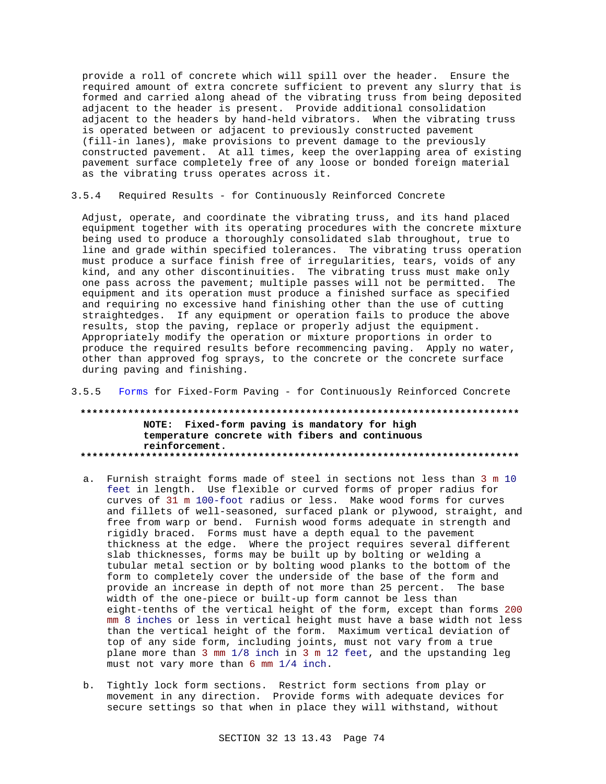provide a roll of concrete which will spill over the header. Ensure the required amount of extra concrete sufficient to prevent any slurry that is formed and carried along ahead of the vibrating truss from being deposited adjacent to the header is present. Provide additional consolidation adjacent to the headers by hand-held vibrators. When the vibrating truss is operated between or adjacent to previously constructed pavement (fill-in lanes), make provisions to prevent damage to the previously constructed pavement. At all times, keep the overlapping area of existing pavement surface completely free of any loose or bonded foreign material as the vibrating truss operates across it.

#### 3.5.4 Required Results - for Continuously Reinforced Concrete

Adjust, operate, and coordinate the vibrating truss, and its hand placed equipment together with its operating procedures with the concrete mixture being used to produce a thoroughly consolidated slab throughout, true to line and grade within specified tolerances. The vibrating truss operation must produce a surface finish free of irregularities, tears, voids of any kind, and any other discontinuities. The vibrating truss must make only one pass across the pavement; multiple passes will not be permitted. The equipment and its operation must produce a finished surface as specified and requiring no excessive hand finishing other than the use of cutting straightedges. If any equipment or operation fails to produce the above results, stop the paving, replace or properly adjust the equipment. Appropriately modify the operation or mixture proportions in order to produce the required results before recommencing paving. Apply no water, other than approved fog sprays, to the concrete or the concrete surface during paving and finishing.

## 3.5.5 Forms for Fixed-Form Paving - for Continuously Reinforced Concrete

## **\*\*\*\*\*\*\*\*\*\*\*\*\*\*\*\*\*\*\*\*\*\*\*\*\*\*\*\*\*\*\*\*\*\*\*\*\*\*\*\*\*\*\*\*\*\*\*\*\*\*\*\*\*\*\*\*\*\*\*\*\*\*\*\*\*\*\*\*\*\*\*\*\*\* NOTE: Fixed-form paving is mandatory for high temperature concrete with fibers and continuous reinforcement. \*\*\*\*\*\*\*\*\*\*\*\*\*\*\*\*\*\*\*\*\*\*\*\*\*\*\*\*\*\*\*\*\*\*\*\*\*\*\*\*\*\*\*\*\*\*\*\*\*\*\*\*\*\*\*\*\*\*\*\*\*\*\*\*\*\*\*\*\*\*\*\*\*\***

- a. Furnish straight forms made of steel in sections not less than 3 m 10 feet in length. Use flexible or curved forms of proper radius for curves of 31 m 100-foot radius or less. Make wood forms for curves and fillets of well-seasoned, surfaced plank or plywood, straight, and free from warp or bend. Furnish wood forms adequate in strength and rigidly braced. Forms must have a depth equal to the pavement thickness at the edge. Where the project requires several different slab thicknesses, forms may be built up by bolting or welding a tubular metal section or by bolting wood planks to the bottom of the form to completely cover the underside of the base of the form and provide an increase in depth of not more than 25 percent. The base width of the one-piece or built-up form cannot be less than eight-tenths of the vertical height of the form, except than forms 200 mm 8 inches or less in vertical height must have a base width not less than the vertical height of the form. Maximum vertical deviation of top of any side form, including joints, must not vary from a true plane more than 3 mm 1/8 inch in 3 m 12 feet, and the upstanding leg must not vary more than 6 mm 1/4 inch.
- b. Tightly lock form sections. Restrict form sections from play or movement in any direction. Provide forms with adequate devices for secure settings so that when in place they will withstand, without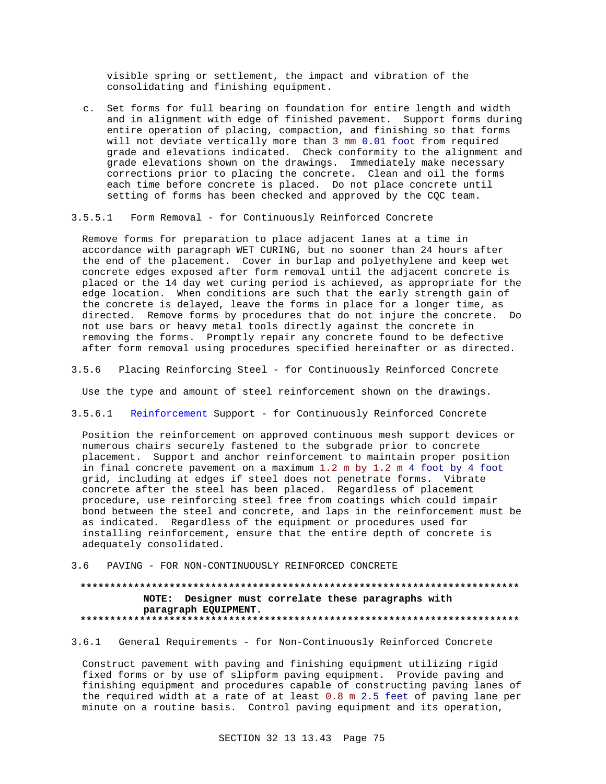visible spring or settlement, the impact and vibration of the consolidating and finishing equipment.

c. Set forms for full bearing on foundation for entire length and width and in alignment with edge of finished pavement. Support forms during entire operation of placing, compaction, and finishing so that forms will not deviate vertically more than 3 mm 0.01 foot from required grade and elevations indicated. Check conformity to the alignment and grade elevations shown on the drawings. Immediately make necessary corrections prior to placing the concrete. Clean and oil the forms each time before concrete is placed. Do not place concrete until setting of forms has been checked and approved by the CQC team.

3.5.5.1 Form Removal - for Continuously Reinforced Concrete

Remove forms for preparation to place adjacent lanes at a time in accordance with paragraph WET CURING, but no sooner than 24 hours after the end of the placement. Cover in burlap and polyethylene and keep wet concrete edges exposed after form removal until the adjacent concrete is placed or the 14 day wet curing period is achieved, as appropriate for the edge location. When conditions are such that the early strength gain of the concrete is delayed, leave the forms in place for a longer time, as directed. Remove forms by procedures that do not injure the concrete. Do not use bars or heavy metal tools directly against the concrete in removing the forms. Promptly repair any concrete found to be defective after form removal using procedures specified hereinafter or as directed.

3.5.6 Placing Reinforcing Steel - for Continuously Reinforced Concrete

Use the type and amount of steel reinforcement shown on the drawings.

3.5.6.1 Reinforcement Support - for Continuously Reinforced Concrete

Position the reinforcement on approved continuous mesh support devices or numerous chairs securely fastened to the subgrade prior to concrete placement. Support and anchor reinforcement to maintain proper position in final concrete pavement on a maximum 1.2 m by 1.2 m 4 foot by 4 foot grid, including at edges if steel does not penetrate forms. Vibrate concrete after the steel has been placed. Regardless of placement procedure, use reinforcing steel free from coatings which could impair bond between the steel and concrete, and laps in the reinforcement must be as indicated. Regardless of the equipment or procedures used for installing reinforcement, ensure that the entire depth of concrete is adequately consolidated.

3.6 PAVING - FOR NON-CONTINUOUSLY REINFORCED CONCRETE

## **\*\*\*\*\*\*\*\*\*\*\*\*\*\*\*\*\*\*\*\*\*\*\*\*\*\*\*\*\*\*\*\*\*\*\*\*\*\*\*\*\*\*\*\*\*\*\*\*\*\*\*\*\*\*\*\*\*\*\*\*\*\*\*\*\*\*\*\*\*\*\*\*\*\* NOTE: Designer must correlate these paragraphs with paragraph EQUIPMENT. \*\*\*\*\*\*\*\*\*\*\*\*\*\*\*\*\*\*\*\*\*\*\*\*\*\*\*\*\*\*\*\*\*\*\*\*\*\*\*\*\*\*\*\*\*\*\*\*\*\*\*\*\*\*\*\*\*\*\*\*\*\*\*\*\*\*\*\*\*\*\*\*\*\***

3.6.1 General Requirements - for Non-Continuously Reinforced Concrete

Construct pavement with paving and finishing equipment utilizing rigid fixed forms or by use of slipform paving equipment. Provide paving and finishing equipment and procedures capable of constructing paving lanes of the required width at a rate of at least 0.8 m 2.5 feet of paving lane per minute on a routine basis. Control paving equipment and its operation,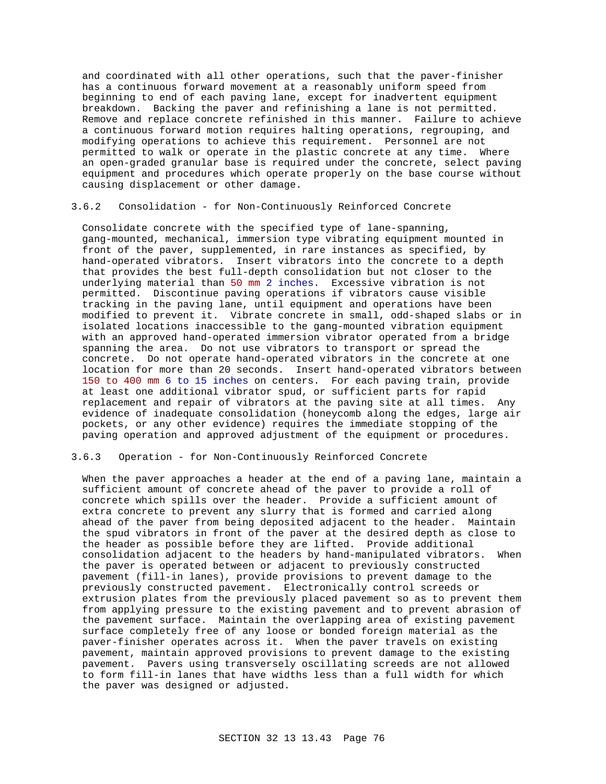and coordinated with all other operations, such that the paver-finisher has a continuous forward movement at a reasonably uniform speed from beginning to end of each paving lane, except for inadvertent equipment breakdown. Backing the paver and refinishing a lane is not permitted. Remove and replace concrete refinished in this manner. Failure to achieve a continuous forward motion requires halting operations, regrouping, and modifying operations to achieve this requirement. Personnel are not permitted to walk or operate in the plastic concrete at any time. Where an open-graded granular base is required under the concrete, select paving equipment and procedures which operate properly on the base course without causing displacement or other damage.

## 3.6.2 Consolidation - for Non-Continuously Reinforced Concrete

Consolidate concrete with the specified type of lane-spanning, gang-mounted, mechanical, immersion type vibrating equipment mounted in front of the paver, supplemented, in rare instances as specified, by hand-operated vibrators. Insert vibrators into the concrete to a depth that provides the best full-depth consolidation but not closer to the underlying material than 50 mm 2 inches. Excessive vibration is not permitted. Discontinue paving operations if vibrators cause visible tracking in the paving lane, until equipment and operations have been modified to prevent it. Vibrate concrete in small, odd-shaped slabs or in isolated locations inaccessible to the gang-mounted vibration equipment with an approved hand-operated immersion vibrator operated from a bridge spanning the area. Do not use vibrators to transport or spread the concrete. Do not operate hand-operated vibrators in the concrete at one location for more than 20 seconds. Insert hand-operated vibrators between 150 to 400 mm 6 to 15 inches on centers. For each paving train, provide at least one additional vibrator spud, or sufficient parts for rapid replacement and repair of vibrators at the paving site at all times. Any evidence of inadequate consolidation (honeycomb along the edges, large air pockets, or any other evidence) requires the immediate stopping of the paving operation and approved adjustment of the equipment or procedures.

#### 3.6.3 Operation - for Non-Continuously Reinforced Concrete

When the paver approaches a header at the end of a paving lane, maintain a sufficient amount of concrete ahead of the paver to provide a roll of concrete which spills over the header. Provide a sufficient amount of extra concrete to prevent any slurry that is formed and carried along ahead of the paver from being deposited adjacent to the header. Maintain the spud vibrators in front of the paver at the desired depth as close to the header as possible before they are lifted. Provide additional consolidation adjacent to the headers by hand-manipulated vibrators. When the paver is operated between or adjacent to previously constructed pavement (fill-in lanes), provide provisions to prevent damage to the previously constructed pavement. Electronically control screeds or extrusion plates from the previously placed pavement so as to prevent them from applying pressure to the existing pavement and to prevent abrasion of the pavement surface. Maintain the overlapping area of existing pavement surface completely free of any loose or bonded foreign material as the paver-finisher operates across it. When the paver travels on existing pavement, maintain approved provisions to prevent damage to the existing pavement. Pavers using transversely oscillating screeds are not allowed to form fill-in lanes that have widths less than a full width for which the paver was designed or adjusted.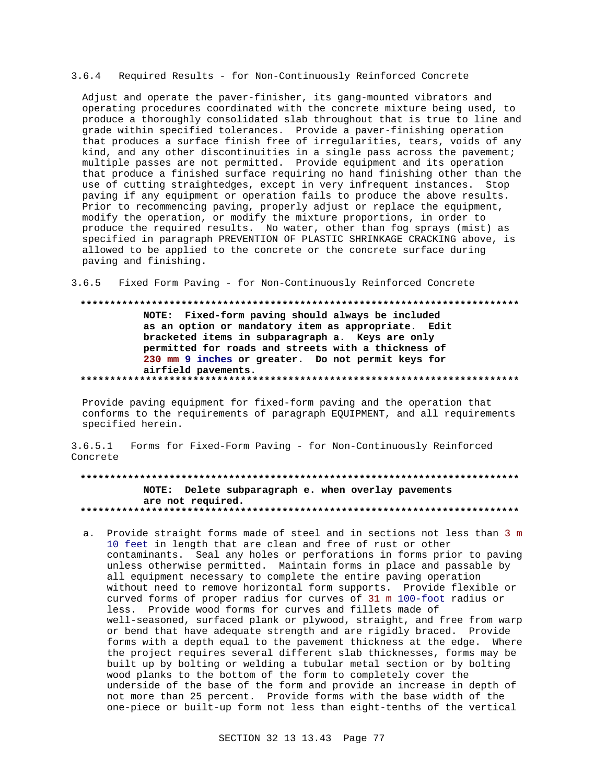#### $3.6.4$ Required Results - for Non-Continuously Reinforced Concrete

Adjust and operate the paver-finisher, its gang-mounted vibrators and operating procedures coordinated with the concrete mixture being used, to produce a thoroughly consolidated slab throughout that is true to line and grade within specified tolerances. Provide a paver-finishing operation that produces a surface finish free of irregularities, tears, voids of any kind, and any other discontinuities in a single pass across the pavement; multiple passes are not permitted. Provide equipment and its operation that produce a finished surface requiring no hand finishing other than the use of cutting straightedges, except in very infrequent instances. Stop paving if any equipment or operation fails to produce the above results. Prior to recommencing paving, properly adjust or replace the equipment, modify the operation, or modify the mixture proportions, in order to produce the required results. No water, other than fog sprays (mist) as specified in paragraph PREVENTION OF PLASTIC SHRINKAGE CRACKING above, is allowed to be applied to the concrete or the concrete surface during paving and finishing.

 $3.6.5$ Fixed Form Paving - for Non-Continuously Reinforced Concrete

## NOTE: Fixed-form paving should always be included as an option or mandatory item as appropriate. Edit bracketed items in subparagraph a. Keys are only permitted for roads and streets with a thickness of 230 mm 9 inches or greater. Do not permit keys for airfield pavements.

Provide paving equipment for fixed-form paving and the operation that conforms to the requirements of paragraph EQUIPMENT, and all requirements specified herein.

 $3.6.5.1$ Forms for Fixed-Form Paving - for Non-Continuously Reinforced Concrete

# NOTE: Delete subparagraph e. when overlay pavements are not required.

a. Provide straight forms made of steel and in sections not less than 3 m 10 feet in length that are clean and free of rust or other contaminants. Seal any holes or perforations in forms prior to paving unless otherwise permitted. Maintain forms in place and passable by all equipment necessary to complete the entire paving operation without need to remove horizontal form supports. Provide flexible or curved forms of proper radius for curves of 31 m 100-foot radius or less. Provide wood forms for curves and fillets made of well-seasoned, surfaced plank or plywood, straight, and free from warp or bend that have adequate strength and are rigidly braced. Provide forms with a depth equal to the pavement thickness at the edge. Where the project requires several different slab thicknesses, forms may be built up by bolting or welding a tubular metal section or by bolting wood planks to the bottom of the form to completely cover the underside of the base of the form and provide an increase in depth of not more than 25 percent. Provide forms with the base width of the one-piece or built-up form not less than eight-tenths of the vertical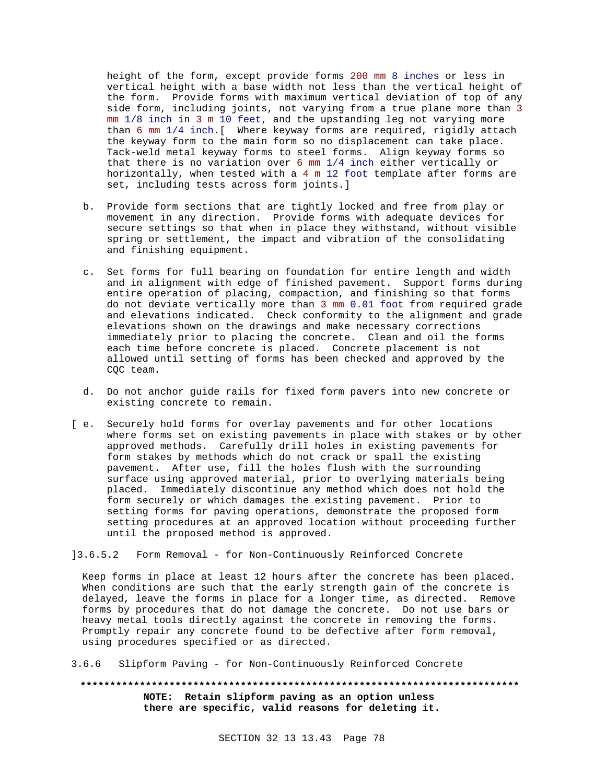height of the form, except provide forms 200 mm 8 inches or less in vertical height with a base width not less than the vertical height of the form. Provide forms with maximum vertical deviation of top of any side form, including joints, not varying from a true plane more than 3 mm 1/8 inch in 3 m 10 feet, and the upstanding leg not varying more than 6 mm 1/4 inch.[ Where keyway forms are required, rigidly attach the keyway form to the main form so no displacement can take place. Tack-weld metal keyway forms to steel forms. Align keyway forms so that there is no variation over 6 mm 1/4 inch either vertically or horizontally, when tested with a 4 m 12 foot template after forms are set, including tests across form joints.]

- b. Provide form sections that are tightly locked and free from play or movement in any direction. Provide forms with adequate devices for secure settings so that when in place they withstand, without visible spring or settlement, the impact and vibration of the consolidating and finishing equipment.
- c. Set forms for full bearing on foundation for entire length and width and in alignment with edge of finished pavement. Support forms during entire operation of placing, compaction, and finishing so that forms do not deviate vertically more than 3 mm 0.01 foot from required grade and elevations indicated. Check conformity to the alignment and grade elevations shown on the drawings and make necessary corrections immediately prior to placing the concrete. Clean and oil the forms each time before concrete is placed. Concrete placement is not allowed until setting of forms has been checked and approved by the CQC team.
- d. Do not anchor guide rails for fixed form pavers into new concrete or existing concrete to remain.
- [ e. Securely hold forms for overlay pavements and for other locations where forms set on existing pavements in place with stakes or by other approved methods. Carefully drill holes in existing pavements for form stakes by methods which do not crack or spall the existing pavement. After use, fill the holes flush with the surrounding surface using approved material, prior to overlying materials being placed. Immediately discontinue any method which does not hold the form securely or which damages the existing pavement. Prior to setting forms for paving operations, demonstrate the proposed form setting procedures at an approved location without proceeding further until the proposed method is approved.

]3.6.5.2 Form Removal - for Non-Continuously Reinforced Concrete

Keep forms in place at least 12 hours after the concrete has been placed. When conditions are such that the early strength gain of the concrete is delayed, leave the forms in place for a longer time, as directed. Remove forms by procedures that do not damage the concrete. Do not use bars or heavy metal tools directly against the concrete in removing the forms. Promptly repair any concrete found to be defective after form removal, using procedures specified or as directed.

3.6.6 Slipform Paving - for Non-Continuously Reinforced Concrete

**\*\*\*\*\*\*\*\*\*\*\*\*\*\*\*\*\*\*\*\*\*\*\*\*\*\*\*\*\*\*\*\*\*\*\*\*\*\*\*\*\*\*\*\*\*\*\*\*\*\*\*\*\*\*\*\*\*\*\*\*\*\*\*\*\*\*\*\*\*\*\*\*\*\* NOTE: Retain slipform paving as an option unless there are specific, valid reasons for deleting it.**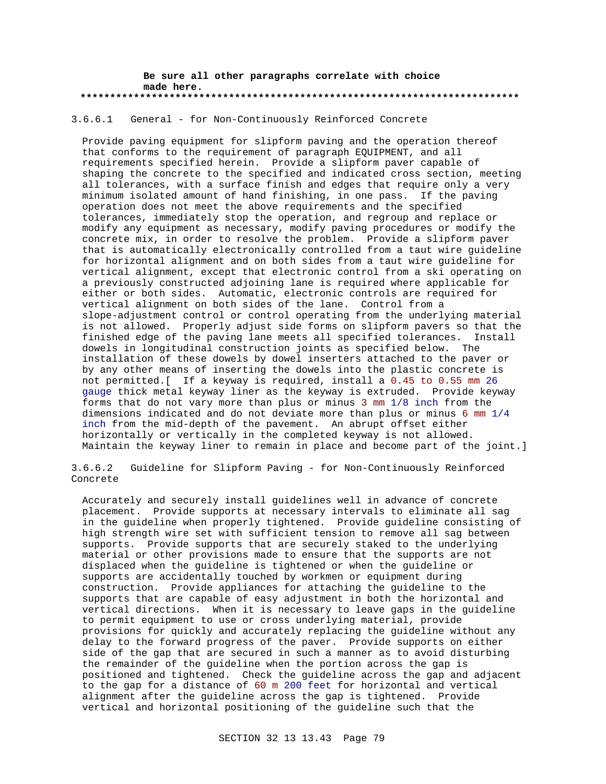#### **Be sure all other paragraphs correlate with choice made here. \*\*\*\*\*\*\*\*\*\*\*\*\*\*\*\*\*\*\*\*\*\*\*\*\*\*\*\*\*\*\*\*\*\*\*\*\*\*\*\*\*\*\*\*\*\*\*\*\*\*\*\*\*\*\*\*\*\*\*\*\*\*\*\*\*\*\*\*\*\*\*\*\*\***

#### 3.6.6.1 General - for Non-Continuously Reinforced Concrete

Provide paving equipment for slipform paving and the operation thereof that conforms to the requirement of paragraph EQUIPMENT, and all requirements specified herein. Provide a slipform paver capable of shaping the concrete to the specified and indicated cross section, meeting all tolerances, with a surface finish and edges that require only a very minimum isolated amount of hand finishing, in one pass. If the paving operation does not meet the above requirements and the specified tolerances, immediately stop the operation, and regroup and replace or modify any equipment as necessary, modify paving procedures or modify the concrete mix, in order to resolve the problem. Provide a slipform paver that is automatically electronically controlled from a taut wire guideline for horizontal alignment and on both sides from a taut wire guideline for vertical alignment, except that electronic control from a ski operating on a previously constructed adjoining lane is required where applicable for either or both sides. Automatic, electronic controls are required for vertical alignment on both sides of the lane. Control from a slope-adjustment control or control operating from the underlying material is not allowed. Properly adjust side forms on slipform pavers so that the finished edge of the paving lane meets all specified tolerances. Install dowels in longitudinal construction joints as specified below. The installation of these dowels by dowel inserters attached to the paver or by any other means of inserting the dowels into the plastic concrete is not permitted.[ If a keyway is required, install a 0.45 to 0.55 mm 26 gauge thick metal keyway liner as the keyway is extruded. Provide keyway forms that do not vary more than plus or minus 3 mm 1/8 inch from the dimensions indicated and do not deviate more than plus or minus 6 mm 1/4 inch from the mid-depth of the pavement. An abrupt offset either horizontally or vertically in the completed keyway is not allowed. Maintain the keyway liner to remain in place and become part of the joint.]

3.6.6.2 Guideline for Slipform Paving - for Non-Continuously Reinforced Concrete

Accurately and securely install guidelines well in advance of concrete placement. Provide supports at necessary intervals to eliminate all sag in the guideline when properly tightened. Provide guideline consisting of high strength wire set with sufficient tension to remove all sag between supports. Provide supports that are securely staked to the underlying material or other provisions made to ensure that the supports are not displaced when the guideline is tightened or when the guideline or supports are accidentally touched by workmen or equipment during construction. Provide appliances for attaching the guideline to the supports that are capable of easy adjustment in both the horizontal and vertical directions. When it is necessary to leave gaps in the guideline to permit equipment to use or cross underlying material, provide provisions for quickly and accurately replacing the guideline without any delay to the forward progress of the paver. Provide supports on either side of the gap that are secured in such a manner as to avoid disturbing the remainder of the guideline when the portion across the gap is positioned and tightened. Check the guideline across the gap and adjacent to the gap for a distance of 60 m 200 feet for horizontal and vertical alignment after the guideline across the gap is tightened. Provide vertical and horizontal positioning of the guideline such that the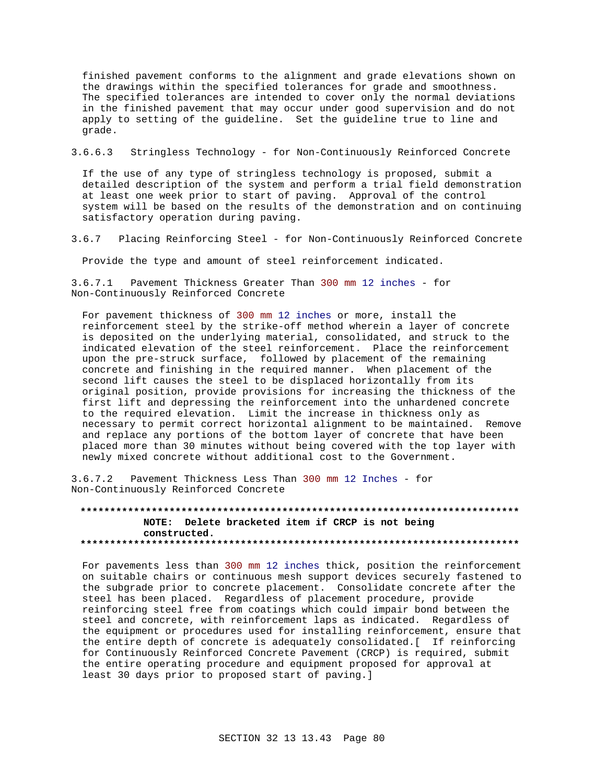finished pavement conforms to the alignment and grade elevations shown on the drawings within the specified tolerances for grade and smoothness. The specified tolerances are intended to cover only the normal deviations in the finished pavement that may occur under good supervision and do not apply to setting of the guideline. Set the guideline true to line and grade.

3.6.6.3 Stringless Technology - for Non-Continuously Reinforced Concrete

If the use of any type of stringless technology is proposed, submit a detailed description of the system and perform a trial field demonstration at least one week prior to start of paving. Approval of the control system will be based on the results of the demonstration and on continuing satisfactory operation during paving.

3.6.7 Placing Reinforcing Steel - for Non-Continuously Reinforced Concrete

Provide the type and amount of steel reinforcement indicated.

3.6.7.1 Pavement Thickness Greater Than 300 mm 12 inches - for Non-Continuously Reinforced Concrete

For pavement thickness of 300 mm 12 inches or more, install the reinforcement steel by the strike-off method wherein a layer of concrete is deposited on the underlying material, consolidated, and struck to the indicated elevation of the steel reinforcement. Place the reinforcement upon the pre-struck surface, followed by placement of the remaining concrete and finishing in the required manner. When placement of the second lift causes the steel to be displaced horizontally from its original position, provide provisions for increasing the thickness of the first lift and depressing the reinforcement into the unhardened concrete to the required elevation. Limit the increase in thickness only as necessary to permit correct horizontal alignment to be maintained. Remove and replace any portions of the bottom layer of concrete that have been placed more than 30 minutes without being covered with the top layer with newly mixed concrete without additional cost to the Government.

3.6.7.2 Pavement Thickness Less Than 300 mm 12 Inches - for Non-Continuously Reinforced Concrete

# **\*\*\*\*\*\*\*\*\*\*\*\*\*\*\*\*\*\*\*\*\*\*\*\*\*\*\*\*\*\*\*\*\*\*\*\*\*\*\*\*\*\*\*\*\*\*\*\*\*\*\*\*\*\*\*\*\*\*\*\*\*\*\*\*\*\*\*\*\*\*\*\*\*\* NOTE: Delete bracketed item if CRCP is not being constructed. \*\*\*\*\*\*\*\*\*\*\*\*\*\*\*\*\*\*\*\*\*\*\*\*\*\*\*\*\*\*\*\*\*\*\*\*\*\*\*\*\*\*\*\*\*\*\*\*\*\*\*\*\*\*\*\*\*\*\*\*\*\*\*\*\*\*\*\*\*\*\*\*\*\***

For pavements less than 300 mm 12 inches thick, position the reinforcement on suitable chairs or continuous mesh support devices securely fastened to the subgrade prior to concrete placement. Consolidate concrete after the steel has been placed. Regardless of placement procedure, provide reinforcing steel free from coatings which could impair bond between the steel and concrete, with reinforcement laps as indicated. Regardless of the equipment or procedures used for installing reinforcement, ensure that the entire depth of concrete is adequately consolidated.[ If reinforcing for Continuously Reinforced Concrete Pavement (CRCP) is required, submit the entire operating procedure and equipment proposed for approval at least 30 days prior to proposed start of paving.]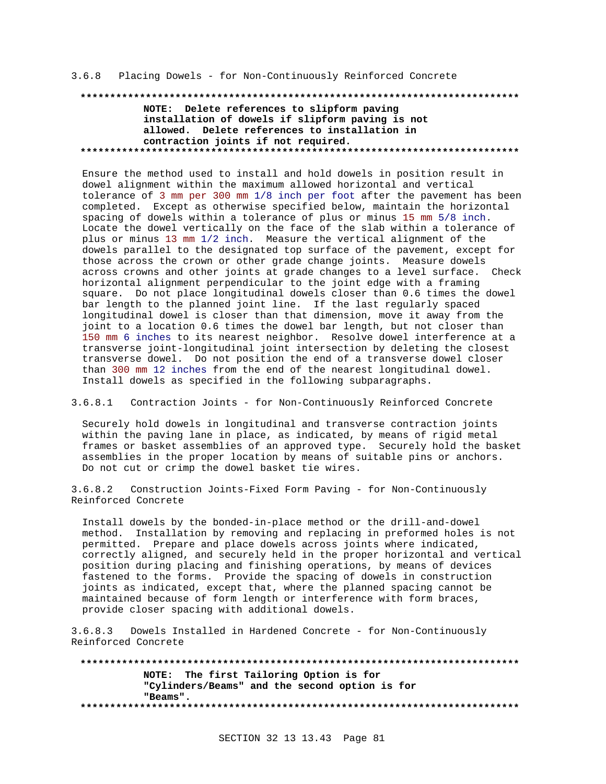3.6.8 Placing Dowels - for Non-Continuously Reinforced Concrete

## **\*\*\*\*\*\*\*\*\*\*\*\*\*\*\*\*\*\*\*\*\*\*\*\*\*\*\*\*\*\*\*\*\*\*\*\*\*\*\*\*\*\*\*\*\*\*\*\*\*\*\*\*\*\*\*\*\*\*\*\*\*\*\*\*\*\*\*\*\*\*\*\*\*\* NOTE: Delete references to slipform paving installation of dowels if slipform paving is not allowed. Delete references to installation in contraction joints if not required. \*\*\*\*\*\*\*\*\*\*\*\*\*\*\*\*\*\*\*\*\*\*\*\*\*\*\*\*\*\*\*\*\*\*\*\*\*\*\*\*\*\*\*\*\*\*\*\*\*\*\*\*\*\*\*\*\*\*\*\*\*\*\*\*\*\*\*\*\*\*\*\*\*\***

Ensure the method used to install and hold dowels in position result in dowel alignment within the maximum allowed horizontal and vertical tolerance of 3 mm per 300 mm 1/8 inch per foot after the pavement has been completed. Except as otherwise specified below, maintain the horizontal spacing of dowels within a tolerance of plus or minus 15 mm 5/8 inch. Locate the dowel vertically on the face of the slab within a tolerance of plus or minus 13 mm 1/2 inch. Measure the vertical alignment of the dowels parallel to the designated top surface of the pavement, except for those across the crown or other grade change joints. Measure dowels across crowns and other joints at grade changes to a level surface. Check horizontal alignment perpendicular to the joint edge with a framing square. Do not place longitudinal dowels closer than 0.6 times the dowel bar length to the planned joint line. If the last regularly spaced longitudinal dowel is closer than that dimension, move it away from the joint to a location 0.6 times the dowel bar length, but not closer than 150 mm 6 inches to its nearest neighbor. Resolve dowel interference at a transverse joint-longitudinal joint intersection by deleting the closest transverse dowel. Do not position the end of a transverse dowel closer than 300 mm 12 inches from the end of the nearest longitudinal dowel. Install dowels as specified in the following subparagraphs.

3.6.8.1 Contraction Joints - for Non-Continuously Reinforced Concrete

Securely hold dowels in longitudinal and transverse contraction joints within the paving lane in place, as indicated, by means of rigid metal frames or basket assemblies of an approved type. Securely hold the basket assemblies in the proper location by means of suitable pins or anchors. Do not cut or crimp the dowel basket tie wires.

3.6.8.2 Construction Joints-Fixed Form Paving - for Non-Continuously Reinforced Concrete

Install dowels by the bonded-in-place method or the drill-and-dowel method. Installation by removing and replacing in preformed holes is not permitted. Prepare and place dowels across joints where indicated, correctly aligned, and securely held in the proper horizontal and vertical position during placing and finishing operations, by means of devices fastened to the forms. Provide the spacing of dowels in construction joints as indicated, except that, where the planned spacing cannot be maintained because of form length or interference with form braces, provide closer spacing with additional dowels.

3.6.8.3 Dowels Installed in Hardened Concrete - for Non-Continuously Reinforced Concrete

**\*\*\*\*\*\*\*\*\*\*\*\*\*\*\*\*\*\*\*\*\*\*\*\*\*\*\*\*\*\*\*\*\*\*\*\*\*\*\*\*\*\*\*\*\*\*\*\*\*\*\*\*\*\*\*\*\*\*\*\*\*\*\*\*\*\*\*\*\*\*\*\*\*\* NOTE: The first Tailoring Option is for "Cylinders/Beams" and the second option is for "Beams". \*\*\*\*\*\*\*\*\*\*\*\*\*\*\*\*\*\*\*\*\*\*\*\*\*\*\*\*\*\*\*\*\*\*\*\*\*\*\*\*\*\*\*\*\*\*\*\*\*\*\*\*\*\*\*\*\*\*\*\*\*\*\*\*\*\*\*\*\*\*\*\*\*\***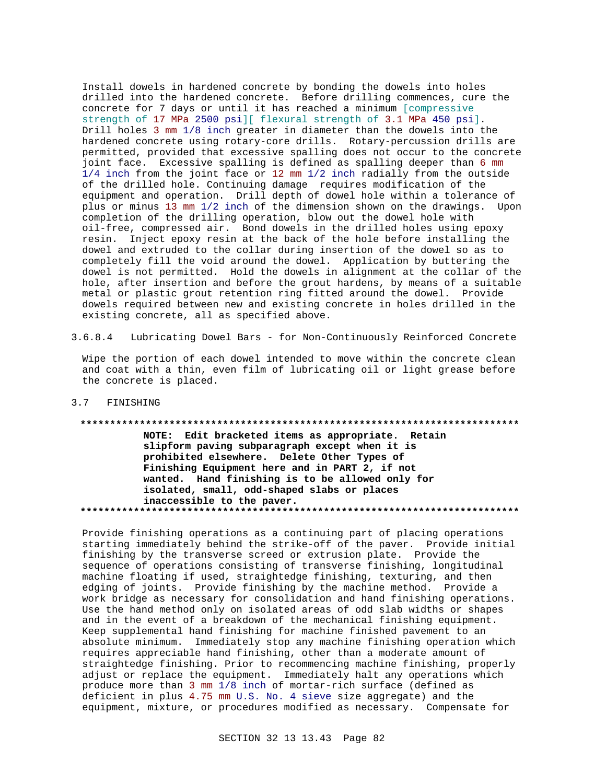Install dowels in hardened concrete by bonding the dowels into holes drilled into the hardened concrete. Before drilling commences, cure the concrete for 7 days or until it has reached a minimum [compressive strength of 17 MPa 2500 psi][ flexural strength of 3.1 MPa 450 psi]. Drill holes 3 mm 1/8 inch greater in diameter than the dowels into the hardened concrete using rotary-core drills. Rotary-percussion drills are permitted, provided that excessive spalling does not occur to the concrete joint face. Excessive spalling is defined as spalling deeper than 6 mm 1/4 inch from the joint face or 12 mm 1/2 inch radially from the outside of the drilled hole. Continuing damage requires modification of the equipment and operation. Drill depth of dowel hole within a tolerance of plus or minus 13 mm 1/2 inch of the dimension shown on the drawings. Upon completion of the drilling operation, blow out the dowel hole with oil-free, compressed air. Bond dowels in the drilled holes using epoxy resin. Inject epoxy resin at the back of the hole before installing the dowel and extruded to the collar during insertion of the dowel so as to completely fill the void around the dowel. Application by buttering the dowel is not permitted. Hold the dowels in alignment at the collar of the hole, after insertion and before the grout hardens, by means of a suitable metal or plastic grout retention ring fitted around the dowel. Provide dowels required between new and existing concrete in holes drilled in the existing concrete, all as specified above.

 $3.6.8.4$ Lubricating Dowel Bars - for Non-Continuously Reinforced Concrete

Wipe the portion of each dowel intended to move within the concrete clean and coat with a thin, even film of lubricating oil or light grease before the concrete is placed.

#### $3.7$ FINISHING

# NOTE: Edit bracketed items as appropriate. Retain

slipform paving subparagraph except when it is prohibited elsewhere. Delete Other Types of Finishing Equipment here and in PART 2, if not wanted. Hand finishing is to be allowed only for isolated, small, odd-shaped slabs or places inaccessible to the paver. 

Provide finishing operations as a continuing part of placing operations starting immediately behind the strike-off of the paver. Provide initial finishing by the transverse screed or extrusion plate. Provide the sequence of operations consisting of transverse finishing, longitudinal machine floating if used, straightedge finishing, texturing, and then edging of joints. Provide finishing by the machine method. Provide a work bridge as necessary for consolidation and hand finishing operations. Use the hand method only on isolated areas of odd slab widths or shapes and in the event of a breakdown of the mechanical finishing equipment. Keep supplemental hand finishing for machine finished pavement to an absolute minimum. Immediately stop any machine finishing operation which requires appreciable hand finishing, other than a moderate amount of straightedge finishing. Prior to recommencing machine finishing, properly adjust or replace the equipment. Immediately halt any operations which produce more than 3 mm 1/8 inch of mortar-rich surface (defined as deficient in plus 4.75 mm U.S. No. 4 sieve size aggregate) and the equipment, mixture, or procedures modified as necessary. Compensate for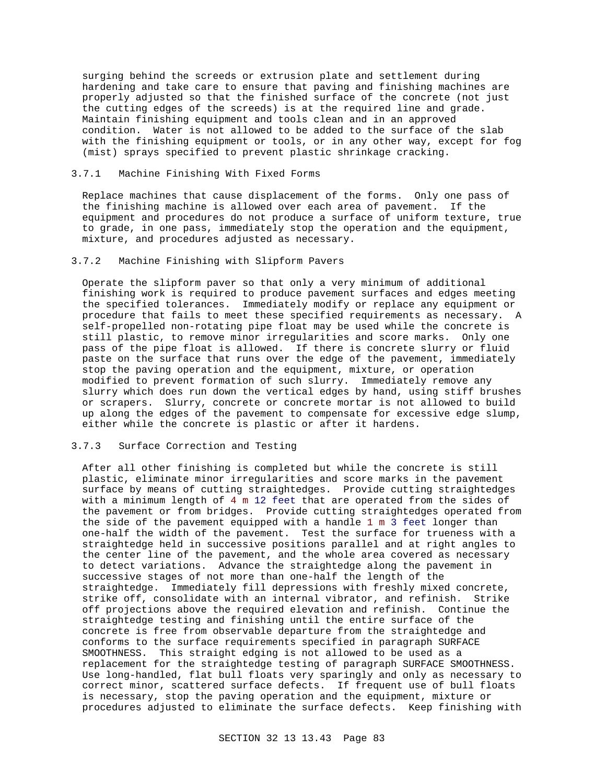surging behind the screeds or extrusion plate and settlement during hardening and take care to ensure that paving and finishing machines are properly adjusted so that the finished surface of the concrete (not just the cutting edges of the screeds) is at the required line and grade. Maintain finishing equipment and tools clean and in an approved condition. Water is not allowed to be added to the surface of the slab with the finishing equipment or tools, or in any other way, except for fog (mist) sprays specified to prevent plastic shrinkage cracking.

# 3.7.1 Machine Finishing With Fixed Forms

Replace machines that cause displacement of the forms. Only one pass of the finishing machine is allowed over each area of pavement. If the equipment and procedures do not produce a surface of uniform texture, true to grade, in one pass, immediately stop the operation and the equipment, mixture, and procedures adjusted as necessary.

## 3.7.2 Machine Finishing with Slipform Pavers

Operate the slipform paver so that only a very minimum of additional finishing work is required to produce pavement surfaces and edges meeting the specified tolerances. Immediately modify or replace any equipment or procedure that fails to meet these specified requirements as necessary. A self-propelled non-rotating pipe float may be used while the concrete is still plastic, to remove minor irregularities and score marks. Only one pass of the pipe float is allowed. If there is concrete slurry or fluid paste on the surface that runs over the edge of the pavement, immediately stop the paving operation and the equipment, mixture, or operation modified to prevent formation of such slurry. Immediately remove any slurry which does run down the vertical edges by hand, using stiff brushes or scrapers. Slurry, concrete or concrete mortar is not allowed to build up along the edges of the pavement to compensate for excessive edge slump, either while the concrete is plastic or after it hardens.

#### 3.7.3 Surface Correction and Testing

After all other finishing is completed but while the concrete is still plastic, eliminate minor irregularities and score marks in the pavement surface by means of cutting straightedges. Provide cutting straightedges with a minimum length of 4 m 12 feet that are operated from the sides of the pavement or from bridges. Provide cutting straightedges operated from the side of the pavement equipped with a handle 1 m 3 feet longer than one-half the width of the pavement. Test the surface for trueness with a straightedge held in successive positions parallel and at right angles to the center line of the pavement, and the whole area covered as necessary to detect variations. Advance the straightedge along the pavement in successive stages of not more than one-half the length of the straightedge. Immediately fill depressions with freshly mixed concrete, strike off, consolidate with an internal vibrator, and refinish. Strike off projections above the required elevation and refinish. Continue the straightedge testing and finishing until the entire surface of the concrete is free from observable departure from the straightedge and conforms to the surface requirements specified in paragraph SURFACE SMOOTHNESS. This straight edging is not allowed to be used as a replacement for the straightedge testing of paragraph SURFACE SMOOTHNESS. Use long-handled, flat bull floats very sparingly and only as necessary to correct minor, scattered surface defects. If frequent use of bull floats is necessary, stop the paving operation and the equipment, mixture or procedures adjusted to eliminate the surface defects. Keep finishing with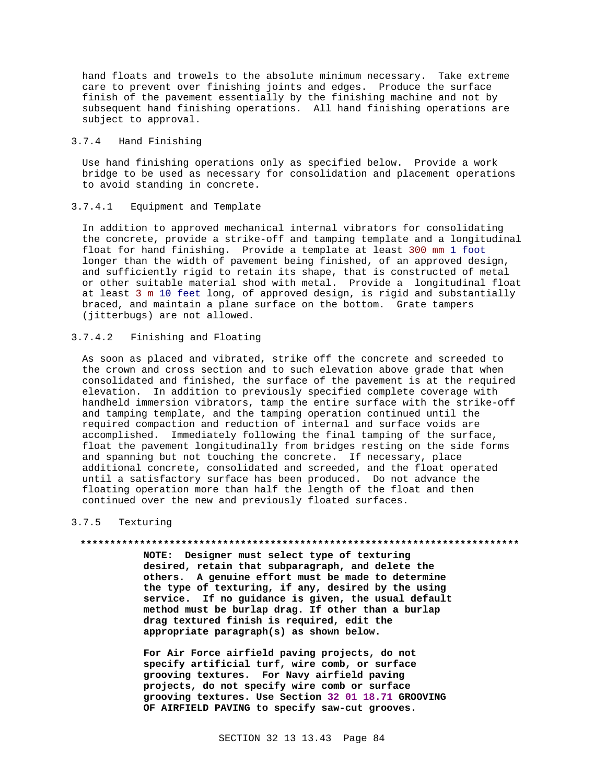hand floats and trowels to the absolute minimum necessary. Take extreme care to prevent over finishing joints and edges. Produce the surface finish of the pavement essentially by the finishing machine and not by subsequent hand finishing operations. All hand finishing operations are subject to approval.

## 3.7.4 Hand Finishing

Use hand finishing operations only as specified below. Provide a work bridge to be used as necessary for consolidation and placement operations to avoid standing in concrete.

#### 3.7.4.1 Equipment and Template

In addition to approved mechanical internal vibrators for consolidating the concrete, provide a strike-off and tamping template and a longitudinal float for hand finishing. Provide a template at least 300 mm 1 foot longer than the width of pavement being finished, of an approved design, and sufficiently rigid to retain its shape, that is constructed of metal or other suitable material shod with metal. Provide a longitudinal float at least 3 m 10 feet long, of approved design, is rigid and substantially braced, and maintain a plane surface on the bottom. Grate tampers (jitterbugs) are not allowed.

## 3.7.4.2 Finishing and Floating

As soon as placed and vibrated, strike off the concrete and screeded to the crown and cross section and to such elevation above grade that when consolidated and finished, the surface of the pavement is at the required elevation. In addition to previously specified complete coverage with handheld immersion vibrators, tamp the entire surface with the strike-off and tamping template, and the tamping operation continued until the required compaction and reduction of internal and surface voids are accomplished. Immediately following the final tamping of the surface, float the pavement longitudinally from bridges resting on the side forms and spanning but not touching the concrete. If necessary, place additional concrete, consolidated and screeded, and the float operated until a satisfactory surface has been produced. Do not advance the floating operation more than half the length of the float and then continued over the new and previously floated surfaces.

#### 3.7.5 Texturing

#### **\*\*\*\*\*\*\*\*\*\*\*\*\*\*\*\*\*\*\*\*\*\*\*\*\*\*\*\*\*\*\*\*\*\*\*\*\*\*\*\*\*\*\*\*\*\*\*\*\*\*\*\*\*\*\*\*\*\*\*\*\*\*\*\*\*\*\*\*\*\*\*\*\*\***

**NOTE: Designer must select type of texturing desired, retain that subparagraph, and delete the others. A genuine effort must be made to determine the type of texturing, if any, desired by the using service. If no guidance is given, the usual default method must be burlap drag. If other than a burlap drag textured finish is required, edit the appropriate paragraph(s) as shown below.**

**For Air Force airfield paving projects, do not specify artificial turf, wire comb, or surface grooving textures. For Navy airfield paving projects, do not specify wire comb or surface grooving textures. Use Section 32 01 18.71 GROOVING OF AIRFIELD PAVING to specify saw-cut grooves.**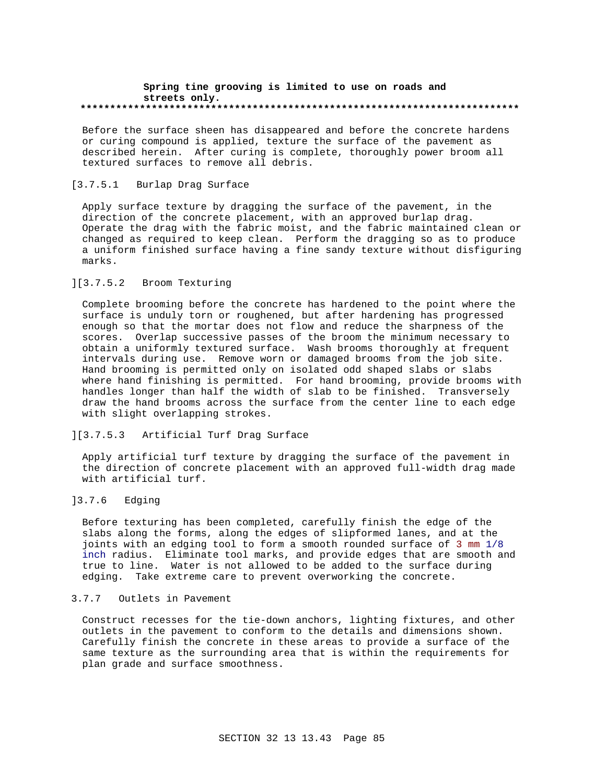#### **Spring tine grooving is limited to use on roads and streets only. \*\*\*\*\*\*\*\*\*\*\*\*\*\*\*\*\*\*\*\*\*\*\*\*\*\*\*\*\*\*\*\*\*\*\*\*\*\*\*\*\*\*\*\*\*\*\*\*\*\*\*\*\*\*\*\*\*\*\*\*\*\*\*\*\*\*\*\*\*\*\*\*\*\***

Before the surface sheen has disappeared and before the concrete hardens or curing compound is applied, texture the surface of the pavement as described herein. After curing is complete, thoroughly power broom all textured surfaces to remove all debris.

#### [3.7.5.1 Burlap Drag Surface

Apply surface texture by dragging the surface of the pavement, in the direction of the concrete placement, with an approved burlap drag. Operate the drag with the fabric moist, and the fabric maintained clean or changed as required to keep clean. Perform the dragging so as to produce a uniform finished surface having a fine sandy texture without disfiguring marks.

### ][3.7.5.2 Broom Texturing

Complete brooming before the concrete has hardened to the point where the surface is unduly torn or roughened, but after hardening has progressed enough so that the mortar does not flow and reduce the sharpness of the scores. Overlap successive passes of the broom the minimum necessary to obtain a uniformly textured surface. Wash brooms thoroughly at frequent intervals during use. Remove worn or damaged brooms from the job site. Hand brooming is permitted only on isolated odd shaped slabs or slabs where hand finishing is permitted. For hand brooming, provide brooms with handles longer than half the width of slab to be finished. Transversely draw the hand brooms across the surface from the center line to each edge with slight overlapping strokes.

## ][3.7.5.3 Artificial Turf Drag Surface

Apply artificial turf texture by dragging the surface of the pavement in the direction of concrete placement with an approved full-width drag made with artificial turf.

## ]3.7.6 Edging

Before texturing has been completed, carefully finish the edge of the slabs along the forms, along the edges of slipformed lanes, and at the joints with an edging tool to form a smooth rounded surface of 3 mm 1/8 inch radius. Eliminate tool marks, and provide edges that are smooth and true to line. Water is not allowed to be added to the surface during edging. Take extreme care to prevent overworking the concrete.

#### 3.7.7 Outlets in Pavement

Construct recesses for the tie-down anchors, lighting fixtures, and other outlets in the pavement to conform to the details and dimensions shown. Carefully finish the concrete in these areas to provide a surface of the same texture as the surrounding area that is within the requirements for plan grade and surface smoothness.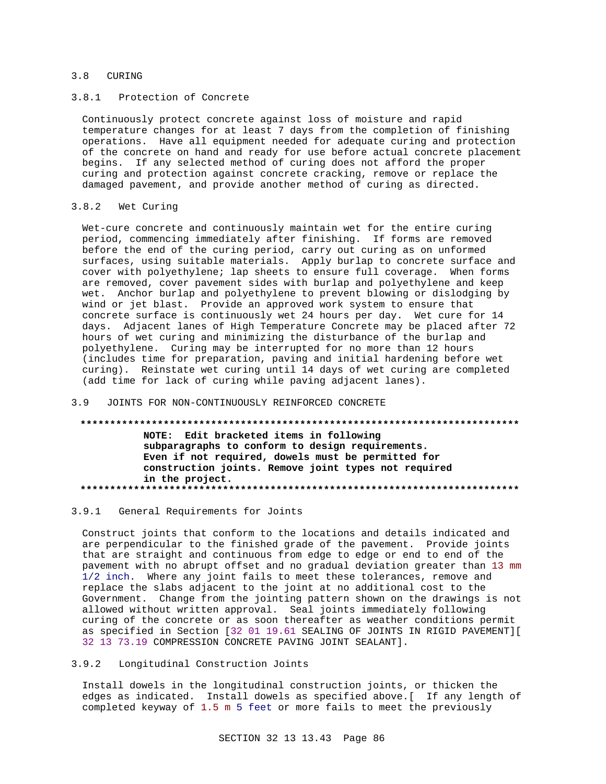#### 3.8 CURING

# 3.8.1 Protection of Concrete

Continuously protect concrete against loss of moisture and rapid temperature changes for at least 7 days from the completion of finishing operations. Have all equipment needed for adequate curing and protection of the concrete on hand and ready for use before actual concrete placement begins. If any selected method of curing does not afford the proper curing and protection against concrete cracking, remove or replace the damaged pavement, and provide another method of curing as directed.

#### 3.8.2 Wet Curing

Wet-cure concrete and continuously maintain wet for the entire curing period, commencing immediately after finishing. If forms are removed before the end of the curing period, carry out curing as on unformed surfaces, using suitable materials. Apply burlap to concrete surface and cover with polyethylene; lap sheets to ensure full coverage. When forms are removed, cover pavement sides with burlap and polyethylene and keep wet. Anchor burlap and polyethylene to prevent blowing or dislodging by wind or jet blast. Provide an approved work system to ensure that concrete surface is continuously wet 24 hours per day. Wet cure for 14 days. Adjacent lanes of High Temperature Concrete may be placed after 72 hours of wet curing and minimizing the disturbance of the burlap and polyethylene. Curing may be interrupted for no more than 12 hours (includes time for preparation, paving and initial hardening before wet curing). Reinstate wet curing until 14 days of wet curing are completed (add time for lack of curing while paving adjacent lanes).

#### 3.9 JOINTS FOR NON-CONTINUOUSLY REINFORCED CONCRETE

#### **\*\*\*\*\*\*\*\*\*\*\*\*\*\*\*\*\*\*\*\*\*\*\*\*\*\*\*\*\*\*\*\*\*\*\*\*\*\*\*\*\*\*\*\*\*\*\*\*\*\*\*\*\*\*\*\*\*\*\*\*\*\*\*\*\*\*\*\*\*\*\*\*\*\***

**NOTE: Edit bracketed items in following subparagraphs to conform to design requirements. Even if not required, dowels must be permitted for construction joints. Remove joint types not required in the project. \*\*\*\*\*\*\*\*\*\*\*\*\*\*\*\*\*\*\*\*\*\*\*\*\*\*\*\*\*\*\*\*\*\*\*\*\*\*\*\*\*\*\*\*\*\*\*\*\*\*\*\*\*\*\*\*\*\*\*\*\*\*\*\*\*\*\*\*\*\*\*\*\*\***

#### 3.9.1 General Requirements for Joints

Construct joints that conform to the locations and details indicated and are perpendicular to the finished grade of the pavement. Provide joints that are straight and continuous from edge to edge or end to end of the pavement with no abrupt offset and no gradual deviation greater than 13 mm 1/2 inch. Where any joint fails to meet these tolerances, remove and replace the slabs adjacent to the joint at no additional cost to the Government. Change from the jointing pattern shown on the drawings is not allowed without written approval. Seal joints immediately following curing of the concrete or as soon thereafter as weather conditions permit as specified in Section [32 01 19.61 SEALING OF JOINTS IN RIGID PAVEMENT][ 32 13 73.19 COMPRESSION CONCRETE PAVING JOINT SEALANT].

## 3.9.2 Longitudinal Construction Joints

Install dowels in the longitudinal construction joints, or thicken the edges as indicated. Install dowels as specified above.[ If any length of completed keyway of 1.5 m 5 feet or more fails to meet the previously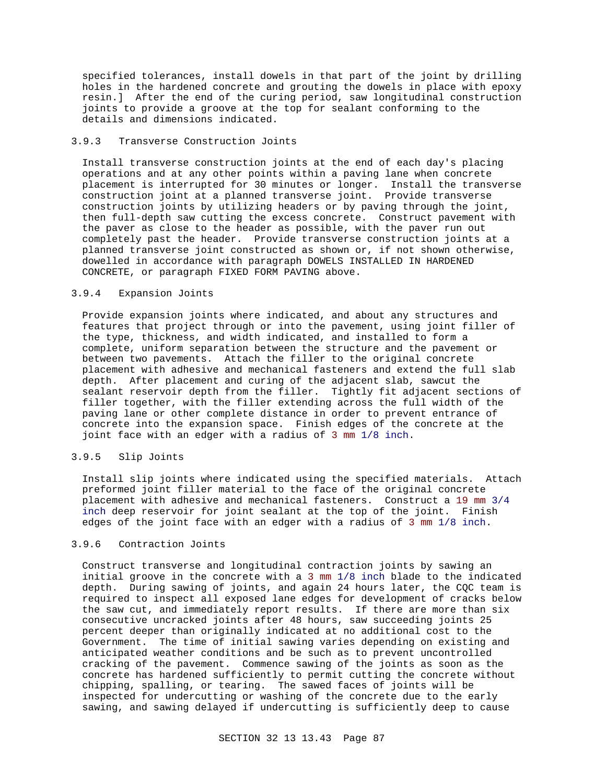specified tolerances, install dowels in that part of the joint by drilling holes in the hardened concrete and grouting the dowels in place with epoxy resin.] After the end of the curing period, saw longitudinal construction joints to provide a groove at the top for sealant conforming to the details and dimensions indicated.

## 3.9.3 Transverse Construction Joints

Install transverse construction joints at the end of each day's placing operations and at any other points within a paving lane when concrete placement is interrupted for 30 minutes or longer. Install the transverse construction joint at a planned transverse joint. Provide transverse construction joints by utilizing headers or by paving through the joint, then full-depth saw cutting the excess concrete. Construct pavement with the paver as close to the header as possible, with the paver run out completely past the header. Provide transverse construction joints at a planned transverse joint constructed as shown or, if not shown otherwise, dowelled in accordance with paragraph DOWELS INSTALLED IN HARDENED CONCRETE, or paragraph FIXED FORM PAVING above.

#### 3.9.4 Expansion Joints

Provide expansion joints where indicated, and about any structures and features that project through or into the pavement, using joint filler of the type, thickness, and width indicated, and installed to form a complete, uniform separation between the structure and the pavement or between two pavements. Attach the filler to the original concrete placement with adhesive and mechanical fasteners and extend the full slab depth. After placement and curing of the adjacent slab, sawcut the sealant reservoir depth from the filler. Tightly fit adjacent sections of filler together, with the filler extending across the full width of the paving lane or other complete distance in order to prevent entrance of concrete into the expansion space. Finish edges of the concrete at the joint face with an edger with a radius of 3 mm 1/8 inch.

## 3.9.5 Slip Joints

Install slip joints where indicated using the specified materials. Attach preformed joint filler material to the face of the original concrete placement with adhesive and mechanical fasteners. Construct a 19 mm 3/4 inch deep reservoir for joint sealant at the top of the joint. Finish edges of the joint face with an edger with a radius of 3 mm 1/8 inch.

#### 3.9.6 Contraction Joints

Construct transverse and longitudinal contraction joints by sawing an initial groove in the concrete with a 3 mm 1/8 inch blade to the indicated depth. During sawing of joints, and again 24 hours later, the CQC team is required to inspect all exposed lane edges for development of cracks below the saw cut, and immediately report results. If there are more than six consecutive uncracked joints after 48 hours, saw succeeding joints 25 percent deeper than originally indicated at no additional cost to the Government. The time of initial sawing varies depending on existing and anticipated weather conditions and be such as to prevent uncontrolled cracking of the pavement. Commence sawing of the joints as soon as the concrete has hardened sufficiently to permit cutting the concrete without chipping, spalling, or tearing. The sawed faces of joints will be inspected for undercutting or washing of the concrete due to the early sawing, and sawing delayed if undercutting is sufficiently deep to cause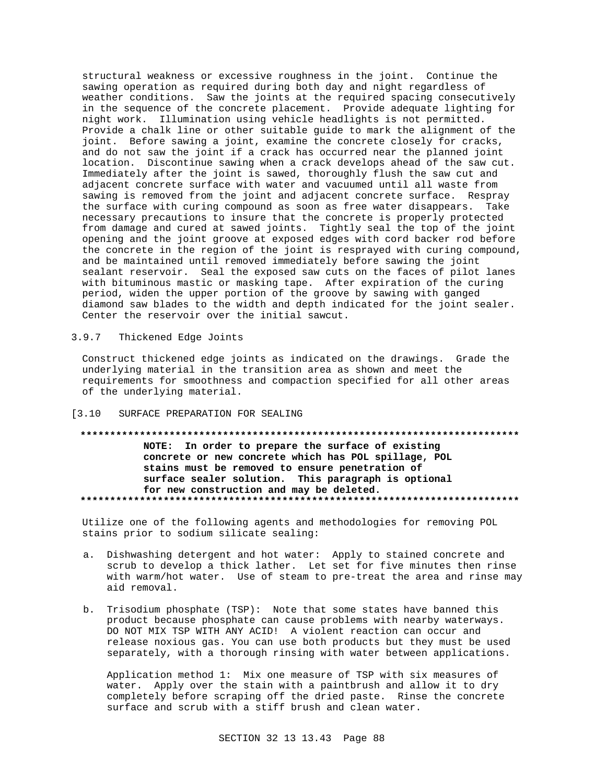structural weakness or excessive roughness in the joint. Continue the sawing operation as required during both day and night regardless of weather conditions. Saw the joints at the required spacing consecutively in the sequence of the concrete placement. Provide adequate lighting for night work. Illumination using vehicle headlights is not permitted. Provide a chalk line or other suitable guide to mark the alignment of the joint. Before sawing a joint, examine the concrete closely for cracks, and do not saw the joint if a crack has occurred near the planned joint location. Discontinue sawing when a crack develops ahead of the saw cut. Immediately after the joint is sawed, thoroughly flush the saw cut and adjacent concrete surface with water and vacuumed until all waste from sawing is removed from the joint and adjacent concrete surface. Respray the surface with curing compound as soon as free water disappears. Take necessary precautions to insure that the concrete is properly protected from damage and cured at sawed joints. Tightly seal the top of the joint opening and the joint groove at exposed edges with cord backer rod before the concrete in the region of the joint is resprayed with curing compound, and be maintained until removed immediately before sawing the joint sealant reservoir. Seal the exposed saw cuts on the faces of pilot lanes with bituminous mastic or masking tape. After expiration of the curing period, widen the upper portion of the groove by sawing with ganged diamond saw blades to the width and depth indicated for the joint sealer. Center the reservoir over the initial sawcut.

 $3.9.7$ Thickened Edge Joints

Construct thickened edge joints as indicated on the drawings. Grade the underlying material in the transition area as shown and meet the requirements for smoothness and compaction specified for all other areas of the underlying material.

 $13.10$ SURFACE PREPARATION FOR SEALING

# NOTE: In order to prepare the surface of existing concrete or new concrete which has POL spillage, POL stains must be removed to ensure penetration of surface sealer solution. This paragraph is optional for new construction and may be deleted.

Utilize one of the following agents and methodologies for removing POL stains prior to sodium silicate sealing:

- a. Dishwashing detergent and hot water: Apply to stained concrete and scrub to develop a thick lather. Let set for five minutes then rinse with warm/hot water. Use of steam to pre-treat the area and rinse may aid removal.
- b. Trisodium phosphate (TSP): Note that some states have banned this product because phosphate can cause problems with nearby waterways. DO NOT MIX TSP WITH ANY ACID! A violent reaction can occur and release noxious gas. You can use both products but they must be used separately, with a thorough rinsing with water between applications.

Application method 1: Mix one measure of TSP with six measures of water. Apply over the stain with a paintbrush and allow it to dry completely before scraping off the dried paste. Rinse the concrete surface and scrub with a stiff brush and clean water.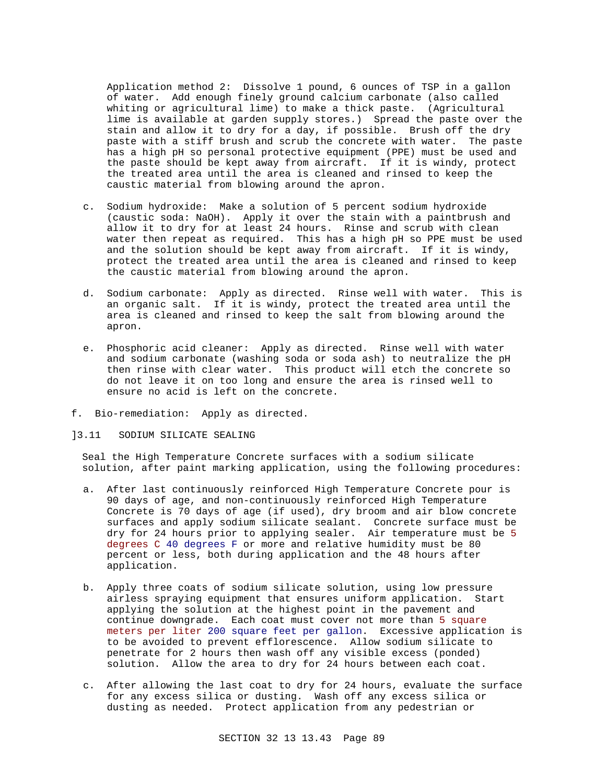Application method 2: Dissolve 1 pound, 6 ounces of TSP in a gallon of water. Add enough finely ground calcium carbonate (also called whiting or agricultural lime) to make a thick paste. (Agricultural lime is available at garden supply stores.) Spread the paste over the stain and allow it to dry for a day, if possible. Brush off the dry paste with a stiff brush and scrub the concrete with water. The paste has a high pH so personal protective equipment (PPE) must be used and the paste should be kept away from aircraft. If it is windy, protect the treated area until the area is cleaned and rinsed to keep the caustic material from blowing around the apron.

- c. Sodium hydroxide: Make a solution of 5 percent sodium hydroxide (caustic soda: NaOH). Apply it over the stain with a paintbrush and allow it to dry for at least 24 hours. Rinse and scrub with clean water then repeat as required. This has a high pH so PPE must be used and the solution should be kept away from aircraft. If it is windy, protect the treated area until the area is cleaned and rinsed to keep the caustic material from blowing around the apron.
- d. Sodium carbonate: Apply as directed. Rinse well with water. This is an organic salt. If it is windy, protect the treated area until the area is cleaned and rinsed to keep the salt from blowing around the apron.
- e. Phosphoric acid cleaner: Apply as directed. Rinse well with water and sodium carbonate (washing soda or soda ash) to neutralize the pH then rinse with clear water. This product will etch the concrete so do not leave it on too long and ensure the area is rinsed well to ensure no acid is left on the concrete.
- f. Bio-remediation: Apply as directed.
- ]3.11 SODIUM SILICATE SEALING

Seal the High Temperature Concrete surfaces with a sodium silicate solution, after paint marking application, using the following procedures:

- a. After last continuously reinforced High Temperature Concrete pour is 90 days of age, and non-continuously reinforced High Temperature Concrete is 70 days of age (if used), dry broom and air blow concrete surfaces and apply sodium silicate sealant. Concrete surface must be dry for 24 hours prior to applying sealer. Air temperature must be 5 degrees C 40 degrees F or more and relative humidity must be 80 percent or less, both during application and the 48 hours after application.
- b. Apply three coats of sodium silicate solution, using low pressure airless spraying equipment that ensures uniform application. Start applying the solution at the highest point in the pavement and continue downgrade. Each coat must cover not more than 5 square meters per liter 200 square feet per gallon. Excessive application is to be avoided to prevent efflorescence. Allow sodium silicate to penetrate for 2 hours then wash off any visible excess (ponded) solution. Allow the area to dry for 24 hours between each coat.
- c. After allowing the last coat to dry for 24 hours, evaluate the surface for any excess silica or dusting. Wash off any excess silica or dusting as needed. Protect application from any pedestrian or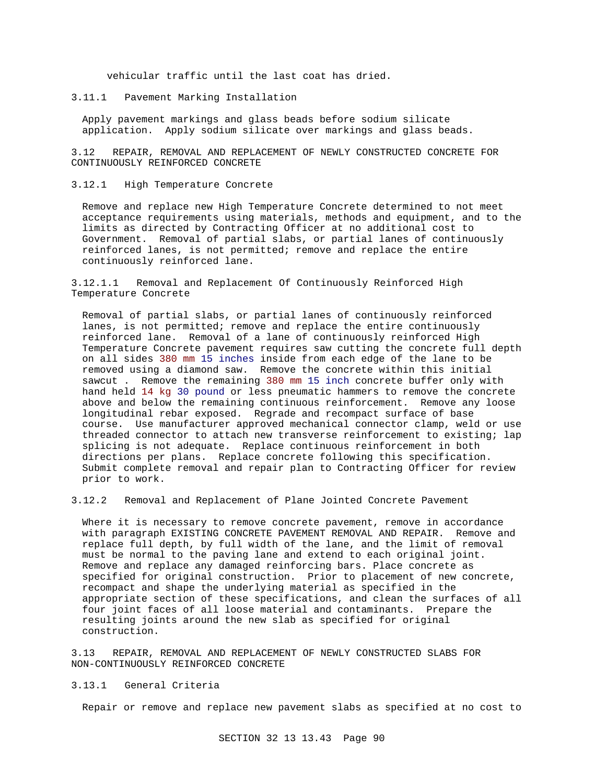vehicular traffic until the last coat has dried.

#### 3.11.1 Pavement Marking Installation

Apply pavement markings and glass beads before sodium silicate application. Apply sodium silicate over markings and glass beads.

3.12 REPAIR, REMOVAL AND REPLACEMENT OF NEWLY CONSTRUCTED CONCRETE FOR CONTINUOUSLY REINFORCED CONCRETE

#### 3.12.1 High Temperature Concrete

Remove and replace new High Temperature Concrete determined to not meet acceptance requirements using materials, methods and equipment, and to the limits as directed by Contracting Officer at no additional cost to Government. Removal of partial slabs, or partial lanes of continuously reinforced lanes, is not permitted; remove and replace the entire continuously reinforced lane.

3.12.1.1 Removal and Replacement Of Continuously Reinforced High Temperature Concrete

Removal of partial slabs, or partial lanes of continuously reinforced lanes, is not permitted; remove and replace the entire continuously reinforced lane. Removal of a lane of continuously reinforced High Temperature Concrete pavement requires saw cutting the concrete full depth on all sides 380 mm 15 inches inside from each edge of the lane to be removed using a diamond saw. Remove the concrete within this initial sawcut . Remove the remaining 380 mm 15 inch concrete buffer only with hand held 14 kg 30 pound or less pneumatic hammers to remove the concrete above and below the remaining continuous reinforcement. Remove any loose longitudinal rebar exposed. Regrade and recompact surface of base course. Use manufacturer approved mechanical connector clamp, weld or use threaded connector to attach new transverse reinforcement to existing; lap splicing is not adequate. Replace continuous reinforcement in both directions per plans. Replace concrete following this specification. Submit complete removal and repair plan to Contracting Officer for review prior to work.

3.12.2 Removal and Replacement of Plane Jointed Concrete Pavement

Where it is necessary to remove concrete pavement, remove in accordance with paragraph EXISTING CONCRETE PAVEMENT REMOVAL AND REPAIR. Remove and replace full depth, by full width of the lane, and the limit of removal must be normal to the paving lane and extend to each original joint. Remove and replace any damaged reinforcing bars. Place concrete as specified for original construction. Prior to placement of new concrete, recompact and shape the underlying material as specified in the appropriate section of these specifications, and clean the surfaces of all four joint faces of all loose material and contaminants. Prepare the resulting joints around the new slab as specified for original construction.

3.13 REPAIR, REMOVAL AND REPLACEMENT OF NEWLY CONSTRUCTED SLABS FOR NON-CONTINUOUSLY REINFORCED CONCRETE

## 3.13.1 General Criteria

Repair or remove and replace new pavement slabs as specified at no cost to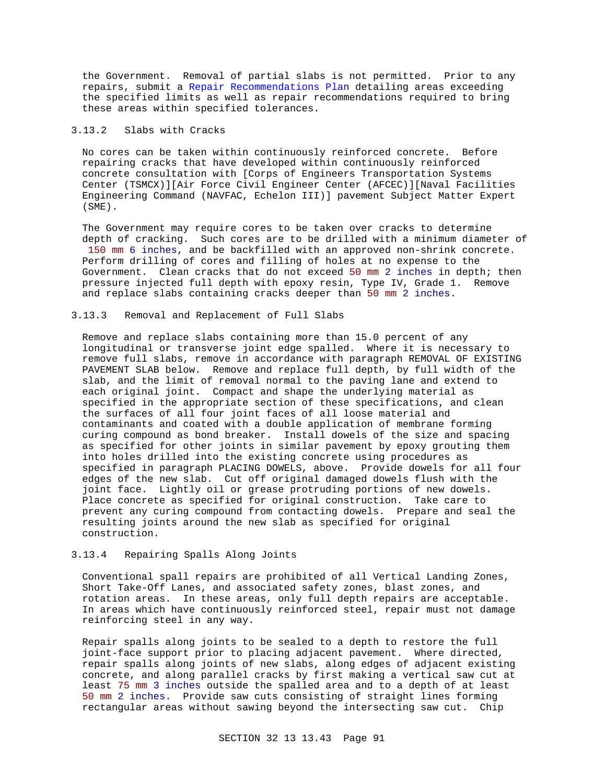the Government. Removal of partial slabs is not permitted. Prior to any repairs, submit a Repair Recommendations Plan detailing areas exceeding the specified limits as well as repair recommendations required to bring these areas within specified tolerances.

## 3.13.2 Slabs with Cracks

No cores can be taken within continuously reinforced concrete. Before repairing cracks that have developed within continuously reinforced concrete consultation with [Corps of Engineers Transportation Systems Center (TSMCX)][Air Force Civil Engineer Center (AFCEC)][Naval Facilities Engineering Command (NAVFAC, Echelon III)] pavement Subject Matter Expert (SME).

The Government may require cores to be taken over cracks to determine depth of cracking. Such cores are to be drilled with a minimum diameter of 150 mm 6 inches, and be backfilled with an approved non-shrink concrete. Perform drilling of cores and filling of holes at no expense to the Government. Clean cracks that do not exceed 50 mm 2 inches in depth; then pressure injected full depth with epoxy resin, Type IV, Grade 1. Remove and replace slabs containing cracks deeper than 50 mm 2 inches.

#### 3.13.3 Removal and Replacement of Full Slabs

Remove and replace slabs containing more than 15.0 percent of any longitudinal or transverse joint edge spalled. Where it is necessary to remove full slabs, remove in accordance with paragraph REMOVAL OF EXISTING PAVEMENT SLAB below. Remove and replace full depth, by full width of the slab, and the limit of removal normal to the paving lane and extend to each original joint. Compact and shape the underlying material as specified in the appropriate section of these specifications, and clean the surfaces of all four joint faces of all loose material and contaminants and coated with a double application of membrane forming curing compound as bond breaker. Install dowels of the size and spacing as specified for other joints in similar pavement by epoxy grouting them into holes drilled into the existing concrete using procedures as specified in paragraph PLACING DOWELS, above. Provide dowels for all four edges of the new slab. Cut off original damaged dowels flush with the joint face. Lightly oil or grease protruding portions of new dowels. Place concrete as specified for original construction. Take care to prevent any curing compound from contacting dowels. Prepare and seal the resulting joints around the new slab as specified for original construction.

## 3.13.4 Repairing Spalls Along Joints

Conventional spall repairs are prohibited of all Vertical Landing Zones, Short Take-Off Lanes, and associated safety zones, blast zones, and rotation areas. In these areas, only full depth repairs are acceptable. In areas which have continuously reinforced steel, repair must not damage reinforcing steel in any way.

Repair spalls along joints to be sealed to a depth to restore the full joint-face support prior to placing adjacent pavement. Where directed, repair spalls along joints of new slabs, along edges of adjacent existing concrete, and along parallel cracks by first making a vertical saw cut at least 75 mm 3 inches outside the spalled area and to a depth of at least 50 mm 2 inches. Provide saw cuts consisting of straight lines forming rectangular areas without sawing beyond the intersecting saw cut. Chip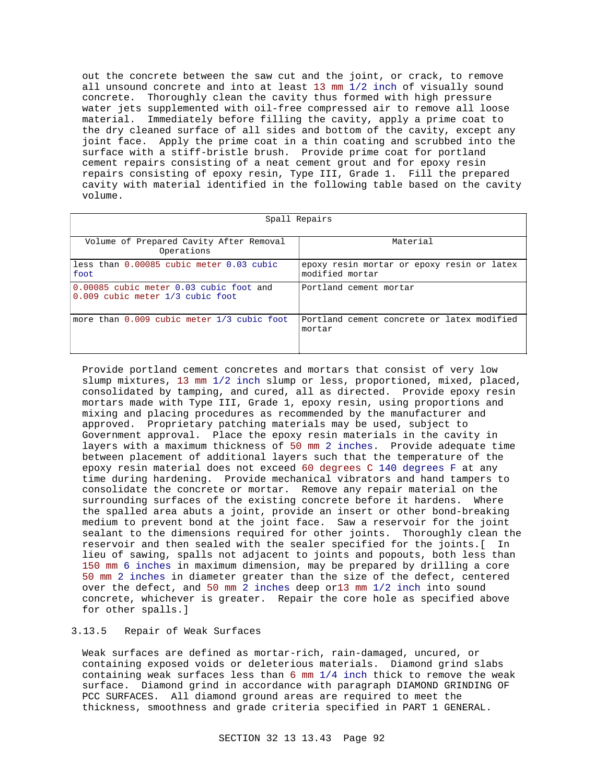out the concrete between the saw cut and the joint, or crack, to remove all unsound concrete and into at least 13 mm 1/2 inch of visually sound concrete. Thoroughly clean the cavity thus formed with high pressure water jets supplemented with oil-free compressed air to remove all loose material. Immediately before filling the cavity, apply a prime coat to the dry cleaned surface of all sides and bottom of the cavity, except any joint face. Apply the prime coat in a thin coating and scrubbed into the surface with a stiff-bristle brush. Provide prime coat for portland cement repairs consisting of a neat cement grout and for epoxy resin repairs consisting of epoxy resin, Type III, Grade 1. Fill the prepared cavity with material identified in the following table based on the cavity volume.

| Spall Repairs                                                                   |                                                               |  |
|---------------------------------------------------------------------------------|---------------------------------------------------------------|--|
| Volume of Prepared Cavity After Removal<br>Operations                           | Material                                                      |  |
| less than $0.00085$ cubic meter $0.03$ cubic<br>foot                            | epoxy resin mortar or epoxy resin or latex<br>modified mortar |  |
| $0.00085$ cubic meter $0.03$ cubic foot and<br>0.009 cubic meter 1/3 cubic foot | Portland cement mortar                                        |  |
| more than 0.009 cubic meter 1/3 cubic foot                                      | Portland cement concrete or latex modified<br>mortar          |  |

Provide portland cement concretes and mortars that consist of very low slump mixtures, 13 mm 1/2 inch slump or less, proportioned, mixed, placed, consolidated by tamping, and cured, all as directed. Provide epoxy resin mortars made with Type III, Grade 1, epoxy resin, using proportions and mixing and placing procedures as recommended by the manufacturer and approved. Proprietary patching materials may be used, subject to Government approval. Place the epoxy resin materials in the cavity in layers with a maximum thickness of 50 mm 2 inches. Provide adequate time between placement of additional layers such that the temperature of the epoxy resin material does not exceed 60 degrees C 140 degrees F at any time during hardening. Provide mechanical vibrators and hand tampers to consolidate the concrete or mortar. Remove any repair material on the surrounding surfaces of the existing concrete before it hardens. Where the spalled area abuts a joint, provide an insert or other bond-breaking medium to prevent bond at the joint face. Saw a reservoir for the joint sealant to the dimensions required for other joints. Thoroughly clean the reservoir and then sealed with the sealer specified for the joints.[ In lieu of sawing, spalls not adjacent to joints and popouts, both less than 150 mm 6 inches in maximum dimension, may be prepared by drilling a core 50 mm 2 inches in diameter greater than the size of the defect, centered over the defect, and 50 mm 2 inches deep or13 mm 1/2 inch into sound concrete, whichever is greater. Repair the core hole as specified above for other spalls.]

#### 3.13.5 Repair of Weak Surfaces

Weak surfaces are defined as mortar-rich, rain-damaged, uncured, or containing exposed voids or deleterious materials. Diamond grind slabs containing weak surfaces less than 6 mm 1/4 inch thick to remove the weak surface. Diamond grind in accordance with paragraph DIAMOND GRINDING OF PCC SURFACES. All diamond ground areas are required to meet the thickness, smoothness and grade criteria specified in PART 1 GENERAL.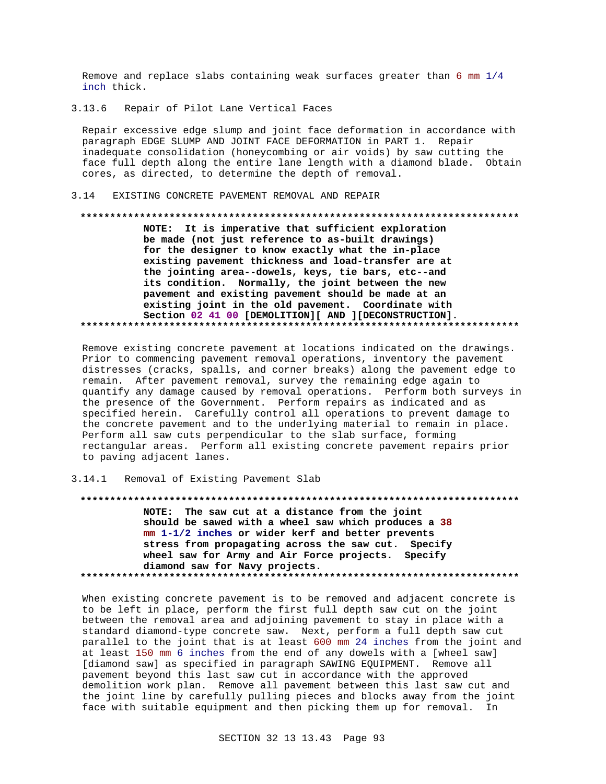Remove and replace slabs containing weak surfaces greater than 6 mm  $1/4$ inch thick.

 $3.13.6$ Repair of Pilot Lane Vertical Faces

Repair excessive edge slump and joint face deformation in accordance with paragraph EDGE SLUMP AND JOINT FACE DEFORMATION in PART 1. Repair inadequate consolidation (honeycombing or air voids) by saw cutting the face full depth along the entire lane length with a diamond blade. Obtain cores, as directed, to determine the depth of removal.

#### 3.14 EXISTING CONCRETE PAVEMENT REMOVAL AND REPAIR

#### 

NOTE: It is imperative that sufficient exploration be made (not just reference to as-built drawings) for the designer to know exactly what the in-place existing pavement thickness and load-transfer are at the jointing area--dowels, keys, tie bars, etc--and its condition. Normally, the joint between the new pavement and existing pavement should be made at an existing joint in the old pavement. Coordinate with Section 02 41 00 [DEMOLITION][ AND ][DECONSTRUCTION]. 

Remove existing concrete pavement at locations indicated on the drawings. Prior to commencing pavement removal operations, inventory the pavement distresses (cracks, spalls, and corner breaks) along the pavement edge to remain. After pavement removal, survey the remaining edge again to quantify any damage caused by removal operations. Perform both surveys in the presence of the Government. Perform repairs as indicated and as specified herein. Carefully control all operations to prevent damage to the concrete pavement and to the underlying material to remain in place. Perform all saw cuts perpendicular to the slab surface, forming rectangular areas. Perform all existing concrete pavement repairs prior to paving adjacent lanes.

#### Removal of Existing Pavement Slab  $3.14.1$

NOTE: The saw cut at a distance from the joint should be sawed with a wheel saw which produces a 38 mm 1-1/2 inches or wider kerf and better prevents stress from propagating across the saw cut. Specify wheel saw for Army and Air Force projects. Specify diamond saw for Navy projects. 

When existing concrete pavement is to be removed and adjacent concrete is to be left in place, perform the first full depth saw cut on the joint between the removal area and adjoining pavement to stay in place with a standard diamond-type concrete saw. Next, perform a full depth saw cut parallel to the joint that is at least 600 mm 24 inches from the joint and at least 150 mm 6 inches from the end of any dowels with a [wheel saw] [diamond saw] as specified in paragraph SAWING EQUIPMENT. Remove all pavement beyond this last saw cut in accordance with the approved demolition work plan. Remove all pavement between this last saw cut and the joint line by carefully pulling pieces and blocks away from the joint face with suitable equipment and then picking them up for removal. In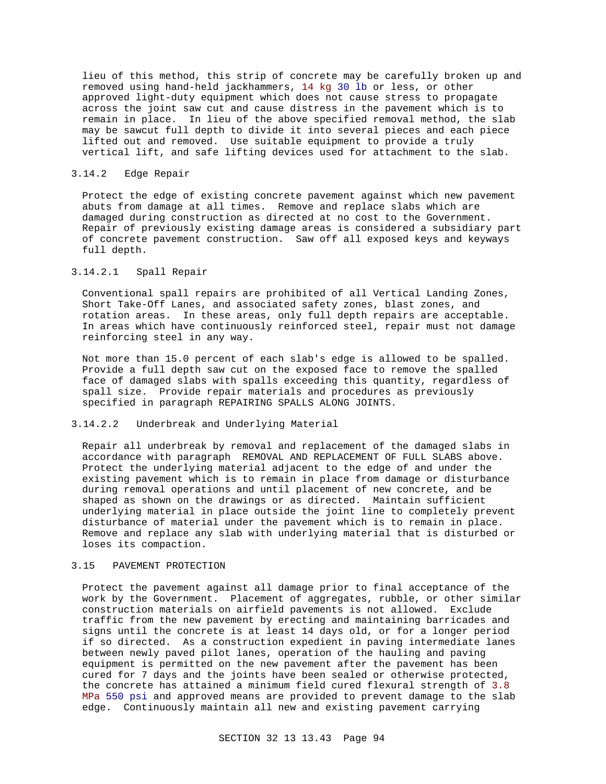lieu of this method, this strip of concrete may be carefully broken up and removed using hand-held jackhammers, 14 kg 30 lb or less, or other approved light-duty equipment which does not cause stress to propagate across the joint saw cut and cause distress in the pavement which is to remain in place. In lieu of the above specified removal method, the slab may be sawcut full depth to divide it into several pieces and each piece lifted out and removed. Use suitable equipment to provide a truly vertical lift, and safe lifting devices used for attachment to the slab.

## 3.14.2 Edge Repair

Protect the edge of existing concrete pavement against which new pavement abuts from damage at all times. Remove and replace slabs which are damaged during construction as directed at no cost to the Government. Repair of previously existing damage areas is considered a subsidiary part of concrete pavement construction. Saw off all exposed keys and keyways full depth.

## 3.14.2.1 Spall Repair

Conventional spall repairs are prohibited of all Vertical Landing Zones, Short Take-Off Lanes, and associated safety zones, blast zones, and rotation areas. In these areas, only full depth repairs are acceptable. In areas which have continuously reinforced steel, repair must not damage reinforcing steel in any way.

Not more than 15.0 percent of each slab's edge is allowed to be spalled. Provide a full depth saw cut on the exposed face to remove the spalled face of damaged slabs with spalls exceeding this quantity, regardless of spall size. Provide repair materials and procedures as previously specified in paragraph REPAIRING SPALLS ALONG JOINTS.

#### 3.14.2.2 Underbreak and Underlying Material

Repair all underbreak by removal and replacement of the damaged slabs in accordance with paragraph REMOVAL AND REPLACEMENT OF FULL SLABS above. Protect the underlying material adjacent to the edge of and under the existing pavement which is to remain in place from damage or disturbance during removal operations and until placement of new concrete, and be shaped as shown on the drawings or as directed. Maintain sufficient underlying material in place outside the joint line to completely prevent disturbance of material under the pavement which is to remain in place. Remove and replace any slab with underlying material that is disturbed or loses its compaction.

## 3.15 PAVEMENT PROTECTION

Protect the pavement against all damage prior to final acceptance of the work by the Government. Placement of aggregates, rubble, or other similar construction materials on airfield pavements is not allowed. Exclude traffic from the new pavement by erecting and maintaining barricades and signs until the concrete is at least 14 days old, or for a longer period if so directed. As a construction expedient in paving intermediate lanes between newly paved pilot lanes, operation of the hauling and paving equipment is permitted on the new pavement after the pavement has been cured for 7 days and the joints have been sealed or otherwise protected, the concrete has attained a minimum field cured flexural strength of 3.8 MPa 550 psi and approved means are provided to prevent damage to the slab edge. Continuously maintain all new and existing pavement carrying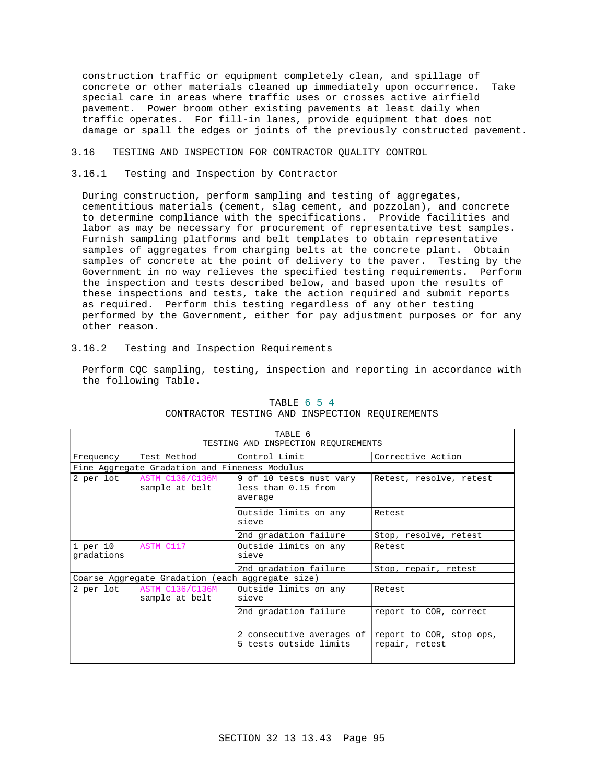construction traffic or equipment completely clean, and spillage of concrete or other materials cleaned up immediately upon occurrence. Take special care in areas where traffic uses or crosses active airfield pavement. Power broom other existing pavements at least daily when traffic operates. For fill-in lanes, provide equipment that does not damage or spall the edges or joints of the previously constructed pavement.

## 3.16 TESTING AND INSPECTION FOR CONTRACTOR QUALITY CONTROL

3.16.1 Testing and Inspection by Contractor

During construction, perform sampling and testing of aggregates, cementitious materials (cement, slag cement, and pozzolan), and concrete to determine compliance with the specifications. Provide facilities and labor as may be necessary for procurement of representative test samples. Furnish sampling platforms and belt templates to obtain representative samples of aggregates from charging belts at the concrete plant. Obtain samples of concrete at the point of delivery to the paver. Testing by the Government in no way relieves the specified testing requirements. Perform the inspection and tests described below, and based upon the results of these inspections and tests, take the action required and submit reports as required. Perform this testing regardless of any other testing performed by the Government, either for pay adjustment purposes or for any other reason.

#### 3.16.2 Testing and Inspection Requirements

Perform CQC sampling, testing, inspection and reporting in accordance with the following Table.

| TARLE 6<br>TESTING AND INSPECTION REQUIREMENTS   |                                               |                                                           |                                            |
|--------------------------------------------------|-----------------------------------------------|-----------------------------------------------------------|--------------------------------------------|
| Frequency                                        | Test Method                                   | Control Limit                                             | Corrective Action                          |
|                                                  | Fine Aggregate Gradation and Fineness Modulus |                                                           |                                            |
| 2 per lot                                        | ASTM C136/C136M<br>sample at belt             | 9 of 10 tests must vary<br>less than 0.15 from<br>average | Retest, resolve, retest                    |
|                                                  |                                               | Outside limits on any<br>sieve                            | Retest                                     |
|                                                  |                                               | 2nd gradation failure                                     | Stop, resolve, retest                      |
| 1 per 10<br>gradations                           | ASTM C117                                     | Outside limits on any<br>sieve                            | <b>Retest</b>                              |
|                                                  |                                               | 2nd gradation failure                                     | Stop, repair, retest                       |
| Coarse Aggregate Gradation (each aggregate size) |                                               |                                                           |                                            |
| 2 per lot                                        | <b>ASTM C136/C136M</b><br>sample at belt      | Outside limits on any<br>sieve                            | Retest                                     |
|                                                  |                                               | 2nd gradation failure                                     | report to COR, correct                     |
|                                                  |                                               | 2 consecutive averages of<br>5 tests outside limits       | report to COR, stop ops,<br>repair, retest |

## TABLE 6 5 4 CONTRACTOR TESTING AND INSPECTION REQUIREMENTS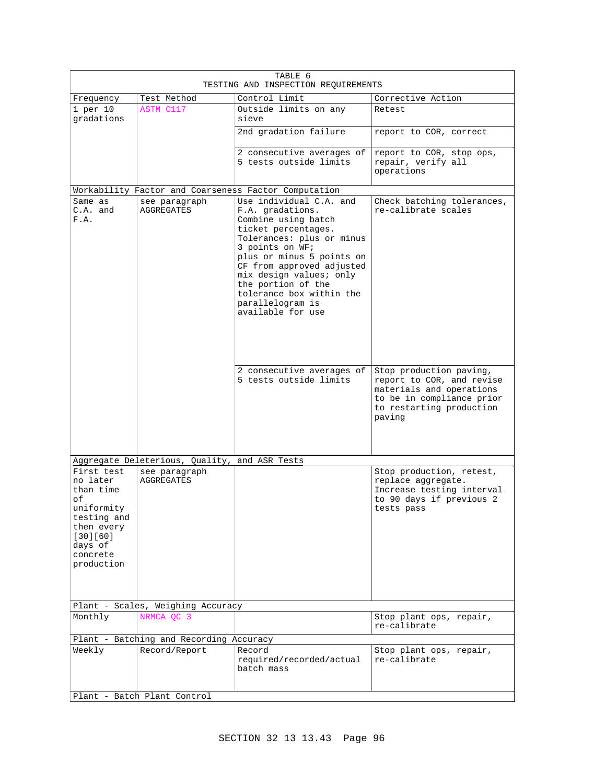| TABLE 6<br>TESTING AND INSPECTION REQUIREMENTS                                                                                        |                                               |                                                                                                                                                                                                                                                                                                                                                        |                                                                                                                          |
|---------------------------------------------------------------------------------------------------------------------------------------|-----------------------------------------------|--------------------------------------------------------------------------------------------------------------------------------------------------------------------------------------------------------------------------------------------------------------------------------------------------------------------------------------------------------|--------------------------------------------------------------------------------------------------------------------------|
| Frequency                                                                                                                             | Test Method                                   | Control Limit                                                                                                                                                                                                                                                                                                                                          | Corrective Action                                                                                                        |
| 1 per 10<br>qradations                                                                                                                | ASTM C117                                     | Outside limits on any<br>sieve                                                                                                                                                                                                                                                                                                                         | Retest                                                                                                                   |
|                                                                                                                                       |                                               | 2nd gradation failure                                                                                                                                                                                                                                                                                                                                  | report to COR, correct                                                                                                   |
|                                                                                                                                       |                                               | 2 consecutive averages of<br>5 tests outside limits                                                                                                                                                                                                                                                                                                    | report to COR, stop ops,<br>repair, verify all<br>operations                                                             |
|                                                                                                                                       |                                               | Workability Factor and Coarseness Factor Computation                                                                                                                                                                                                                                                                                                   |                                                                                                                          |
| Same as<br>C.A. and<br>F.A.                                                                                                           | see paragraph<br>AGGREGATES                   | Use individual C.A. and<br>F.A. gradations.<br>Combine using batch<br>ticket percentages.<br>Tolerances: plus or minus<br>3 points on WF;<br>plus or minus 5 points on<br>CF from approved adjusted<br>mix design values; only<br>the portion of the<br>tolerance box within the<br>parallelogram is<br>available for use<br>2 consecutive averages of | Check batching tolerances,<br>re-calibrate scales<br>Stop production paving,                                             |
|                                                                                                                                       |                                               | 5 tests outside limits                                                                                                                                                                                                                                                                                                                                 | report to COR, and revise<br>materials and operations<br>to be in compliance prior<br>to restarting production<br>paving |
|                                                                                                                                       | Aggregate Deleterious, Quality, and ASR Tests |                                                                                                                                                                                                                                                                                                                                                        |                                                                                                                          |
| First test<br>no later<br>than time<br>оf<br>uniformity<br>testing and<br>then every<br>[30][60]<br>days of<br>concrete<br>production | see paragraph<br>AGGREGATES                   |                                                                                                                                                                                                                                                                                                                                                        | Stop production, retest,<br>replace aggregate.<br>Increase testing interval<br>to 90 days if previous 2<br>tests pass    |
|                                                                                                                                       | Plant - Scales, Weighing Accuracy             |                                                                                                                                                                                                                                                                                                                                                        |                                                                                                                          |
| Monthly                                                                                                                               | NRMCA OC 3                                    |                                                                                                                                                                                                                                                                                                                                                        | Stop plant ops, repair,                                                                                                  |
|                                                                                                                                       |                                               |                                                                                                                                                                                                                                                                                                                                                        | re-calibrate                                                                                                             |
|                                                                                                                                       | Plant - Batching and Recording Accuracy       |                                                                                                                                                                                                                                                                                                                                                        |                                                                                                                          |
| Weekly                                                                                                                                | Record/Report                                 | Record<br>required/recorded/actual<br>batch mass                                                                                                                                                                                                                                                                                                       | Stop plant ops, repair,<br>re-calibrate                                                                                  |
| Plant - Batch Plant Control                                                                                                           |                                               |                                                                                                                                                                                                                                                                                                                                                        |                                                                                                                          |

Plant - Batch Plant Control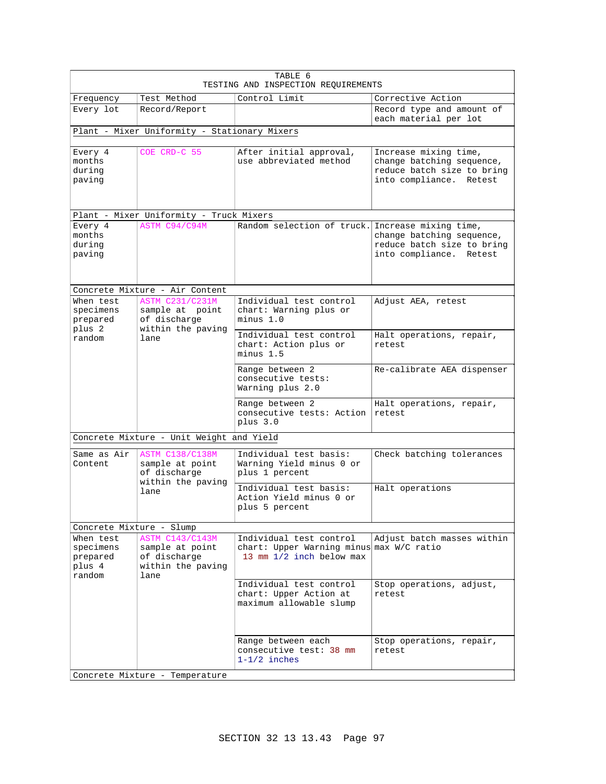| TABLE 6<br>TESTING AND INSPECTION REQUIREMENTS                                                                                                   |                                                                                        |                                                                                                 |                                                                                                             |
|--------------------------------------------------------------------------------------------------------------------------------------------------|----------------------------------------------------------------------------------------|-------------------------------------------------------------------------------------------------|-------------------------------------------------------------------------------------------------------------|
| Frequency                                                                                                                                        | Test Method                                                                            | Control Limit                                                                                   | Corrective Action                                                                                           |
| Every lot                                                                                                                                        | Record/Report                                                                          |                                                                                                 | Record type and amount of<br>each material per lot                                                          |
|                                                                                                                                                  | Plant - Mixer Uniformity - Stationary Mixers                                           |                                                                                                 |                                                                                                             |
| Every 4<br>months<br>during<br>paving                                                                                                            | COE CRD-C 55                                                                           | After initial approval,<br>use abbreviated method                                               | Increase mixing time,<br>change batching sequence,<br>reduce batch size to bring<br>into compliance. Retest |
|                                                                                                                                                  | Plant - Mixer Uniformity - Truck Mixers                                                |                                                                                                 |                                                                                                             |
| Every 4<br>months<br>during<br>paving                                                                                                            | ASTM C94/C94M                                                                          | Random selection of truck. Increase mixing time,                                                | change batching sequence,<br>reduce batch size to bring<br>into compliance. Retest                          |
|                                                                                                                                                  | Concrete Mixture - Air Content                                                         |                                                                                                 |                                                                                                             |
| <b>ASTM C231/C231M</b><br>When test<br>specimens<br>sample at point<br>of discharge<br>prepared<br>plus 2<br>within the paving<br>random<br>lane | Individual test control<br>chart: Warning plus or<br>minus 1.0                         | Adjust AEA, retest                                                                              |                                                                                                             |
|                                                                                                                                                  | Individual test control<br>chart: Action plus or<br>minus 1.5                          | Halt operations, repair,<br>retest                                                              |                                                                                                             |
|                                                                                                                                                  | Range between 2<br>consecutive tests:<br>Warning plus 2.0                              | Re-calibrate AEA dispenser                                                                      |                                                                                                             |
|                                                                                                                                                  |                                                                                        | Range between 2<br>consecutive tests: Action<br>plus 3.0                                        | Halt operations, repair,<br>retest                                                                          |
|                                                                                                                                                  | Concrete Mixture - Unit Weight and Yield                                               |                                                                                                 |                                                                                                             |
| Same as Air<br><b>ASTM C138/C138M</b><br>sample at point<br>Content<br>of discharge<br>within the paving<br>lane                                 |                                                                                        | Individual test basis:<br>Warning Yield minus 0 or<br>plus 1 percent                            | Check batching tolerances                                                                                   |
|                                                                                                                                                  | Individual test basis:<br>Action Yield minus 0 or<br>plus 5 percent                    | Halt operations                                                                                 |                                                                                                             |
| Concrete Mixture - Slump                                                                                                                         |                                                                                        |                                                                                                 |                                                                                                             |
| When test<br>specimens<br>prepared<br>plus 4<br>random                                                                                           | <b>ASTM C143/C143M</b><br>sample at point<br>of discharge<br>within the paving<br>lane | Individual test control<br>chart: Upper Warning minus max W/C ratio<br>13 mm 1/2 inch below max | Adjust batch masses within                                                                                  |
|                                                                                                                                                  |                                                                                        | Individual test control<br>chart: Upper Action at<br>maximum allowable slump                    | Stop operations, adjust,<br>retest                                                                          |
|                                                                                                                                                  |                                                                                        | Range between each<br>consecutive test: 38 mm<br>$1-1/2$ inches                                 | Stop operations, repair,<br>retest                                                                          |
| Concrete Mixture - Temperature                                                                                                                   |                                                                                        |                                                                                                 |                                                                                                             |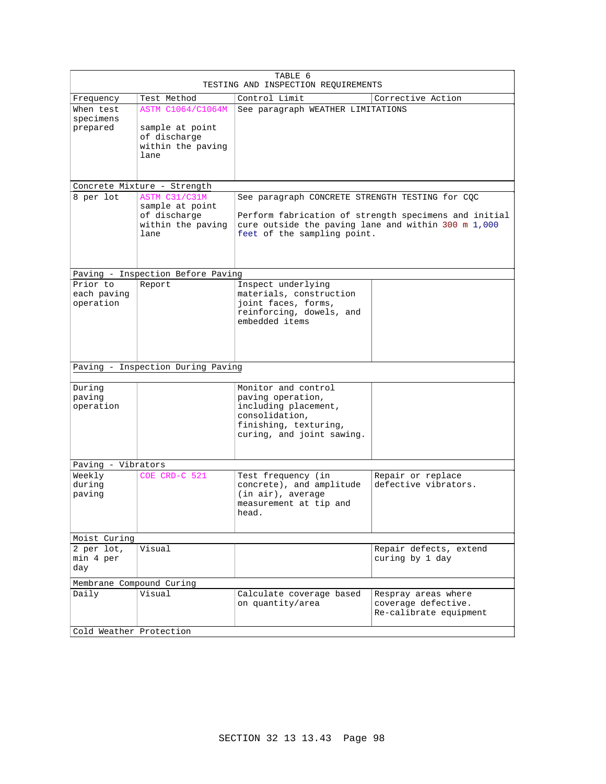| TABLE 6<br>TESTING AND INSPECTION REQUIREMENTS |                                                                               |                                                                                                                                                                                                |                                                                      |
|------------------------------------------------|-------------------------------------------------------------------------------|------------------------------------------------------------------------------------------------------------------------------------------------------------------------------------------------|----------------------------------------------------------------------|
| Frequency                                      | Test Method                                                                   | Control Limit                                                                                                                                                                                  | Corrective Action                                                    |
| When test<br>specimens<br>prepared             | <b>ASTM C1064/C1064M</b><br>sample at point<br>of discharge                   | See paragraph WEATHER LIMITATIONS                                                                                                                                                              |                                                                      |
|                                                | within the paving<br>lane                                                     |                                                                                                                                                                                                |                                                                      |
|                                                | Concrete Mixture - Strength                                                   |                                                                                                                                                                                                |                                                                      |
| 8 per lot                                      | ASTM C31/C31M<br>sample at point<br>of discharge<br>within the paving<br>lane | See paragraph CONCRETE STRENGTH TESTING for CQC<br>Perform fabrication of strength specimens and initial<br>cure outside the paving lane and within 300 m 1,000<br>feet of the sampling point. |                                                                      |
|                                                | Paving - Inspection Before Paving                                             |                                                                                                                                                                                                |                                                                      |
| Prior to<br>each paving<br>operation           | Report                                                                        | Inspect underlying<br>materials, construction<br>joint faces, forms,<br>reinforcing, dowels, and<br>embedded items                                                                             |                                                                      |
|                                                | Paving - Inspection During Paving                                             |                                                                                                                                                                                                |                                                                      |
| During<br>paving<br>operation                  |                                                                               | Monitor and control<br>paving operation,<br>including placement,<br>consolidation,<br>finishing, texturing,<br>curing, and joint sawing.                                                       |                                                                      |
| Paving - Vibrators                             |                                                                               |                                                                                                                                                                                                |                                                                      |
| Weekly<br>during<br>paving                     | COE CRD-C 521                                                                 | Test frequency (in<br>concrete), and amplitude<br>(in air), average<br>measurement at tip and<br>head.                                                                                         | Repair or replace<br>defective vibrators.                            |
| Moist Curing                                   |                                                                               |                                                                                                                                                                                                |                                                                      |
| 2 per lot,<br>min 4 per<br>day                 | Visual                                                                        |                                                                                                                                                                                                | Repair defects, extend<br>curing by 1 day                            |
| Membrane Compound Curing                       |                                                                               |                                                                                                                                                                                                |                                                                      |
| Daily                                          | Visual                                                                        | Calculate coverage based<br>on quantity/area                                                                                                                                                   | Respray areas where<br>coverage defective.<br>Re-calibrate equipment |
| Cold Weather Protection                        |                                                                               |                                                                                                                                                                                                |                                                                      |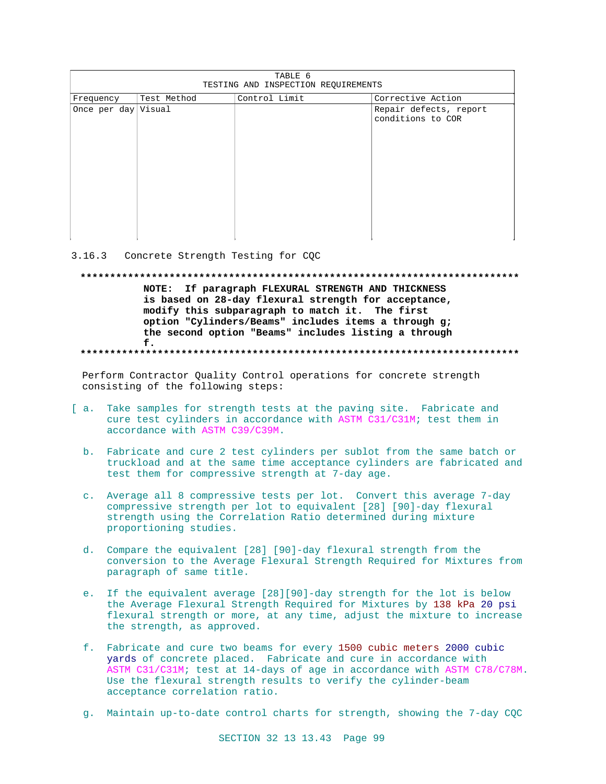| TABLE 6<br>TESTING AND INSPECTION REQUIREMENTS |             |               |                                             |
|------------------------------------------------|-------------|---------------|---------------------------------------------|
| Frequency                                      | Test Method | Control Limit | Corrective Action                           |
| Once per day Visual                            |             |               | Repair defects, report<br>conditions to COR |

3.16.3 Concrete Strength Testing for CQC

## NOTE: If paragraph FLEXURAL STRENGTH AND THICKNESS is based on 28-day flexural strength for acceptance, modify this subparagraph to match it. The first option "Cylinders/Beams" includes items a through g; the second option "Beams" includes listing a through f.

Perform Contractor Quality Control operations for concrete strength consisting of the following steps:

- [ a. Take samples for strength tests at the paving site. Fabricate and cure test cylinders in accordance with ASTM C31/C31M; test them in accordance with ASTM C39/C39M.
	- b. Fabricate and cure 2 test cylinders per sublot from the same batch or truckload and at the same time acceptance cylinders are fabricated and test them for compressive strength at 7-day age.
	- c. Average all 8 compressive tests per lot. Convert this average 7-day compressive strength per lot to equivalent [28] [90]-day flexural strength using the Correlation Ratio determined during mixture proportioning studies.
	- d. Compare the equivalent [28] [90]-day flexural strength from the conversion to the Average Flexural Strength Required for Mixtures from paragraph of same title.
	- e. If the equivalent average [28][90]-day strength for the lot is below the Average Flexural Strength Required for Mixtures by 138 kPa 20 psi flexural strength or more, at any time, adjust the mixture to increase the strength, as approved.
	- f. Fabricate and cure two beams for every 1500 cubic meters 2000 cubic yards of concrete placed. Fabricate and cure in accordance with ASTM C31/C31M; test at 14-days of age in accordance with ASTM C78/C78M. Use the flexural strength results to verify the cylinder-beam acceptance correlation ratio.
	- g. Maintain up-to-date control charts for strength, showing the 7-day CQC